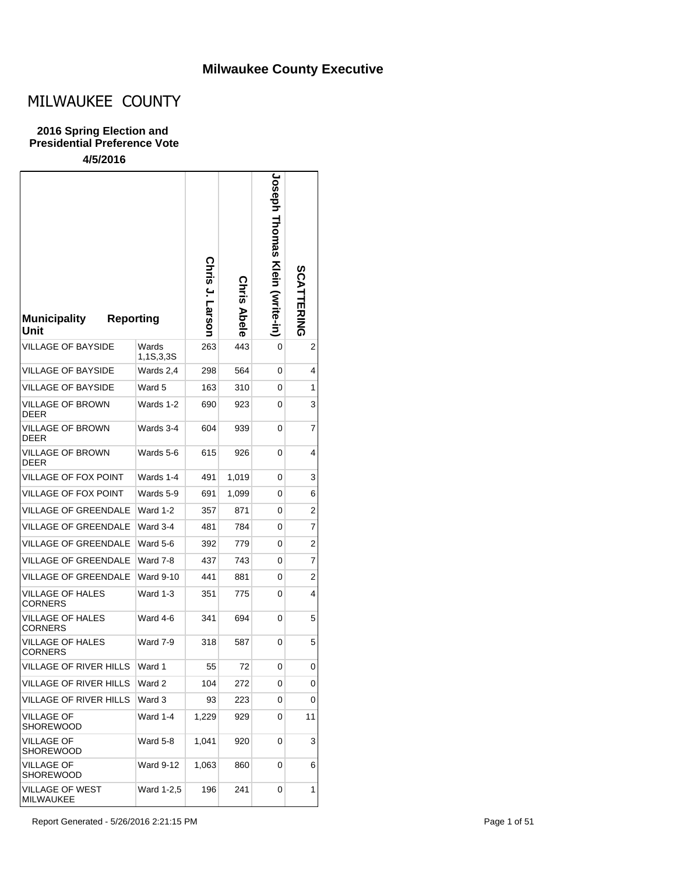## **Milwaukee County Executive**

# MILWAUKEE COUNTY

#### **2016 Spring Election and Presidential Preference Vote**

| <b>Reporting</b><br><b>Municipality</b><br>Unit |                    | Chris<br>J. Larson | Chris<br><b>Abele</b> | <b>Joseph Thomas</b><br><b>Klein (Svrite-in)</b> | SCATTERING |
|-------------------------------------------------|--------------------|--------------------|-----------------------|--------------------------------------------------|------------|
| VILLAGE OF BAYSIDE                              | Wards<br>1,1S,3,3S | 263                | 443                   | 0                                                | 2          |
| <b>VILLAGE OF BAYSIDE</b>                       | Wards 2,4          | 298                | 564                   | 0                                                | 4          |
| <b>VILLAGE OF BAYSIDE</b>                       | Ward 5             | 163                | 310                   | 0                                                | 1          |
| <b>VILLAGE OF BROWN</b><br><b>DEER</b>          | Wards 1-2          | 690                | 923                   | 0                                                | 3          |
| VILLAGE OF BROWN<br><b>DEER</b>                 | Wards 3-4          | 604                | 939                   | 0                                                | 7          |
| VILLAGE OF BROWN<br>DEER                        | Wards 5-6          | 615                | 926                   | 0                                                | 4          |
| <b>VILLAGE OF FOX POINT</b>                     | Wards 1-4          | 491                | 1,019                 | 0                                                | 3          |
| <b>VILLAGE OF FOX POINT</b>                     | Wards 5-9          | 691                | 1,099                 | 0                                                | 6          |
| VILLAGE OF GREENDALE                            | <b>Ward 1-2</b>    | 357                | 871                   | 0                                                | 2          |
| VILLAGE OF GREENDALE                            | Ward 3-4           | 481                | 784                   | 0                                                | 7          |
| <b>VILLAGE OF GREENDALE</b>                     | Ward 5-6           | 392                | 779                   | 0                                                | 2          |
| VILLAGE OF GREENDALE                            | Ward 7-8           | 437                | 743                   | 0                                                | 7          |
| VILLAGE OF GREENDALE                            | <b>Ward 9-10</b>   | 441                | 881                   | 0                                                | 2          |
| VILLAGE OF HALES<br>CORNERS                     | Ward 1-3           | 351                | 775                   | 0                                                | 4          |
| VILLAGE OF HALES<br>CORNERS                     | Ward 4-6           | 341                | 694                   | 0                                                | 5          |
| VILLAGE OF HALES<br><b>CORNERS</b>              | Ward 7-9           | 318                | 587                   | 0                                                | 5          |
| VILLAGE OF RIVER HILLS                          | Ward 1             | 55                 | 72                    | 0                                                | 0          |
| VILLAGE OF RIVER HILLS                          | Ward 2             | 104                | 272                   | 0                                                | 0          |
| VILLAGE OF RIVER HILLS                          | Ward 3             | 93                 | 223                   | 0                                                | 0          |
| VILLAGE OF<br><b>SHOREWOOD</b>                  | Ward 1-4           | 1,229              | 929                   | 0                                                | 11         |
| <b>VILLAGE OF</b><br><b>SHOREWOOD</b>           | Ward 5-8           | 1,041              | 920                   | 0                                                | 3          |
| <b>VILLAGE OF</b><br>SHOREWOOD                  | <b>Ward 9-12</b>   | 1,063              | 860                   | 0                                                | 6          |
| <b>VILLAGE OF WEST</b><br>MILWAUKEE             | Ward 1-2,5         | 196                | 241                   | 0                                                | 1          |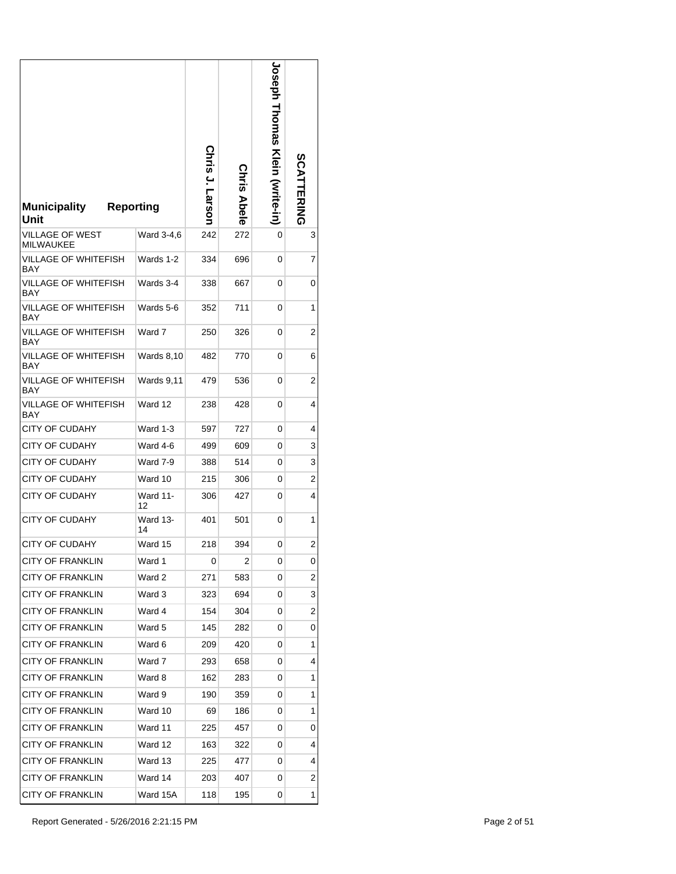| <b>Municipality</b><br>Unit         | <b>Reporting</b>      | Chris J. Larson | <b>Chris Abele</b> | <b>Joseph Hromas Klein (write-in)</b> | <b>SCATTERING</b>       |
|-------------------------------------|-----------------------|-----------------|--------------------|---------------------------------------|-------------------------|
| VILLAGE OF WEST<br><b>MILWAUKEE</b> | Ward 3-4,6            | 242             | 272                | 0                                     | 3                       |
| VILLAGE OF WHITEFISH<br>BAY         | Wards 1-2             | 334             | 696                | 0                                     | 7                       |
| VILLAGE OF WHITEFISH<br>BAY         | Wards 3-4             | 338             | 667                | 0                                     | 0                       |
| VILLAGE OF WHITEFISH<br>BAY         | Wards 5-6             | 352             | 711                | 0                                     | 1                       |
| <b>VILLAGE OF WHITEFISH</b><br>BAY  | Ward 7                | 250             | 326                | 0                                     | 2                       |
| <b>VILLAGE OF WHITEFISH</b><br>BAY  | <b>Wards 8,10</b>     | 482             | 770                | 0                                     | 6                       |
| VILLAGE OF WHITEFISH<br><b>BAY</b>  | Wards 9,11            | 479             | 536                | 0                                     | 2                       |
| VILLAGE OF WHITEFISH<br>BAY         | Ward 12               | 238             | 428                | 0                                     | 4                       |
| <b>CITY OF CUDAHY</b>               | Ward 1-3              | 597             | 727                | 0                                     | 4                       |
| <b>CITY OF CUDAHY</b>               | Ward 4-6              | 499             | 609                | 0                                     | 3                       |
| CITY OF CUDAHY                      | Ward 7-9              | 388             | 514                | 0                                     | 3                       |
| <b>CITY OF CUDAHY</b>               | Ward 10               | 215             | 306                | 0                                     | $\overline{\mathbf{c}}$ |
| <b>CITY OF CUDAHY</b>               | <b>Ward 11-</b><br>12 | 306             | 427                | 0                                     | 4                       |
| <b>CITY OF CUDAHY</b>               | Ward 13-<br>14        | 401             | 501                | 0                                     | 1                       |
| <b>CITY OF CUDAHY</b>               | Ward 15               | 218             | 394                | 0                                     | 2                       |
| <b>CITY OF FRANKLIN</b>             | Ward 1                | 0               | 2                  | 0                                     | 0                       |
| <b>CITY OF FRANKLIN</b>             | Ward 2                | 271             | 583                | 0                                     | 2                       |
| <b>CITY OF FRANKLIN</b>             | Ward 3                | 323             | 694                | 0                                     | 3                       |
| <b>CITY OF FRANKLIN</b>             | Ward 4                | 154             | 304                | 0                                     | 2                       |
| <b>CITY OF FRANKLIN</b>             | Ward 5                | 145             | 282                | 0                                     | 0                       |
| <b>CITY OF FRANKLIN</b>             | Ward 6                | 209             | 420                | 0                                     | 1                       |
| <b>CITY OF FRANKLIN</b>             | Ward 7                | 293             | 658                | 0                                     | 4                       |
| <b>CITY OF FRANKLIN</b>             | Ward 8                | 162             | 283                | 0                                     | 1                       |
| <b>CITY OF FRANKLIN</b>             | Ward 9                | 190             | 359                | 0                                     | 1                       |
| <b>CITY OF FRANKLIN</b>             | Ward 10               | 69              | 186                | 0                                     | 1                       |
| <b>CITY OF FRANKLIN</b>             | Ward 11               | 225             | 457                | 0                                     | 0                       |
| <b>CITY OF FRANKLIN</b>             | Ward 12               | 163             | 322                | 0                                     | 4                       |
| <b>CITY OF FRANKLIN</b>             | Ward 13               | 225             | 477                | 0                                     | 4                       |
| <b>CITY OF FRANKLIN</b>             | Ward 14               | 203             | 407                | 0                                     | 2                       |
| <b>CITY OF FRANKLIN</b>             | Ward 15A              | 118             | 195                | 0                                     | 1                       |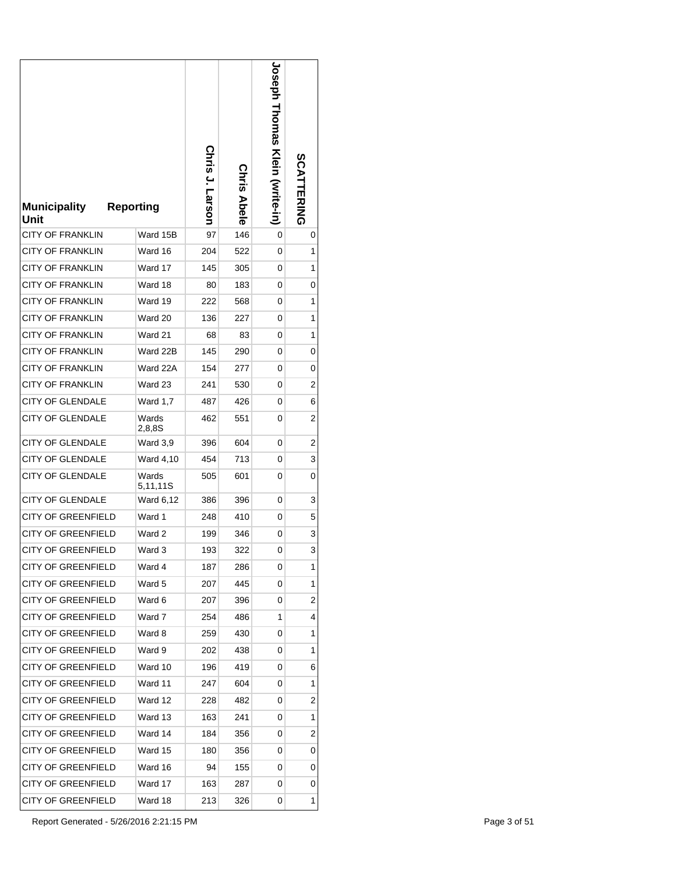| <b>Municipality</b><br>Unit | <b>Reporting</b>  | Chris J. Larson | <b>Chris Abele</b> | <b>Joseph Homas Klein (write-in)</b> | <b>SCATTERING</b> |
|-----------------------------|-------------------|-----------------|--------------------|--------------------------------------|-------------------|
| CITY OF FRANKLIN            | Ward 15B          | 97              | 146                | 0                                    | 0                 |
| <b>CITY OF FRANKLIN</b>     | Ward 16           | 204             | 522                | 0                                    | 1                 |
| <b>CITY OF FRANKLIN</b>     | Ward 17           | 145             | 305                | 0                                    | 1                 |
| <b>CITY OF FRANKLIN</b>     | Ward 18           | 80              | 183                | 0                                    | 0                 |
| <b>CITY OF FRANKLIN</b>     | Ward 19           | 222             | 568                | 0                                    | 1                 |
| <b>CITY OF FRANKLIN</b>     | Ward 20           | 136             | 227                | 0                                    | 1                 |
| <b>CITY OF FRANKLIN</b>     | Ward 21           | 68              | 83                 | 0                                    | 1                 |
| <b>CITY OF FRANKLIN</b>     | Ward 22B          | 145             | 290                | 0                                    | 0                 |
| <b>CITY OF FRANKLIN</b>     | Ward 22A          | 154             | 277                | 0                                    | 0                 |
| <b>CITY OF FRANKLIN</b>     | Ward 23           | 241             | 530                | 0                                    | 2                 |
| CITY OF GLENDALE            | <b>Ward 1,7</b>   | 487             | 426                | 0                                    | 6                 |
| <b>CITY OF GLENDALE</b>     | Wards<br>2,8,8S   | 462             | 551                | 0                                    | 2                 |
| <b>CITY OF GLENDALE</b>     | Ward 3,9          | 396             | 604                | 0                                    | 2                 |
| <b>CITY OF GLENDALE</b>     | Ward 4,10         | 454             | 713                | 0                                    | 3                 |
| <b>CITY OF GLENDALE</b>     | Wards<br>5,11,11S | 505             | 601                | 0                                    | 0                 |
| <b>CITY OF GLENDALE</b>     | Ward 6,12         | 386             | 396                | 0                                    | 3                 |
| <b>CITY OF GREENFIELD</b>   | Ward 1            | 248             | 410                | 0                                    | 5                 |
| <b>CITY OF GREENFIELD</b>   | Ward 2            | 199             | 346                | 0                                    | 3                 |
| <b>CITY OF GREENFIELD</b>   | Ward 3            | 193             | 322                | 0                                    | 3                 |
| <b>CITY OF GREENFIELD</b>   | Ward 4            | 187             | 286                | 0                                    | 1                 |
| <b>CITY OF GREENFIELD</b>   | Ward 5            | 207             | 445                | 0                                    | 1                 |
| <b>CITY OF GREENFIELD</b>   | Ward 6            | 207             | 396                | 0                                    | 2                 |
| <b>CITY OF GREENFIELD</b>   | Ward 7            | 254             | 486                | 1                                    | 4                 |
| <b>CITY OF GREENFIELD</b>   | Ward 8            | 259             | 430                | 0                                    | 1                 |
| <b>CITY OF GREENFIELD</b>   | Ward 9            | 202             | 438                | 0                                    | 1                 |
| <b>CITY OF GREENFIELD</b>   | Ward 10           | 196             | 419                | 0                                    | 6                 |
| <b>CITY OF GREENFIELD</b>   | Ward 11           | 247             | 604                | 0                                    | 1                 |
| <b>CITY OF GREENFIELD</b>   | Ward 12           | 228             | 482                | 0                                    | 2                 |
| <b>CITY OF GREENFIELD</b>   | Ward 13           | 163             | 241                | 0                                    | 1                 |
| <b>CITY OF GREENFIELD</b>   | Ward 14           | 184             | 356                | 0                                    | 2                 |
| <b>CITY OF GREENFIELD</b>   | Ward 15           | 180             | 356                | 0                                    | 0                 |
| <b>CITY OF GREENFIELD</b>   | Ward 16           | 94              | 155                | 0                                    | 0                 |
| <b>CITY OF GREENFIELD</b>   | Ward 17           | 163             | 287                | 0                                    | 0                 |
| <b>CITY OF GREENFIELD</b>   | Ward 18           | 213             | 326                | 0                                    | 1                 |

Report Generated - 5/26/2016 2:21:15 PM Page 3 of 51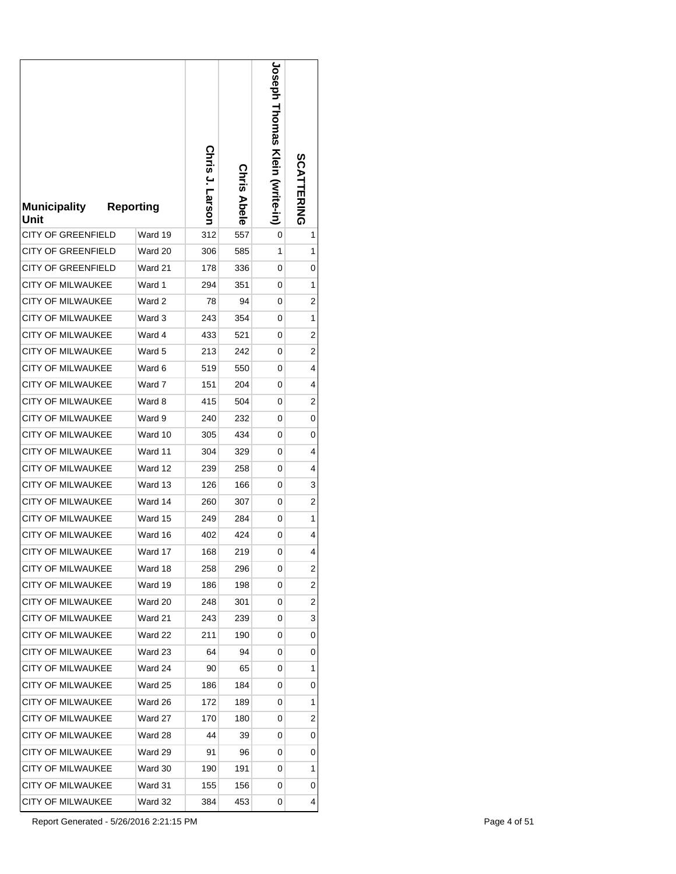| <b>Municipality</b><br>Unit | <b>Reporting</b> | Chris J. Larson | <b>Chris Abele</b> | <b>Joseph Hromas Klein (write-in)</b> | <b>SCATTERING</b> |
|-----------------------------|------------------|-----------------|--------------------|---------------------------------------|-------------------|
| CITY OF GREENFIELD          | Ward 19          | 312             | 557                | 0                                     | 1                 |
| CITY OF GREENFIELD          | Ward 20          | 306             | 585                | 1                                     | 1                 |
| <b>CITY OF GREENFIELD</b>   | Ward 21          | 178             | 336                | 0                                     | 0                 |
| <b>CITY OF MILWAUKEE</b>    | Ward 1           | 294             | 351                | 0                                     | 1                 |
| <b>CITY OF MILWAUKEE</b>    | Ward 2           | 78              | 94                 | 0                                     | 2                 |
| <b>CITY OF MILWAUKEE</b>    | Ward 3           | 243             | 354                | 0                                     | 1                 |
| <b>CITY OF MILWAUKEE</b>    | Ward 4           | 433             | 521                | 0                                     | 2                 |
| <b>CITY OF MILWAUKEE</b>    | Ward 5           | 213             | 242                | 0                                     | 2                 |
| <b>CITY OF MILWAUKEE</b>    | Ward 6           | 519             | 550                | 0                                     | 4                 |
| <b>CITY OF MILWAUKEE</b>    | Ward 7           | 151             | 204                | 0                                     | 4                 |
| <b>CITY OF MILWAUKEE</b>    | Ward 8           | 415             | 504                | 0                                     | 2                 |
| <b>CITY OF MILWAUKEE</b>    | Ward 9           | 240             | 232                | 0                                     | 0                 |
| CITY OF MILWAUKEE           | Ward 10          | 305             | 434                | 0                                     | 0                 |
| <b>CITY OF MILWAUKEE</b>    | Ward 11          | 304             | 329                | 0                                     | 4                 |
| <b>CITY OF MILWAUKEE</b>    | Ward 12          | 239             | 258                | 0                                     | 4                 |
| <b>CITY OF MILWAUKEE</b>    | Ward 13          | 126             | 166                | 0                                     | 3                 |
| CITY OF MILWAUKEE           | Ward 14          | 260             | 307                | 0                                     | 2                 |
| <b>CITY OF MILWAUKEE</b>    | Ward 15          | 249             | 284                | 0                                     | 1                 |
| CITY OF MILWAUKEE           | Ward 16          | 402             | 424                | 0                                     | 4                 |
| <b>CITY OF MILWAUKEE</b>    | Ward 17          | 168             | 219                | 0                                     | 4                 |
| CITY OF MILWAUKEE           | Ward 18          | 258             | 296                | 0                                     | 2                 |
| CITY OF MILWAUKEE           | Ward 19          | 186             | 198                | 0                                     | 2                 |
| <b>CITY OF MILWAUKEE</b>    | Ward 20          | 248             | 301                | 0                                     | 2                 |
| <b>CITY OF MILWAUKEE</b>    | Ward 21          | 243             | 239                | 0                                     | 3                 |
| <b>CITY OF MILWAUKEE</b>    | Ward 22          | 211             | 190                | 0                                     | 0                 |
| <b>CITY OF MILWAUKEE</b>    | Ward 23          | 64              | 94                 | 0                                     | 0                 |
| <b>CITY OF MILWAUKEE</b>    | Ward 24          | 90              | 65                 | 0                                     | 1                 |
| <b>CITY OF MILWAUKEE</b>    | Ward 25          | 186             | 184                | 0                                     | 0                 |
| <b>CITY OF MILWAUKEE</b>    | Ward 26          | 172             | 189                | 0                                     | 1                 |
| CITY OF MILWAUKEE           | Ward 27          | 170             | 180                | 0                                     | 2                 |
| <b>CITY OF MILWAUKEE</b>    | Ward 28          | 44              | 39                 | 0                                     | 0                 |
| <b>CITY OF MILWAUKEE</b>    | Ward 29          | 91              | 96                 | 0                                     | 0                 |
| <b>CITY OF MILWAUKEE</b>    | Ward 30          | 190             | 191                | 0                                     | 1                 |
| CITY OF MILWAUKEE           | Ward 31          | 155             | 156                | 0                                     | 0                 |
| CITY OF MILWAUKEE           | Ward 32          | 384             | 453                | 0                                     | 4                 |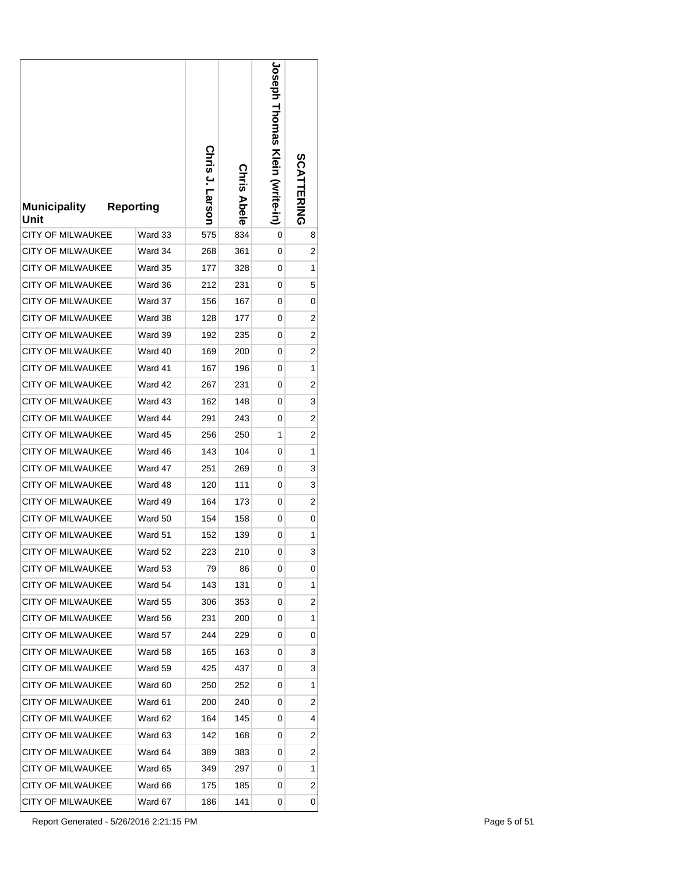| <b>Municipality</b><br>Unit | <b>Reporting</b> | Chris J. Larson | <b>Chris Abele</b> | <b>Joseph Homas Klein (write-in)</b> | <b>SCATTERING</b> |
|-----------------------------|------------------|-----------------|--------------------|--------------------------------------|-------------------|
| <b>CITY OF MILWAUKEE</b>    | Ward 33          | 575             | 834                | 0                                    | 8                 |
| CITY OF MILWAUKEE           | Ward 34          | 268             | 361                | 0                                    | 2                 |
| <b>CITY OF MILWAUKEE</b>    | Ward 35          | 177             | 328                | 0                                    | 1                 |
| <b>CITY OF MILWAUKEE</b>    | Ward 36          | 212             | 231                | 0                                    | 5                 |
| <b>CITY OF MILWAUKEE</b>    | Ward 37          | 156             | 167                | 0                                    | 0                 |
| <b>CITY OF MILWAUKEE</b>    | Ward 38          | 128             | 177                | 0                                    | 2                 |
| <b>CITY OF MILWAUKEE</b>    | Ward 39          | 192             | 235                | 0                                    | 2                 |
| <b>CITY OF MILWAUKEE</b>    | Ward 40          | 169             | 200                | 0                                    | 2                 |
| <b>CITY OF MILWAUKEE</b>    | Ward 41          | 167             | 196                | 0                                    | 1                 |
| CITY OF MILWAUKEE           | Ward 42          | 267             | 231                | 0                                    | 2                 |
| <b>CITY OF MILWAUKEE</b>    | Ward 43          | 162             | 148                | 0                                    | 3                 |
| <b>CITY OF MILWAUKEE</b>    | Ward 44          | 291             | 243                | 0                                    | 2                 |
| <b>CITY OF MILWAUKEE</b>    | Ward 45          | 256             | 250                | 1                                    | 2                 |
| <b>CITY OF MILWAUKEE</b>    | Ward 46          | 143             | 104                | 0                                    | 1                 |
| <b>CITY OF MILWAUKEE</b>    | Ward 47          | 251             | 269                | 0                                    | 3                 |
| <b>CITY OF MILWAUKEE</b>    | Ward 48          | 120             | 111                | 0                                    | 3                 |
| <b>CITY OF MILWAUKEE</b>    | Ward 49          | 164             | 173                | 0                                    | 2                 |
| <b>CITY OF MILWAUKEE</b>    | Ward 50          | 154             | 158                | 0                                    | 0                 |
| CITY OF MILWAUKEE           | Ward 51          | 152             | 139                | 0                                    | 1                 |
| <b>CITY OF MILWAUKEE</b>    | Ward 52          | 223             | 210                | 0                                    | 3                 |
| CITY OF MILWAUKEE           | Ward 53          | 79              | 86                 | 0                                    | 0                 |
| CITY OF MILWAUKEE           | Ward 54          | 143             | 131                | 0                                    | 1                 |
| CITY OF MILWAUKEE           | Ward 55          | 306             | 353                | 0                                    | 2                 |
| <b>CITY OF MILWAUKEE</b>    | Ward 56          | 231             | 200                | 0                                    | 1                 |
| <b>CITY OF MILWAUKEE</b>    | Ward 57          | 244             | 229                | 0                                    | 0                 |
| CITY OF MILWAUKEE           | Ward 58          | 165             | 163                | 0                                    | 3                 |
| CITY OF MILWAUKEE           | Ward 59          | 425             | 437                | 0                                    | 3                 |
| CITY OF MILWAUKEE           | Ward 60          | 250             | 252                | 0                                    | 1                 |
| <b>CITY OF MILWAUKEE</b>    | Ward 61          | 200             | 240                | 0                                    | 2                 |
| CITY OF MILWAUKEE           | Ward 62          | 164             | 145                | 0                                    | 4                 |
| CITY OF MILWAUKEE           | Ward 63          | 142             | 168                | 0                                    | 2                 |
| CITY OF MILWAUKEE           | Ward 64          | 389             | 383                | 0                                    | 2                 |
| CITY OF MILWAUKEE           | Ward 65          | 349             | 297                | 0                                    | 1                 |
| CITY OF MILWAUKEE           | Ward 66          | 175             | 185                | 0                                    | 2                 |
| CITY OF MILWAUKEE           | Ward 67          | 186             | 141                | 0                                    | 0                 |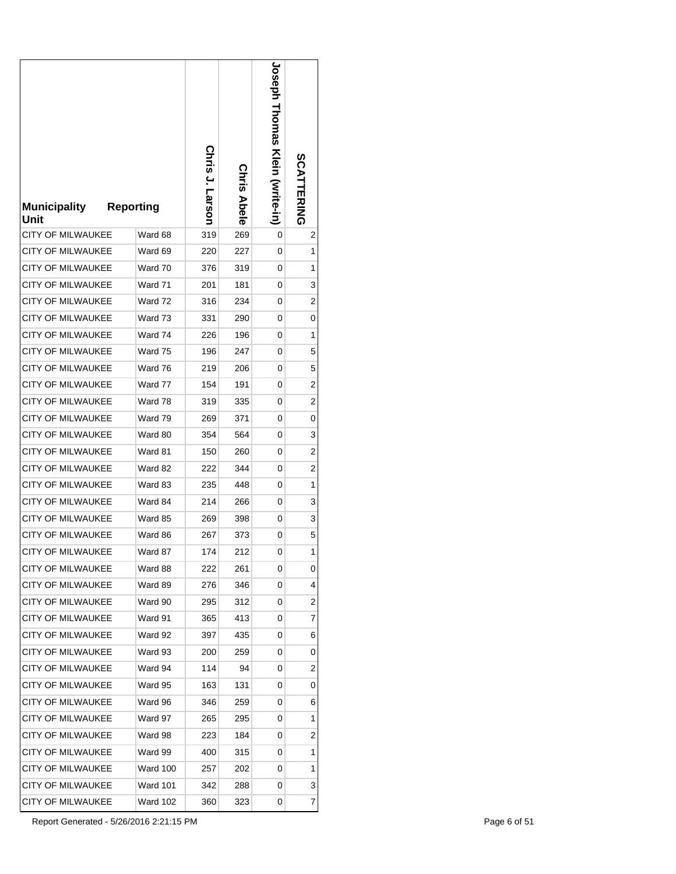| <b>Municipality</b><br>Unit | <b>Reporting</b> | Chris J. Larson | <b>Chris Abele</b> | <b>Joseph Homas Klein (write-in)</b> | <b>SCATTERING</b> |
|-----------------------------|------------------|-----------------|--------------------|--------------------------------------|-------------------|
| <b>CITY OF MILWAUKEE</b>    | Ward 68          | 319             | 269                | 0                                    | 2                 |
| CITY OF MILWAUKEE           | Ward 69          | 220             | 227                | 0                                    | 1                 |
| <b>CITY OF MILWAUKEE</b>    | Ward 70          | 376             | 319                | 0                                    | 1                 |
| <b>CITY OF MILWAUKEE</b>    | Ward 71          | 201             | 181                | 0                                    | 3                 |
| <b>CITY OF MILWAUKEE</b>    | Ward 72          | 316             | 234                | 0                                    | 2                 |
| <b>CITY OF MILWAUKEE</b>    | Ward 73          | 331             | 290                | 0                                    | 0                 |
| <b>CITY OF MILWAUKEE</b>    | Ward 74          | 226             | 196                | 0                                    | 1                 |
| <b>CITY OF MILWAUKEE</b>    | Ward 75          | 196             | 247                | 0                                    | 5                 |
| <b>CITY OF MILWAUKEE</b>    | Ward 76          | 219             | 206                | 0                                    | 5                 |
| CITY OF MILWAUKEE           | Ward 77          | 154             | 191                | 0                                    | 2                 |
| <b>CITY OF MILWAUKEE</b>    | Ward 78          | 319             | 335                | 0                                    | 2                 |
| <b>CITY OF MILWAUKEE</b>    | Ward 79          | 269             | 371                | 0                                    | 0                 |
| <b>CITY OF MILWAUKEE</b>    | Ward 80          | 354             | 564                | 0                                    | 3                 |
| <b>CITY OF MILWAUKEE</b>    | Ward 81          | 150             | 260                | 0                                    | 2                 |
| <b>CITY OF MILWAUKEE</b>    | Ward 82          | 222             | 344                | 0                                    | 2                 |
| <b>CITY OF MILWAUKEE</b>    | Ward 83          | 235             | 448                | 0                                    | 1                 |
| <b>CITY OF MILWAUKEE</b>    | Ward 84          | 214             | 266                | 0                                    | 3                 |
| <b>CITY OF MILWAUKEE</b>    | Ward 85          | 269             | 398                | 0                                    | 3                 |
| CITY OF MILWAUKEE           | Ward 86          | 267             | 373                | 0                                    | 5                 |
| <b>CITY OF MILWAUKEE</b>    | Ward 87          | 174             | 212                | 0                                    | 1                 |
| CITY OF MILWAUKEE           | Ward 88          | 222             | 261                | 0                                    | 0                 |
| CITY OF MILWAUKEE           | Ward 89          | 276             | 346                | 0                                    | 4                 |
| CITY OF MILWAUKEE           | Ward 90          | 295             | 312                | 0                                    | 2                 |
| CITY OF MILWAUKEE           | Ward 91          | 365             | 413                | 0                                    | 7                 |
| <b>CITY OF MILWAUKEE</b>    | Ward 92          | 397             | 435                | 0                                    | 6                 |
| CITY OF MILWAUKEE           | Ward 93          | 200             | 259                | 0                                    | 0                 |
| CITY OF MILWAUKEE           | Ward 94          | 114             | 94                 | 0                                    | 2                 |
| CITY OF MILWAUKEE           | Ward 95          | 163             | 131                | 0                                    | 0                 |
| CITY OF MILWAUKEE           | Ward 96          | 346             | 259                | 0                                    | 6                 |
| CITY OF MILWAUKEE           | Ward 97          | 265             | 295                | 0                                    | 1                 |
| CITY OF MILWAUKEE           | Ward 98          | 223             | 184                | 0                                    | 2                 |
| CITY OF MILWAUKEE           | Ward 99          | 400             | 315                | 0                                    | 1                 |
| CITY OF MILWAUKEE           | Ward 100         | 257             | 202                | 0                                    | 1                 |
| CITY OF MILWAUKEE           | Ward 101         | 342             | 288                | 0                                    | 3                 |
| CITY OF MILWAUKEE           | Ward 102         | 360             | 323                | 0                                    | 7                 |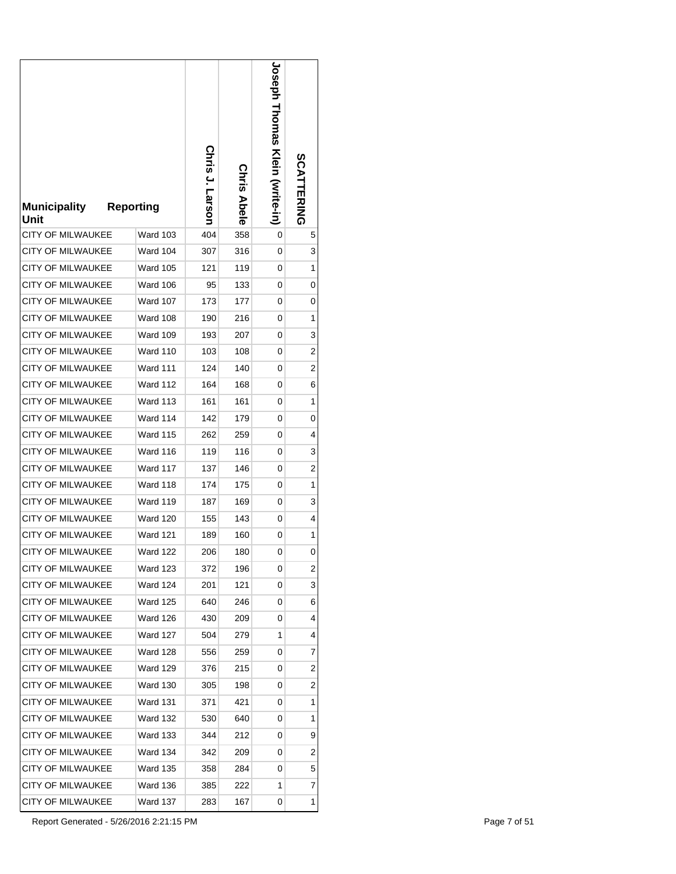| <b>Municipality</b><br>Unit | <b>Reporting</b> | Chris J. Larson | <b>Chris Abele</b> | <b>Joseph Homas Klein (write-in)</b> | <b>SCATTERING</b> |
|-----------------------------|------------------|-----------------|--------------------|--------------------------------------|-------------------|
| <b>CITY OF MILWAUKEE</b>    | <b>Ward 103</b>  | 404             | 358                | 0                                    | 5                 |
| <b>CITY OF MILWAUKEE</b>    | <b>Ward 104</b>  | 307             | 316                | 0                                    | 3                 |
| <b>CITY OF MILWAUKEE</b>    | <b>Ward 105</b>  | 121             | 119                | 0                                    | 1                 |
| <b>CITY OF MILWAUKEE</b>    | Ward 106         | 95              | 133                | 0                                    | 0                 |
| <b>CITY OF MILWAUKEE</b>    | <b>Ward 107</b>  | 173             | 177                | 0                                    | 0                 |
| <b>CITY OF MILWAUKEE</b>    | <b>Ward 108</b>  | 190             | 216                | 0                                    | 1                 |
| <b>CITY OF MILWAUKEE</b>    | Ward 109         | 193             | 207                | 0                                    | 3                 |
| <b>CITY OF MILWAUKEE</b>    | <b>Ward 110</b>  | 103             | 108                | 0                                    | 2                 |
| <b>CITY OF MILWAUKEE</b>    | <b>Ward 111</b>  | 124             | 140                | 0                                    | 2                 |
| CITY OF MILWAUKEE           | <b>Ward 112</b>  | 164             | 168                | 0                                    | 6                 |
| <b>CITY OF MILWAUKEE</b>    | <b>Ward 113</b>  | 161             | 161                | 0                                    | 1                 |
| <b>CITY OF MILWAUKEE</b>    | Ward 114         | 142             | 179                | 0                                    | 0                 |
| <b>CITY OF MILWAUKEE</b>    | <b>Ward 115</b>  | 262             | 259                | 0                                    | 4                 |
| <b>CITY OF MILWAUKEE</b>    | <b>Ward 116</b>  | 119             | 116                | 0                                    | 3                 |
| <b>CITY OF MILWAUKEE</b>    | <b>Ward 117</b>  | 137             | 146                | 0                                    | 2                 |
| <b>CITY OF MILWAUKEE</b>    | <b>Ward 118</b>  | 174             | 175                | 0                                    | 1                 |
| <b>CITY OF MILWAUKEE</b>    | <b>Ward 119</b>  | 187             | 169                | 0                                    | 3                 |
| <b>CITY OF MILWAUKEE</b>    | <b>Ward 120</b>  | 155             | 143                | 0                                    | 4                 |
| CITY OF MILWAUKEE           | <b>Ward 121</b>  | 189             | 160                | 0                                    | 1                 |
| <b>CITY OF MILWAUKEE</b>    | Ward 122         | 206             | 180                | 0                                    | 0                 |
| CITY OF MILWAUKEE           | Ward 123         | 372             | 196                | 0                                    | 2                 |
| CITY OF MILWAUKEE           | <b>Ward 124</b>  | 201             | 121                | 0                                    | 3                 |
| CITY OF MILWAUKEE           | <b>Ward 125</b>  | 640             | 246                | 0                                    | 6                 |
| <b>CITY OF MILWAUKEE</b>    | Ward 126         | 430             | 209                | 0                                    | 4                 |
| <b>CITY OF MILWAUKEE</b>    | <b>Ward 127</b>  | 504             | 279                | 1                                    | 4                 |
| CITY OF MILWAUKEE           | <b>Ward 128</b>  | 556             | 259                | 0                                    | 7                 |
| CITY OF MILWAUKEE           | <b>Ward 129</b>  | 376             | 215                | 0                                    | 2                 |
| CITY OF MILWAUKEE           | <b>Ward 130</b>  | 305             | 198                | 0                                    | 2                 |
| <b>CITY OF MILWAUKEE</b>    | <b>Ward 131</b>  | 371             | 421                | 0                                    | 1                 |
| CITY OF MILWAUKEE           | <b>Ward 132</b>  | 530             | 640                | 0                                    | 1                 |
| CITY OF MILWAUKEE           | Ward 133         | 344             | 212                | 0                                    | 9                 |
| CITY OF MILWAUKEE           | Ward 134         | 342             | 209                | 0                                    | 2                 |
| CITY OF MILWAUKEE           | Ward 135         | 358             | 284                | 0                                    | 5                 |
| CITY OF MILWAUKEE           | Ward 136         | 385             | 222                | 1                                    | 7                 |
| CITY OF MILWAUKEE           | Ward 137         | 283             | 167                | 0                                    | 1                 |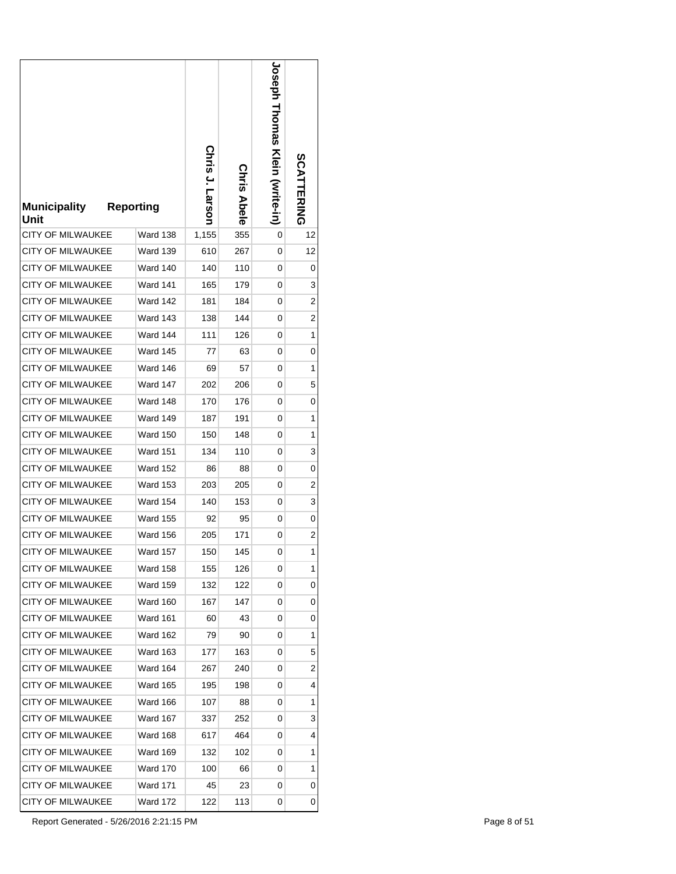| <b>Municipality</b><br>Unit | <b>Reporting</b> | Chris J. Larson | Chris Abele | <b>Joseph Homas Kein (write-in)</b> | <b>SCATTERING</b> |
|-----------------------------|------------------|-----------------|-------------|-------------------------------------|-------------------|
| <b>CITY OF MILWAUKEE</b>    | <b>Ward 138</b>  | 1,155           | 355         | 0                                   | 12                |
| CITY OF MILWAUKEE           | <b>Ward 139</b>  | 610             | 267         | 0                                   | 12                |
| <b>CITY OF MILWAUKEE</b>    | <b>Ward 140</b>  | 140             | 110         | 0                                   | 0                 |
| <b>CITY OF MILWAUKEE</b>    | Ward 141         | 165             | 179         | 0                                   | 3                 |
| <b>CITY OF MILWAUKEE</b>    | Ward 142         | 181             | 184         | 0                                   | 2                 |
| <b>CITY OF MILWAUKEE</b>    | <b>Ward 143</b>  | 138             | 144         | 0                                   | 2                 |
| <b>CITY OF MILWAUKEE</b>    | Ward 144         | 111             | 126         | 0                                   | 1                 |
| <b>CITY OF MILWAUKEE</b>    | <b>Ward 145</b>  | 77              | 63          | 0                                   | 0                 |
| <b>CITY OF MILWAUKEE</b>    | Ward 146         | 69              | 57          | 0                                   | 1                 |
| CITY OF MILWAUKEE           | <b>Ward 147</b>  | 202             | 206         | 0                                   | 5                 |
| <b>CITY OF MILWAUKEE</b>    | Ward 148         | 170             | 176         | 0                                   | 0                 |
| <b>CITY OF MILWAUKEE</b>    | <b>Ward 149</b>  | 187             | 191         | 0                                   | 1                 |
| <b>CITY OF MILWAUKEE</b>    | <b>Ward 150</b>  | 150             | 148         | 0                                   | 1                 |
| <b>CITY OF MILWAUKEE</b>    | <b>Ward 151</b>  | 134             | 110         | 0                                   | 3                 |
| <b>CITY OF MILWAUKEE</b>    | <b>Ward 152</b>  | 86              | 88          | 0                                   | 0                 |
| <b>CITY OF MILWAUKEE</b>    | <b>Ward 153</b>  | 203             | 205         | 0                                   | 2                 |
| <b>CITY OF MILWAUKEE</b>    | <b>Ward 154</b>  | 140             | 153         | 0                                   | 3                 |
| <b>CITY OF MILWAUKEE</b>    | <b>Ward 155</b>  | 92              | 95          | 0                                   | 0                 |
| CITY OF MILWAUKEE           | <b>Ward 156</b>  | 205             | 171         | 0                                   | 2                 |
| <b>CITY OF MILWAUKEE</b>    | Ward 157         | 150             | 145         | 0                                   | 1                 |
| CITY OF MILWAUKEE           | <b>Ward 158</b>  | 155             | 126         | 0                                   | 1                 |
| CITY OF MILWAUKEE           | <b>Ward 159</b>  | 132             | 122         | 0                                   | 0                 |
| CITY OF MILWAUKEE           | Ward 160         | 167             | 147         | 0                                   | 0                 |
| CITY OF MILWAUKEE           | <b>Ward 161</b>  | 60              | 43          | 0                                   | 0                 |
| <b>CITY OF MILWAUKEE</b>    | <b>Ward 162</b>  | 79              | 90          | 0                                   | 1                 |
| CITY OF MILWAUKEE           | <b>Ward 163</b>  | 177             | 163         | 0                                   | 5                 |
| CITY OF MILWAUKEE           | Ward 164         | 267             | 240         | 0                                   | 2                 |
| CITY OF MILWAUKEE           | <b>Ward 165</b>  | 195             | 198         | 0                                   | 4                 |
| CITY OF MILWAUKEE           | Ward 166         | 107             | 88          | 0                                   | 1                 |
| <b>CITY OF MILWAUKEE</b>    | <b>Ward 167</b>  | 337             | 252         | 0                                   | 3                 |
| CITY OF MILWAUKEE           | <b>Ward 168</b>  | 617             | 464         | 0                                   | 4                 |
| CITY OF MILWAUKEE           | Ward 169         | 132             | 102         | 0                                   | 1                 |
| CITY OF MILWAUKEE           | <b>Ward 170</b>  | 100             | 66          | 0                                   | 1                 |
| CITY OF MILWAUKEE           | <b>Ward 171</b>  | 45              | 23          | 0                                   | 0                 |
| CITY OF MILWAUKEE           | <b>Ward 172</b>  | 122             | 113         | 0                                   | 0                 |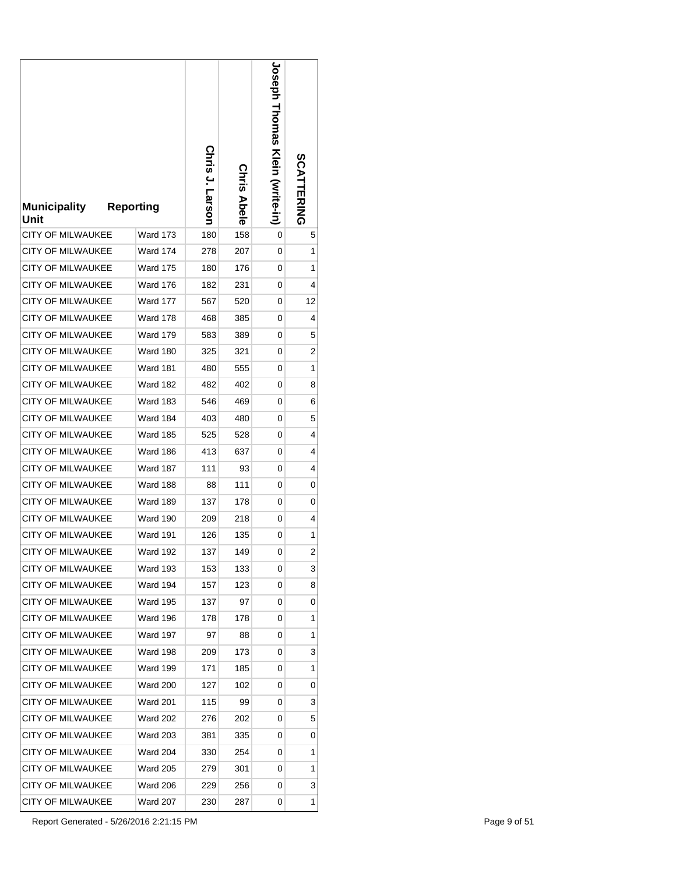| <b>Municipality</b><br>Unit | <b>Reporting</b> | Chris J. Larson | <b>Chris Abele</b> | <b>Joseph Homas Klein (write-in)</b> | <b>SCATTERING</b> |
|-----------------------------|------------------|-----------------|--------------------|--------------------------------------|-------------------|
| <b>CITY OF MILWAUKEE</b>    | <b>Ward 173</b>  | 180             | 158                | 0                                    | 5                 |
| <b>CITY OF MILWAUKEE</b>    | <b>Ward 174</b>  | 278             | 207                | 0                                    | 1                 |
| <b>CITY OF MILWAUKEE</b>    | <b>Ward 175</b>  | 180             | 176                | 0                                    | 1                 |
| <b>CITY OF MILWAUKEE</b>    | <b>Ward 176</b>  | 182             | 231                | 0                                    | 4                 |
| <b>CITY OF MILWAUKEE</b>    | <b>Ward 177</b>  | 567             | 520                | 0                                    | 12                |
| <b>CITY OF MILWAUKEE</b>    | <b>Ward 178</b>  | 468             | 385                | 0                                    | 4                 |
| <b>CITY OF MILWAUKEE</b>    | <b>Ward 179</b>  | 583             | 389                | 0                                    | 5                 |
| <b>CITY OF MILWAUKEE</b>    | <b>Ward 180</b>  | 325             | 321                | 0                                    | 2                 |
| <b>CITY OF MILWAUKEE</b>    | <b>Ward 181</b>  | 480             | 555                | 0                                    | 1                 |
| CITY OF MILWAUKEE           | Ward 182         | 482             | 402                | 0                                    | 8                 |
| <b>CITY OF MILWAUKEE</b>    | <b>Ward 183</b>  | 546             | 469                | 0                                    | 6                 |
| <b>CITY OF MILWAUKEE</b>    | Ward 184         | 403             | 480                | 0                                    | 5                 |
| <b>CITY OF MILWAUKEE</b>    | <b>Ward 185</b>  | 525             | 528                | 0                                    | 4                 |
| <b>CITY OF MILWAUKEE</b>    | <b>Ward 186</b>  | 413             | 637                | 0                                    | 4                 |
| <b>CITY OF MILWAUKEE</b>    | <b>Ward 187</b>  | 111             | 93                 | 0                                    | 4                 |
| <b>CITY OF MILWAUKEE</b>    | <b>Ward 188</b>  | 88              | 111                | 0                                    | 0                 |
| <b>CITY OF MILWAUKEE</b>    | <b>Ward 189</b>  | 137             | 178                | 0                                    | 0                 |
| <b>CITY OF MILWAUKEE</b>    | <b>Ward 190</b>  | 209             | 218                | 0                                    | 4                 |
| CITY OF MILWAUKEE           | Ward 191         | 126             | 135                | 0                                    | 1                 |
| <b>CITY OF MILWAUKEE</b>    | Ward 192         | 137             | 149                | 0                                    | $\overline{2}$    |
| CITY OF MILWAUKEE           | <b>Ward 193</b>  | 153             | 133                | 0                                    | 3                 |
| <b>CITY OF MILWAUKEE</b>    | <b>Ward 194</b>  | 157             | 123                | 0                                    | 8                 |
| CITY OF MILWAUKEE           | <b>Ward 195</b>  | 137             | 97                 | 0                                    | 0                 |
| CITY OF MILWAUKEE           | Ward 196         | 178             | 178                | 0                                    | 1                 |
| CITY OF MILWAUKEE           | <b>Ward 197</b>  | 97              | 88                 | 0                                    | 1                 |
| CITY OF MILWAUKEE           | Ward 198         | 209             | 173                | 0                                    | 3                 |
| <b>CITY OF MILWAUKEE</b>    | Ward 199         | 171             | 185                | 0                                    | 1                 |
| CITY OF MILWAUKEE           | <b>Ward 200</b>  | 127             | 102                | 0                                    | 0                 |
| CITY OF MILWAUKEE           | <b>Ward 201</b>  | 115             | 99                 | 0                                    | 3                 |
| CITY OF MILWAUKEE           | <b>Ward 202</b>  | 276             | 202                | 0                                    | 5                 |
| CITY OF MILWAUKEE           | <b>Ward 203</b>  | 381             | 335                | 0                                    | 0                 |
| CITY OF MILWAUKEE           | <b>Ward 204</b>  | 330             | 254                | 0                                    | 1                 |
| CITY OF MILWAUKEE           | Ward 205         | 279             | 301                | 0                                    | 1                 |
| CITY OF MILWAUKEE           | Ward 206         | 229             | 256                | 0                                    | 3                 |
| CITY OF MILWAUKEE           | Ward 207         | 230             | 287                | 0                                    | 1                 |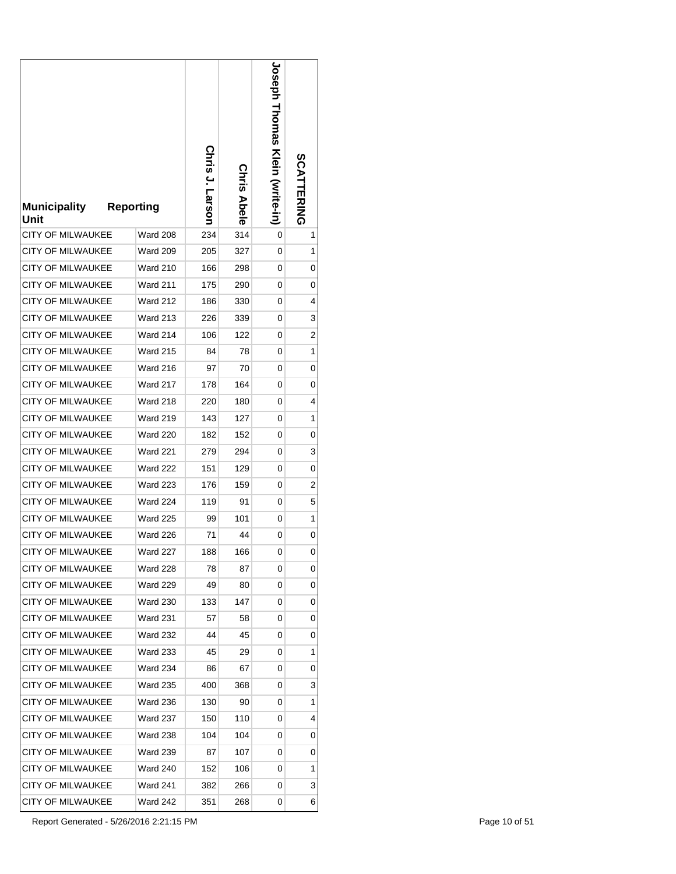| <b>Municipality</b><br>Unit | <b>Reporting</b> | Chris J. Larson | <b>Chris Abele</b> | <b>Joseph Homas Kein (write-in)</b> | <b>SCATTERING</b> |
|-----------------------------|------------------|-----------------|--------------------|-------------------------------------|-------------------|
| <b>CITY OF MILWAUKEE</b>    | <b>Ward 208</b>  | 234             | 314                | 0                                   | 1                 |
| <b>CITY OF MILWAUKEE</b>    | <b>Ward 209</b>  | 205             | 327                | 0                                   | 1                 |
| <b>CITY OF MILWAUKEE</b>    | <b>Ward 210</b>  | 166             | 298                | 0                                   | 0                 |
| <b>CITY OF MILWAUKEE</b>    | Ward 211         | 175             | 290                | 0                                   | 0                 |
| <b>CITY OF MILWAUKEE</b>    | <b>Ward 212</b>  | 186             | 330                | 0                                   | 4                 |
| <b>CITY OF MILWAUKEE</b>    | <b>Ward 213</b>  | 226             | 339                | 0                                   | 3                 |
| <b>CITY OF MILWAUKEE</b>    | <b>Ward 214</b>  | 106             | 122                | 0                                   | 2                 |
| <b>CITY OF MILWAUKEE</b>    | <b>Ward 215</b>  | 84              | 78                 | 0                                   | 1                 |
| <b>CITY OF MILWAUKEE</b>    | <b>Ward 216</b>  | 97              | 70                 | 0                                   | 0                 |
| CITY OF MILWAUKEE           | <b>Ward 217</b>  | 178             | 164                | 0                                   | 0                 |
| <b>CITY OF MILWAUKEE</b>    | <b>Ward 218</b>  | 220             | 180                | 0                                   | 4                 |
| <b>CITY OF MILWAUKEE</b>    | <b>Ward 219</b>  | 143             | 127                | 0                                   | 1                 |
| <b>CITY OF MILWAUKEE</b>    | <b>Ward 220</b>  | 182             | 152                | 0                                   | 0                 |
| <b>CITY OF MILWAUKEE</b>    | <b>Ward 221</b>  | 279             | 294                | 0                                   | 3                 |
| <b>CITY OF MILWAUKEE</b>    | <b>Ward 222</b>  | 151             | 129                | 0                                   | 0                 |
| <b>CITY OF MILWAUKEE</b>    | <b>Ward 223</b>  | 176             | 159                | 0                                   | 2                 |
| <b>CITY OF MILWAUKEE</b>    | <b>Ward 224</b>  | 119             | 91                 | 0                                   | 5                 |
| <b>CITY OF MILWAUKEE</b>    | <b>Ward 225</b>  | 99              | 101                | 0                                   | 1                 |
| CITY OF MILWAUKEE           | <b>Ward 226</b>  | 71              | 44                 | 0                                   | 0                 |
| <b>CITY OF MILWAUKEE</b>    | Ward 227         | 188             | 166                | 0                                   | 0                 |
| CITY OF MILWAUKEE           | Ward 228         | 78              | 87                 | 0                                   | 0                 |
| CITY OF MILWAUKEE           | <b>Ward 229</b>  | 49              | 80                 | 0                                   | 0                 |
| CITY OF MILWAUKEE           | <b>Ward 230</b>  | 133             | 147                | 0                                   | 0                 |
| CITY OF MILWAUKEE           | <b>Ward 231</b>  | 57              | 58                 | 0                                   | 0                 |
| CITY OF MILWAUKEE           | <b>Ward 232</b>  | 44              | 45                 | 0                                   | 0                 |
| CITY OF MILWAUKEE           | <b>Ward 233</b>  | 45              | 29                 | 0                                   | 1                 |
| CITY OF MILWAUKEE           | <b>Ward 234</b>  | 86              | 67                 | 0                                   | 0                 |
| CITY OF MILWAUKEE           | <b>Ward 235</b>  | 400             | 368                | 0                                   | 3                 |
| CITY OF MILWAUKEE           | <b>Ward 236</b>  | 130             | 90                 | 0                                   | 1                 |
| CITY OF MILWAUKEE           | <b>Ward 237</b>  | 150             | 110                | 0                                   | 4                 |
| CITY OF MILWAUKEE           | Ward 238         | 104             | 104                | 0                                   | 0                 |
| CITY OF MILWAUKEE           | <b>Ward 239</b>  | 87              | 107                | 0                                   | 0                 |
| CITY OF MILWAUKEE           | Ward 240         | 152             | 106                | 0                                   | 1                 |
| CITY OF MILWAUKEE           | Ward 241         | 382             | 266                | 0                                   | 3                 |
| CITY OF MILWAUKEE           | Ward 242         | 351             | 268                | 0                                   | 6                 |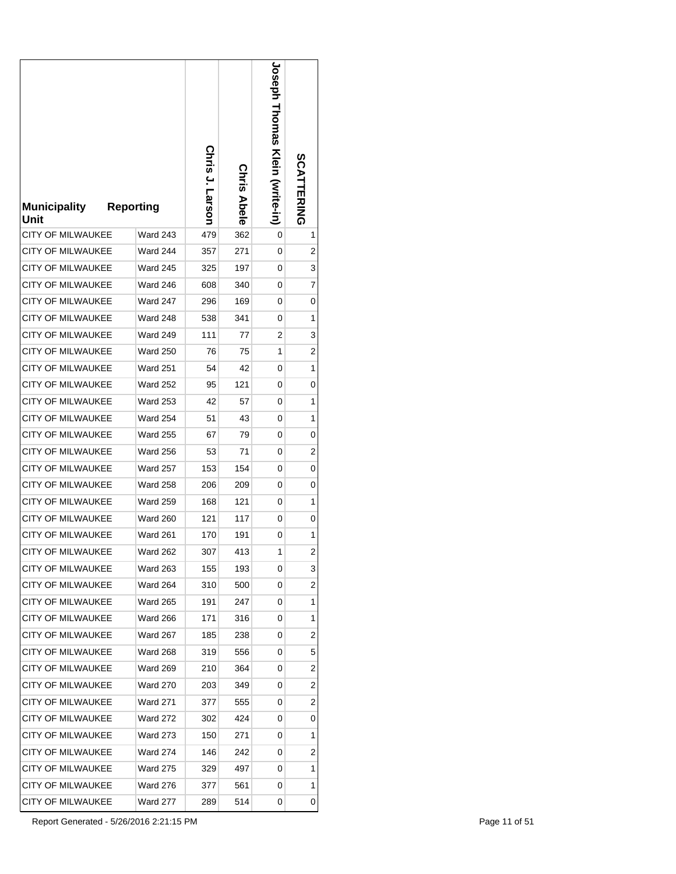| <b>Municipality</b><br>Unit | <b>Reporting</b> | Chris J. Larson | <b>Chris Abele</b> | <b>Joseph Homas Klein (write-in)</b> | <b>SCATTERING</b> |
|-----------------------------|------------------|-----------------|--------------------|--------------------------------------|-------------------|
| <b>CITY OF MILWAUKEE</b>    | <b>Ward 243</b>  | 479             | 362                | 0                                    | 1                 |
| <b>CITY OF MILWAUKEE</b>    | <b>Ward 244</b>  | 357             | 271                | 0                                    | 2                 |
| <b>CITY OF MILWAUKEE</b>    | <b>Ward 245</b>  | 325             | 197                | 0                                    | 3                 |
| <b>CITY OF MILWAUKEE</b>    | Ward 246         | 608             | 340                | 0                                    | 7                 |
| <b>CITY OF MILWAUKEE</b>    | <b>Ward 247</b>  | 296             | 169                | 0                                    | 0                 |
| CITY OF MILWAUKEE           | <b>Ward 248</b>  | 538             | 341                | 0                                    | 1                 |
| <b>CITY OF MILWAUKEE</b>    | <b>Ward 249</b>  | 111             | 77                 | 2                                    | 3                 |
| <b>CITY OF MILWAUKEE</b>    | <b>Ward 250</b>  | 76              | 75                 | 1                                    | 2                 |
| <b>CITY OF MILWAUKEE</b>    | <b>Ward 251</b>  | 54              | 42                 | 0                                    | 1                 |
| CITY OF MILWAUKEE           | <b>Ward 252</b>  | 95              | 121                | 0                                    | 0                 |
| <b>CITY OF MILWAUKEE</b>    | <b>Ward 253</b>  | 42              | 57                 | 0                                    | 1                 |
| <b>CITY OF MILWAUKEE</b>    | <b>Ward 254</b>  | 51              | 43                 | 0                                    | 1                 |
| <b>CITY OF MILWAUKEE</b>    | <b>Ward 255</b>  | 67              | 79                 | 0                                    | 0                 |
| <b>CITY OF MILWAUKEE</b>    | <b>Ward 256</b>  | 53              | 71                 | 0                                    | 2                 |
| <b>CITY OF MILWAUKEE</b>    | <b>Ward 257</b>  | 153             | 154                | 0                                    | 0                 |
| <b>CITY OF MILWAUKEE</b>    | <b>Ward 258</b>  | 206             | 209                | 0                                    | 0                 |
| <b>CITY OF MILWAUKEE</b>    | <b>Ward 259</b>  | 168             | 121                | 0                                    | 1                 |
| <b>CITY OF MILWAUKEE</b>    | <b>Ward 260</b>  | 121             | 117                | 0                                    | 0                 |
| CITY OF MILWAUKEE           | Ward 261         | 170             | 191                | 0                                    | 1                 |
| <b>CITY OF MILWAUKEE</b>    | <b>Ward 262</b>  | 307             | 413                | 1                                    | $\overline{2}$    |
| CITY OF MILWAUKEE           | <b>Ward 263</b>  | 155             | 193                | 0                                    | 3                 |
| CITY OF MILWAUKEE           | <b>Ward 264</b>  | 310             | 500                | 0                                    | 2                 |
| CITY OF MILWAUKEE           | <b>Ward 265</b>  | 191             | 247                | 0                                    | 1                 |
| <b>CITY OF MILWAUKEE</b>    | <b>Ward 266</b>  | 171             | 316                | 0                                    | 1                 |
| CITY OF MILWAUKEE           | <b>Ward 267</b>  | 185             | 238                | 0                                    | 2                 |
| CITY OF MILWAUKEE           | <b>Ward 268</b>  | 319             | 556                | 0                                    | 5                 |
| <b>CITY OF MILWAUKEE</b>    | <b>Ward 269</b>  | 210             | 364                | 0                                    | 2                 |
| <b>CITY OF MILWAUKEE</b>    | <b>Ward 270</b>  | 203             | 349                | 0                                    | 2                 |
| CITY OF MILWAUKEE           | Ward 271         | 377             | 555                | 0                                    | 2                 |
| CITY OF MILWAUKEE           | <b>Ward 272</b>  | 302             | 424                | 0                                    | 0                 |
| CITY OF MILWAUKEE           | Ward 273         | 150             | 271                | 0                                    | 1                 |
| CITY OF MILWAUKEE           | <b>Ward 274</b>  | 146             | 242                | 0                                    | 2                 |
| CITY OF MILWAUKEE           | Ward 275         | 329             | 497                | 0                                    | 1                 |
| CITY OF MILWAUKEE           | Ward 276         | 377             | 561                | 0                                    | 1                 |
| CITY OF MILWAUKEE           | Ward 277         | 289             | 514                | 0                                    | 0                 |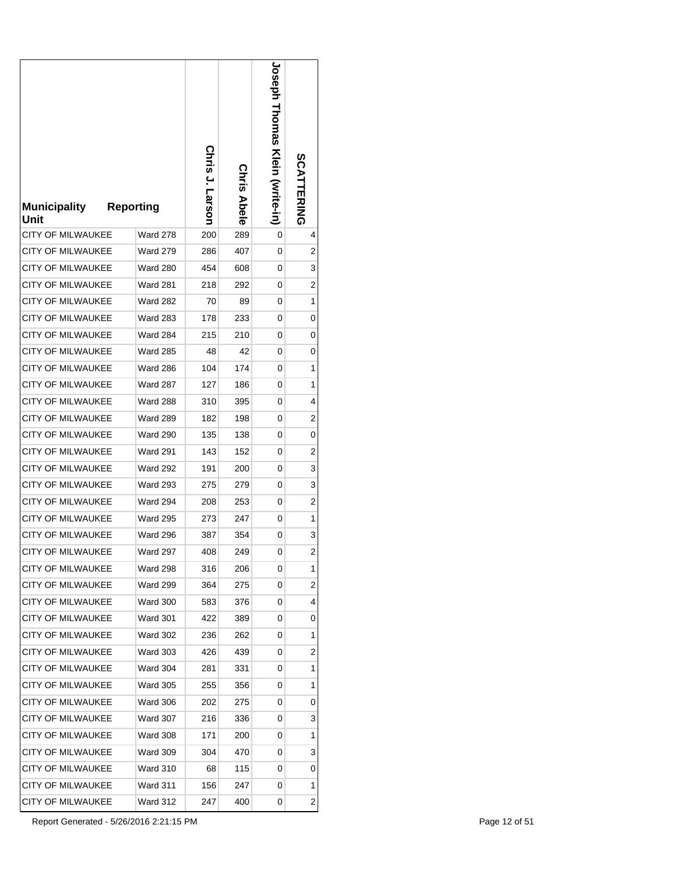| <b>Municipality</b><br>Unit | <b>Reporting</b> | Chris J. Larson | <b>Chris Abele</b> | <b>Joseph Hromas Klein (write-in)</b> | <b>SCATTERING</b> |
|-----------------------------|------------------|-----------------|--------------------|---------------------------------------|-------------------|
| <b>CITY OF MILWAUKEE</b>    | <b>Ward 278</b>  | 200             | 289                | 0                                     | 4                 |
| <b>CITY OF MILWAUKEE</b>    | <b>Ward 279</b>  | 286             | 407                | 0                                     | 2                 |
| <b>CITY OF MILWAUKEE</b>    | <b>Ward 280</b>  | 454             | 608                | 0                                     | 3                 |
| <b>CITY OF MILWAUKEE</b>    | <b>Ward 281</b>  | 218             | 292                | 0                                     | 2                 |
| <b>CITY OF MILWAUKEE</b>    | <b>Ward 282</b>  | 70              | 89                 | 0                                     | 1                 |
| <b>CITY OF MILWAUKEE</b>    | <b>Ward 283</b>  | 178             | 233                | 0                                     | 0                 |
| <b>CITY OF MILWAUKEE</b>    | <b>Ward 284</b>  | 215             | 210                | 0                                     | 0                 |
| <b>CITY OF MILWAUKEE</b>    | <b>Ward 285</b>  | 48              | 42                 | 0                                     | 0                 |
| <b>CITY OF MILWAUKEE</b>    | <b>Ward 286</b>  | 104             | 174                | 0                                     | 1                 |
| CITY OF MILWAUKEE           | <b>Ward 287</b>  | 127             | 186                | 0                                     | 1                 |
| <b>CITY OF MILWAUKEE</b>    | <b>Ward 288</b>  | 310             | 395                | 0                                     | 4                 |
| <b>CITY OF MILWAUKEE</b>    | <b>Ward 289</b>  | 182             | 198                | 0                                     | 2                 |
| <b>CITY OF MILWAUKEE</b>    | <b>Ward 290</b>  | 135             | 138                | 0                                     | 0                 |
| <b>CITY OF MILWAUKEE</b>    | <b>Ward 291</b>  | 143             | 152                | 0                                     | 2                 |
| <b>CITY OF MILWAUKEE</b>    | <b>Ward 292</b>  | 191             | 200                | 0                                     | 3                 |
| <b>CITY OF MILWAUKEE</b>    | <b>Ward 293</b>  | 275             | 279                | 0                                     | 3                 |
| <b>CITY OF MILWAUKEE</b>    | <b>Ward 294</b>  | 208             | 253                | 0                                     | 2                 |
| <b>CITY OF MILWAUKEE</b>    | <b>Ward 295</b>  | 273             | 247                | 0                                     | 1                 |
| <b>CITY OF MILWAUKEE</b>    | Ward 296         | 387             | 354                | 0                                     | 3                 |
| <b>CITY OF MILWAUKEE</b>    | Ward 297         | 408             | 249                | 0                                     | $\overline{2}$    |
| CITY OF MILWAUKEE           | Ward 298         | 316             | 206                | 0                                     | 1                 |
| CITY OF MILWAUKEE           | <b>Ward 299</b>  | 364             | 275                | 0                                     | 2                 |
| CITY OF MILWAUKEE           | <b>Ward 300</b>  | 583             | 376                | 0                                     | 4                 |
| <b>CITY OF MILWAUKEE</b>    | <b>Ward 301</b>  | 422             | 389                | 0                                     | 0                 |
| <b>CITY OF MILWAUKEE</b>    | <b>Ward 302</b>  | 236             | 262                | 0                                     | 1                 |
| <b>CITY OF MILWAUKEE</b>    | <b>Ward 303</b>  | 426             | 439                | 0                                     | 2                 |
| <b>CITY OF MILWAUKEE</b>    | Ward 304         | 281             | 331                | 0                                     | 1                 |
| CITY OF MILWAUKEE           | <b>Ward 305</b>  | 255             | 356                | 0                                     | 1                 |
| CITY OF MILWAUKEE           | <b>Ward 306</b>  | 202             | 275                | 0                                     | 0                 |
| CITY OF MILWAUKEE           | <b>Ward 307</b>  | 216             | 336                | 0                                     | 3                 |
| CITY OF MILWAUKEE           | Ward 308         | 171             | 200                | 0                                     | 1                 |
| CITY OF MILWAUKEE           | <b>Ward 309</b>  | 304             | 470                | 0                                     | 3                 |
| CITY OF MILWAUKEE           | Ward 310         | 68              | 115                | 0                                     | 0                 |
| CITY OF MILWAUKEE           | Ward 311         | 156             | 247                | 0                                     | 1                 |
| CITY OF MILWAUKEE           | Ward 312         | 247             | 400                | 0                                     | 2                 |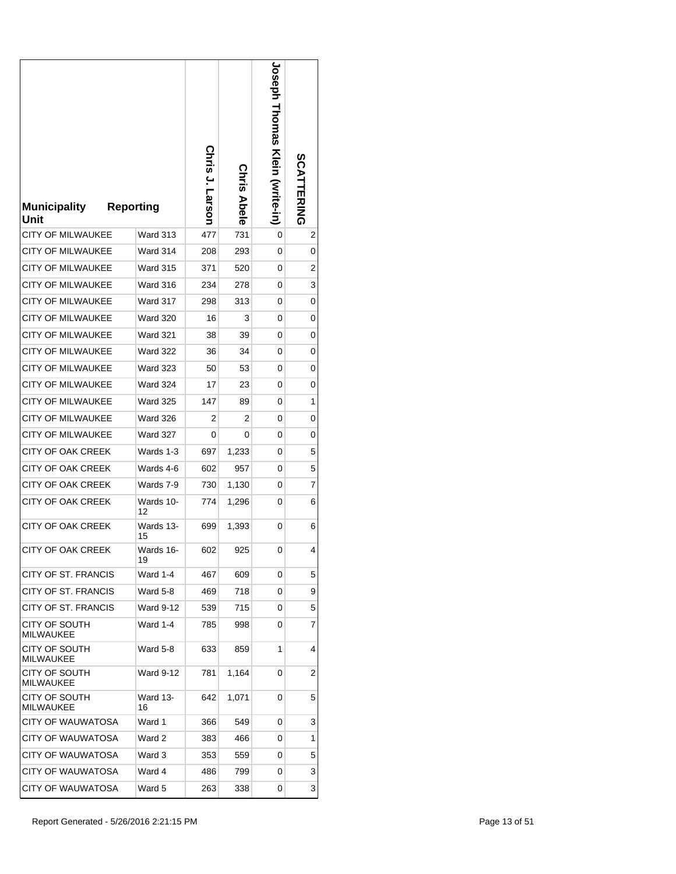| <b>Municipality</b><br>Unit       | <b>Reporting</b>      | Chris<br>J. Larson | <b>Chris Abele</b> | <b>Joseph Thomas Klein (write-in)</b> | <b>SCATTERING</b> |
|-----------------------------------|-----------------------|--------------------|--------------------|---------------------------------------|-------------------|
| <b>CITY OF MILWAUKEE</b>          | Ward 313              | 477                | 731                | 0                                     | 2                 |
| <b>CITY OF MILWAUKEE</b>          | Ward 314              | 208                | 293                | 0                                     | 0                 |
| <b>CITY OF MILWAUKEE</b>          | <b>Ward 315</b>       | 371                | 520                | 0                                     | 2                 |
| CITY OF MILWAUKEE                 | Ward 316              | 234                | 278                | 0                                     | 3                 |
| <b>CITY OF MILWAUKEE</b>          | <b>Ward 317</b>       | 298                | 313                | 0                                     | 0                 |
| <b>CITY OF MILWAUKEE</b>          | <b>Ward 320</b>       | 16                 | 3                  | 0                                     | 0                 |
| <b>CITY OF MILWAUKEE</b>          | <b>Ward 321</b>       | 38                 | 39                 | 0                                     | 0                 |
| <b>CITY OF MILWAUKEE</b>          | <b>Ward 322</b>       | 36                 | 34                 | 0                                     | 0                 |
| <b>CITY OF MILWAUKEE</b>          | <b>Ward 323</b>       | 50                 | 53                 | 0                                     | 0                 |
| <b>CITY OF MILWAUKEE</b>          | <b>Ward 324</b>       | 17                 | 23                 | 0                                     | 0                 |
| <b>CITY OF MILWAUKEE</b>          | <b>Ward 325</b>       | 147                | 89                 | 0                                     | 1                 |
| <b>CITY OF MILWAUKEE</b>          | <b>Ward 326</b>       | 2                  | 2                  | 0                                     | 0                 |
| <b>CITY OF MILWAUKEE</b>          | <b>Ward 327</b>       | 0                  | 0                  | 0                                     | 0                 |
| <b>CITY OF OAK CREEK</b>          | Wards 1-3             | 697                | 1,233              | 0                                     | 5                 |
| CITY OF OAK CREEK                 | Wards 4-6             | 602                | 957                | 0                                     | 5                 |
| CITY OF OAK CREEK                 | Wards 7-9             | 730                | 1,130              | 0                                     | 7                 |
| CITY OF OAK CREEK                 | Wards 10-<br>12       | 774                | 1,296              | 0                                     | 6                 |
| <b>CITY OF OAK CREEK</b>          | Wards 13-<br>15       | 699                | 1,393              | 0                                     | 6                 |
| <b>CITY OF OAK CREEK</b>          | Wards 16-<br>19       | 602                | 925                | 0                                     | 4                 |
| CITY OF ST. FRANCIS               | <b>Ward 1-4</b>       | 467                | 609                | 0                                     | 5                 |
| CITY OF ST. FRANCIS               | Ward 5-8              | 469                | 718                | 0                                     | 9                 |
| CITY OF ST. FRANCIS               | <b>Ward 9-12</b>      | 539                | 715                | 0                                     | 5                 |
| CITY OF SOUTH<br><b>MILWAUKEE</b> | Ward 1-4              | 785                | 998                | 0                                     | 7                 |
| CITY OF SOUTH<br><b>MILWAUKEE</b> | Ward 5-8              | 633                | 859                | 1                                     | 4                 |
| CITY OF SOUTH<br><b>MILWAUKEE</b> | Ward 9-12             | 781                | 1,164              | 0                                     | 2                 |
| CITY OF SOUTH<br><b>MILWAUKEE</b> | <b>Ward 13-</b><br>16 | 642                | 1,071              | 0                                     | 5                 |
| <b>CITY OF WAUWATOSA</b>          | Ward 1                | 366                | 549                | 0                                     | 3                 |
| CITY OF WAUWATOSA                 | Ward 2                | 383                | 466                | 0                                     | 1                 |
| CITY OF WAUWATOSA                 | Ward 3                | 353                | 559                | 0                                     | 5                 |
| CITY OF WAUWATOSA                 | Ward 4                | 486                | 799                | 0                                     | 3                 |
| CITY OF WAUWATOSA                 | Ward 5                | 263                | 338                | 0                                     | 3                 |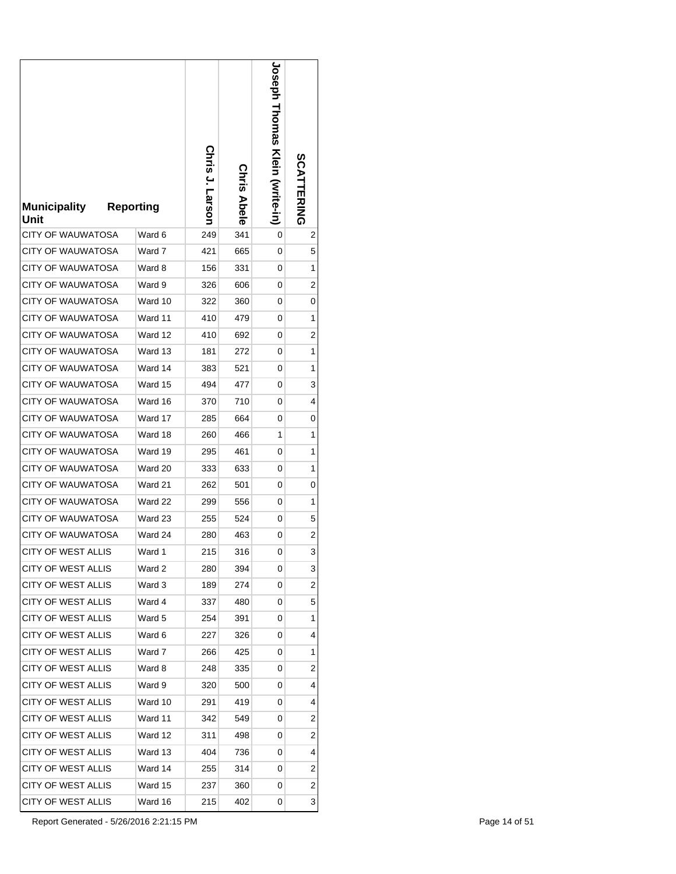| <b>Municipality</b><br>Unit              | <b>Reporting</b> | Chris J. Larson | Chris<br><b>Abele</b> | <b>Joseph Thomas</b><br><b>Klein (svrite-in)</b> | <b>SCATTERING</b> |
|------------------------------------------|------------------|-----------------|-----------------------|--------------------------------------------------|-------------------|
| CITY OF WAUWATOSA                        | Ward 6           | 249             | 341                   | 0                                                | 2                 |
| CITY OF WAUWATOSA                        | Ward 7           | 421             | 665                   | 0                                                | 5                 |
| CITY OF WAUWATOSA                        | Ward 8           | 156             | 331                   | 0                                                | 1                 |
| <b>CITY OF WAUWATOSA</b>                 | Ward 9           | 326             | 606                   | 0                                                | 2                 |
| <b>CITY OF WAUWATOSA</b>                 | Ward 10          | 322             | 360                   | 0                                                | 0                 |
| CITY OF WAUWATOSA                        | Ward 11          | 410             | 479                   | 0                                                | 1                 |
| <b>CITY OF WAUWATOSA</b>                 | Ward 12          | 410             | 692                   | 0                                                | 2                 |
| <b>CITY OF WAUWATOSA</b>                 | Ward 13          | 181             | 272                   | 0                                                | 1                 |
| CITY OF WAUWATOSA                        | Ward 14          | 383             | 521                   | 0                                                | 1                 |
| CITY OF WAUWATOSA                        | Ward 15          | 494             | 477                   | 0                                                | 3                 |
| CITY OF WAUWATOSA                        | Ward 16          | 370             | 710                   | 0                                                | 4                 |
| CITY OF WAUWATOSA                        | Ward 17          | 285             | 664                   | 0                                                | 0                 |
| CITY OF WAUWATOSA                        | Ward 18          | 260             | 466                   | 1                                                | 1                 |
| CITY OF WAUWATOSA                        | Ward 19          | 295             | 461                   | 0                                                | 1                 |
| <b>CITY OF WAUWATOSA</b>                 | Ward 20          | 333             | 633                   | 0                                                | 1                 |
| CITY OF WAUWATOSA                        | Ward 21          | 262             | 501                   | 0                                                | 0                 |
| CITY OF WAUWATOSA                        | Ward 22          | 299             | 556                   | 0                                                | 1                 |
| <b>CITY OF WAUWATOSA</b>                 | Ward 23          | 255             | 524                   | 0                                                | 5                 |
| <b>CITY OF WAUWATOSA</b>                 | Ward 24          | 280             | 463                   | 0                                                | 2                 |
| <b>CITY OF WEST ALLIS</b>                | Ward 1           | 215             | 316                   | 0                                                | 3                 |
| CITY OF WEST ALLIS                       | Ward 2           | 280             | 394                   | 0                                                | 3                 |
| CITY OF WEST ALLIS<br>CITY OF WEST ALLIS | Ward 3           | 189             | 274                   | 0                                                | 2                 |
|                                          | Ward 4           | 337             | 480                   | 0                                                | 5                 |
| CITY OF WEST ALLIS<br>CITY OF WEST ALLIS | Ward 5           | 254             | 391                   | 0                                                | 1                 |
| CITY OF WEST ALLIS                       | Ward 6<br>Ward 7 | 227             | 326<br>425            | 0<br>0                                           | 4<br>1            |
| CITY OF WEST ALLIS                       | Ward 8           | 266<br>248      | 335                   | 0                                                | 2                 |
| CITY OF WEST ALLIS                       | Ward 9           | 320             | 500                   | 0                                                | 4                 |
| CITY OF WEST ALLIS                       | Ward 10          | 291             | 419                   | 0                                                | 4                 |
| CITY OF WEST ALLIS                       | Ward 11          | 342             | 549                   | 0                                                | 2                 |
| CITY OF WEST ALLIS                       | Ward 12          | 311             | 498                   | 0                                                | 2                 |
| CITY OF WEST ALLIS                       | Ward 13          | 404             | 736                   | 0                                                | 4                 |
| CITY OF WEST ALLIS                       | Ward 14          | 255             | 314                   | 0                                                | 2                 |
| CITY OF WEST ALLIS                       | Ward 15          | 237             | 360                   | 0                                                | 2                 |
| CITY OF WEST ALLIS                       | Ward 16          | 215             | 402                   | 0                                                | 3                 |
|                                          |                  |                 |                       |                                                  |                   |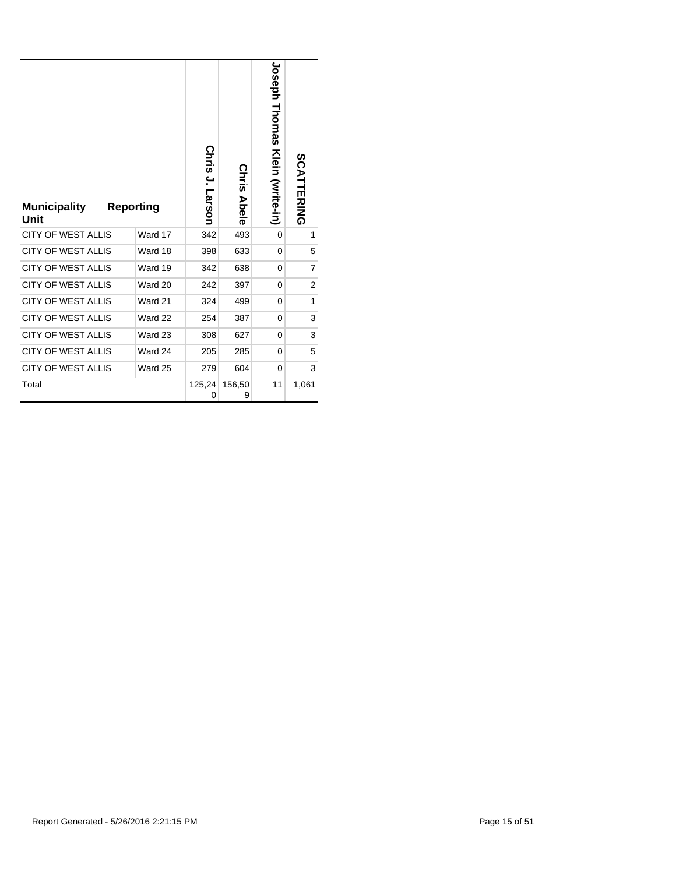| <b>Municipality</b><br>Unit | <b>Reporting</b> | Chris J.<br>Larson | <b>Chris Abele</b> | Joseph<br>Thomas<br>Klein (write-in) | <b>SCATTERING</b> |
|-----------------------------|------------------|--------------------|--------------------|--------------------------------------|-------------------|
| <b>CITY OF WEST ALLIS</b>   | Ward 17          | 342                | 493                | 0                                    | 1                 |
| <b>CITY OF WEST ALLIS</b>   | Ward 18          | 398                | 633                | 0                                    | 5                 |
| <b>CITY OF WEST ALLIS</b>   | Ward 19          | 342                | 638                | 0                                    | $\overline{7}$    |
| <b>CITY OF WEST ALLIS</b>   | Ward 20          | 242                | 397                | 0                                    | 2                 |
| <b>CITY OF WEST ALLIS</b>   | Ward 21          | 324                | 499                | $\Omega$                             | 1                 |
| <b>CITY OF WEST ALLIS</b>   | Ward 22          | 254                | 387                | 0                                    | 3                 |
| <b>CITY OF WEST ALLIS</b>   | Ward 23          | 308                | 627                | 0                                    | 3                 |
| <b>CITY OF WEST ALLIS</b>   | Ward 24          | 205                | 285                | 0                                    | 5                 |
| <b>CITY OF WEST ALLIS</b>   | Ward 25          | 279                | 604                | 0                                    | 3                 |
| Total                       |                  | 125,24<br>0        | 156,50<br>9        | 11                                   | 1,061             |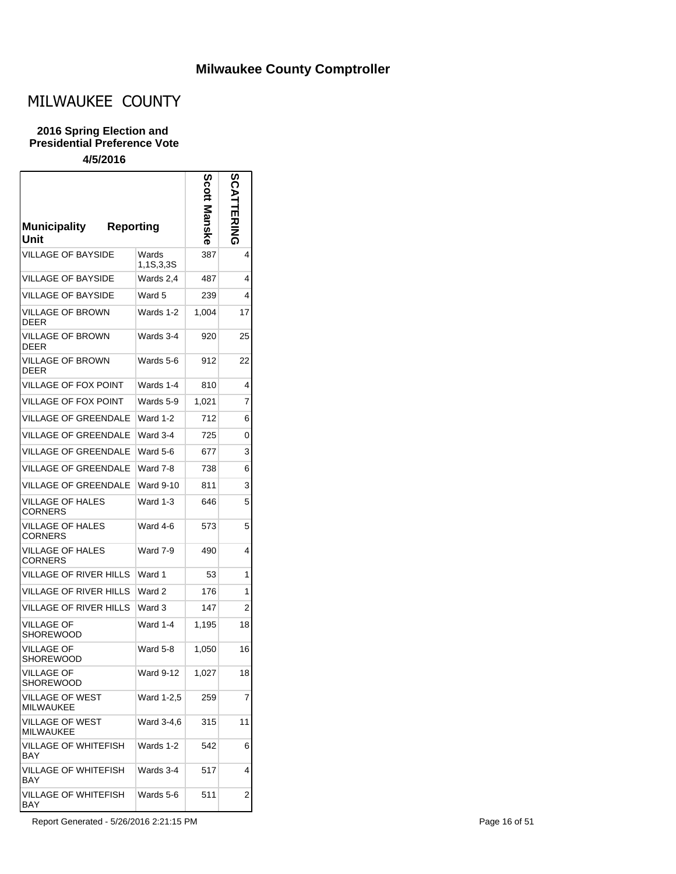## **Milwaukee County Comptroller**

 $\overline{\phantom{0}}$ 

# MILWAUKEE COUNTY

#### **2016 Spring Election and Presidential Preference Vote**

### **4/5/2016**

| <b>Municipality</b><br><b>Reporting</b><br>Unit |                    | Scott | ENING |
|-------------------------------------------------|--------------------|-------|-------|
| <b>VILLAGE OF BAYSIDE</b>                       | Wards<br>1,1S,3,3S | 387   | 4     |
| <b>VILLAGE OF BAYSIDE</b>                       | Wards 2,4          | 487   | 4     |
| <b>VILLAGE OF BAYSIDE</b>                       | Ward 5             | 239   | 4     |
| <b>VILLAGE OF BROWN</b><br><b>DEER</b>          | Wards 1-2          | 1,004 | 17    |
| <b>VILLAGE OF BROWN</b><br><b>DEER</b>          | Wards 3-4          | 920   | 25    |
| <b>VILLAGE OF BROWN</b><br><b>DEER</b>          | Wards 5-6          | 912   | 22    |
| VILLAGE OF FOX POINT                            | Wards 1-4          | 810   | 4     |
| <b>VILLAGE OF FOX POINT</b>                     | Wards 5-9          | 1.021 | 7     |
| <b>VILLAGE OF GREENDALE</b>                     | Ward 1-2           | 712   | 6     |
| <b>VILLAGE OF GREENDALE</b>                     | Ward 3-4           | 725   | 0     |
| <b>VILLAGE OF GREENDALE</b>                     | Ward 5-6           | 677   | 3     |
| <b>VILLAGE OF GREENDALE</b>                     | Ward 7-8           | 738   | 6     |
| VILLAGE OF GREENDALE                            | <b>Ward 9-10</b>   | 811   | 3     |
| VILLAGE OF HALES<br>CORNERS                     | Ward 1-3           | 646   | 5     |
| VILLAGE OF HALES<br><b>CORNERS</b>              | Ward 4-6           | 573   | 5     |
| VILLAGE OF HALES<br><b>CORNERS</b>              | Ward 7-9           | 490   | 4     |
| VILLAGE OF RIVER HILLS                          | Ward 1             | 53    | 1     |
| VILLAGE OF RIVER HILLS                          | Ward 2             | 176   | 1     |
| VILLAGE OF RIVER HILLS                          | Ward 3             | 147   | 2     |
| VILLAGE OF<br>SHOREWOOD                         | Ward 1-4           | 1,195 | 18    |
| <b>VILLAGE OF</b><br><b>SHOREWOOD</b>           | Ward 5-8           | 1,050 | 16    |
| VILLAGE OF<br><b>SHOREWOOD</b>                  | Ward 9-12          | 1,027 | 18    |
| <b>VILLAGE OF WEST</b><br><b>MILWAUKEE</b>      | Ward 1-2,5         | 259   | 7     |
| <b>VILLAGE OF WEST</b><br><b>MILWAUKEE</b>      | Ward 3-4,6         | 315   | 11    |
| <b>VILLAGE OF WHITEFISH</b><br>BAY              | Wards 1-2          | 542   | 6     |
| <b>VILLAGE OF WHITEFISH</b><br>BAY              | Wards 3-4          | 517   | 4     |
| VILLAGE OF WHITEFISH<br><b>BAY</b>              | Wards 5-6          | 511   | 2     |

Report Generated - 5/26/2016 2:21:15 PM Page 16 of 51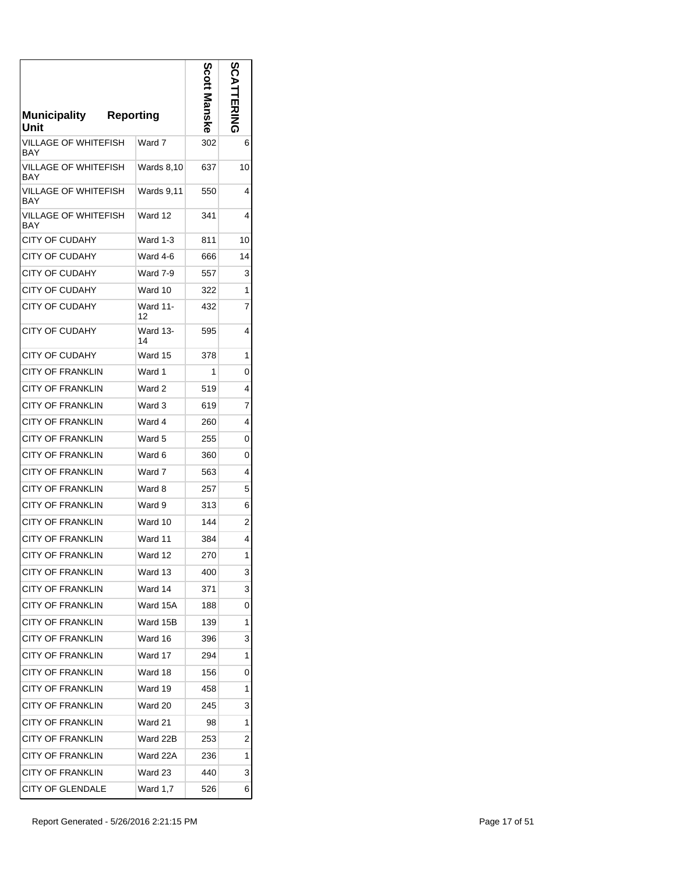| Municipality<br>Reporting<br>Unit  |                | <b>Scott Manske</b> | တိ<br>コロマニム    |
|------------------------------------|----------------|---------------------|----------------|
| VILLAGE OF WHITEFISH<br>BAY        | Ward 7         | 302                 | 6              |
| VILLAGE OF WHITEFISH<br>BAY        | Wards 8,10     | 637                 | 10             |
| VILLAGE OF WHITEFISH<br><b>BAY</b> | Wards 9,11     | 550                 | 4              |
| VILLAGE OF WHITEFISH<br>BAY        | Ward 12        | 341                 | 4              |
| <b>CITY OF CUDAHY</b>              | Ward 1-3       | 811                 | 10             |
| <b>CITY OF CUDAHY</b>              | Ward 4-6       | 666                 | 14             |
| <b>CITY OF CUDAHY</b>              | Ward 7-9       | 557                 | 3              |
| <b>CITY OF CUDAHY</b>              | Ward 10        | 322                 | 1              |
| <b>CITY OF CUDAHY</b>              | Ward 11-<br>12 | 432                 | 7              |
| <b>CITY OF CUDAHY</b>              | Ward 13-<br>14 | 595                 | 4              |
| <b>CITY OF CUDAHY</b>              | Ward 15        | 378                 | 1              |
| <b>CITY OF FRANKLIN</b>            | Ward 1         | 1                   | 0              |
| <b>CITY OF FRANKLIN</b>            | Ward 2         | 519                 | 4              |
| <b>CITY OF FRANKLIN</b>            | Ward 3         | 619                 | 7              |
| <b>CITY OF FRANKLIN</b>            | Ward 4         | 260                 | 4              |
| <b>CITY OF FRANKLIN</b>            | Ward 5         | 255                 | 0              |
| <b>CITY OF FRANKLIN</b>            | Ward 6         | 360                 | 0              |
| <b>CITY OF FRANKLIN</b>            | Ward 7         | 563                 | 4              |
| <b>CITY OF FRANKLIN</b>            | Ward 8         | 257                 | 5              |
| <b>CITY OF FRANKLIN</b>            | Ward 9         | 313                 | 6              |
| <b>CITY OF FRANKLIN</b>            | Ward 10        | 144                 | $\overline{c}$ |
| <b>CITY OF FRANKLIN</b>            | Ward 11        | 384                 | 4              |
| <b>CITY OF FRANKLIN</b>            | Ward 12        | 270                 | 1              |
| <b>CITY OF FRANKLIN</b>            | Ward 13        | 400                 | 3              |
| <b>CITY OF FRANKLIN</b>            | Ward 14        | 371                 | 3              |
| <b>CITY OF FRANKLIN</b>            | Ward 15A       | 188                 | 0              |
| <b>CITY OF FRANKLIN</b>            | Ward 15B       | 139                 | 1              |
| <b>CITY OF FRANKLIN</b>            | Ward 16        | 396                 | 3              |
| <b>CITY OF FRANKLIN</b>            | Ward 17        | 294                 | 1              |
| <b>CITY OF FRANKLIN</b>            | Ward 18        | 156                 | 0              |
| <b>CITY OF FRANKLIN</b>            | Ward 19        | 458                 | 1              |
| <b>CITY OF FRANKLIN</b>            | Ward 20        | 245                 | 3              |
| <b>CITY OF FRANKLIN</b>            | Ward 21        | 98                  | 1              |
| ICITY OF FRANKLIN                  | Ward 22B       | 253                 | 2              |
| <b>CITY OF FRANKLIN</b>            | Ward 22A       | 236                 | 1              |
| <b>CITY OF FRANKLIN</b>            | Ward 23        | 440                 | 3              |
| CITY OF GLENDALE                   | Ward 1,7       | 526                 | 6              |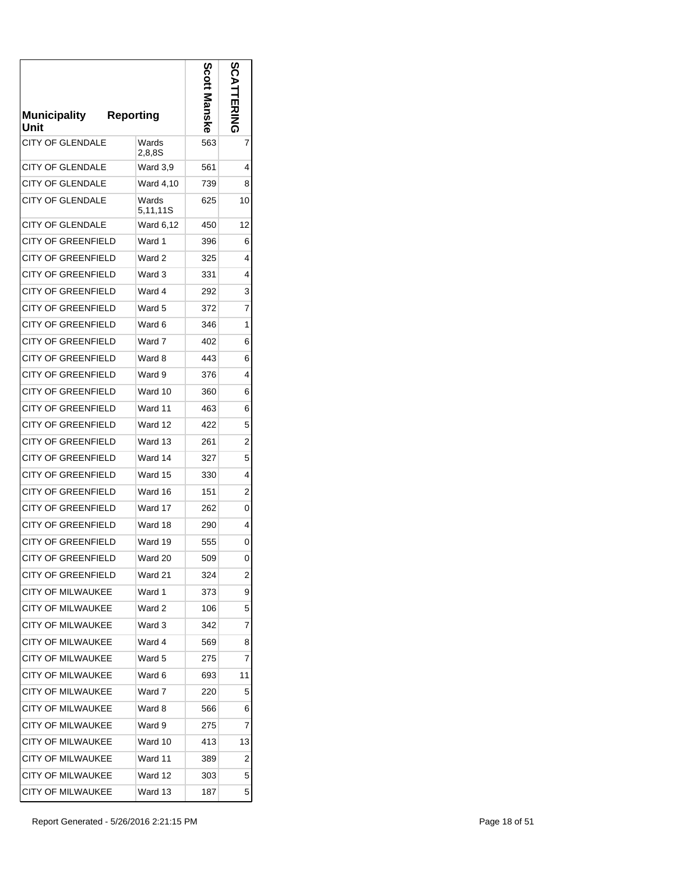| Municipality<br>Unit      | <b>Reporting</b>  | Scott Manske | ပ္က |
|---------------------------|-------------------|--------------|-----|
| CITY OF GLENDALE          | Wards<br>2,8,8S   | 563          | 7   |
| <b>CITY OF GLENDALE</b>   | Ward 3,9          | 561          | 4   |
| <b>CITY OF GLENDALE</b>   | Ward 4,10         | 739          | 8   |
| <b>CITY OF GLENDALE</b>   | Wards<br>5,11,11S | 625          | 10  |
| <b>CITY OF GLENDALE</b>   | Ward 6,12         | 450          | 12  |
| <b>CITY OF GREENFIELD</b> | Ward 1            | 396          | 6   |
| <b>CITY OF GREENFIELD</b> | Ward 2            | 325          | 4   |
| <b>CITY OF GREENFIELD</b> | Ward 3            | 331          | 4   |
| CITY OF GREENFIELD        | Ward 4            | 292          | 3   |
| <b>CITY OF GREENFIELD</b> | Ward 5            | 372          | 7   |
| <b>CITY OF GREENFIELD</b> | Ward 6            | 346          | 1   |
| <b>CITY OF GREENFIELD</b> | Ward 7            | 402          | 6   |
| CITY OF GREENFIELD        | Ward 8            | 443          | 6   |
| <b>CITY OF GREENFIELD</b> | Ward 9            | 376          | 4   |
| <b>CITY OF GREENFIELD</b> | Ward 10           | 360          | 6   |
| <b>CITY OF GREENFIELD</b> | Ward 11           | 463          | 6   |
| <b>CITY OF GREENFIELD</b> | Ward 12           | 422          | 5   |
| <b>CITY OF GREENFIELD</b> | Ward 13           | 261          | 2   |
| <b>CITY OF GREENFIELD</b> | Ward 14           | 327          | 5   |
| <b>CITY OF GREENFIELD</b> | Ward 15           | 330          | 4   |
| <b>CITY OF GREENFIELD</b> | Ward 16           | 151          | 2   |
| <b>CITY OF GREENFIELD</b> | Ward 17           | 262          | 0   |
| <b>CITY OF GREENFIELD</b> | Ward 18           | 290          | 4   |
| <b>CITY OF GREENFIELD</b> | Ward 19           | 555          | 0   |
| <b>CITY OF GREENFIELD</b> | Ward 20           | 509          | 0   |
| <b>CITY OF GREENFIELD</b> | Ward 21           | 324          | 2   |
| <b>CITY OF MILWAUKEE</b>  | Ward 1            | 373          | 9   |
| <b>CITY OF MILWAUKEE</b>  | Ward 2            | 106          | 5   |
| <b>CITY OF MILWAUKEE</b>  | Ward 3            | 342          | 7   |
| <b>CITY OF MILWAUKEE</b>  | Ward 4            | 569          | 8   |
| <b>CITY OF MILWAUKEE</b>  | Ward 5            | 275          | 7   |
| <b>CITY OF MILWAUKEE</b>  | Ward 6            | 693          | 11  |
| <b>CITY OF MILWAUKEE</b>  | Ward 7            | 220          | 5   |
| <b>CITY OF MILWAUKEE</b>  | Ward 8            | 566          | 6   |
| <b>CITY OF MILWAUKEE</b>  | Ward 9            | 275          | 7   |
| <b>CITY OF MILWAUKEE</b>  | Ward 10           | 413          | 13  |
| <b>CITY OF MILWAUKEE</b>  | Ward 11           | 389          | 2   |
| CITY OF MILWAUKEE         | Ward 12           | 303          | 5   |
| CITY OF MILWAUKEE         | Ward 13           | 187          | 5   |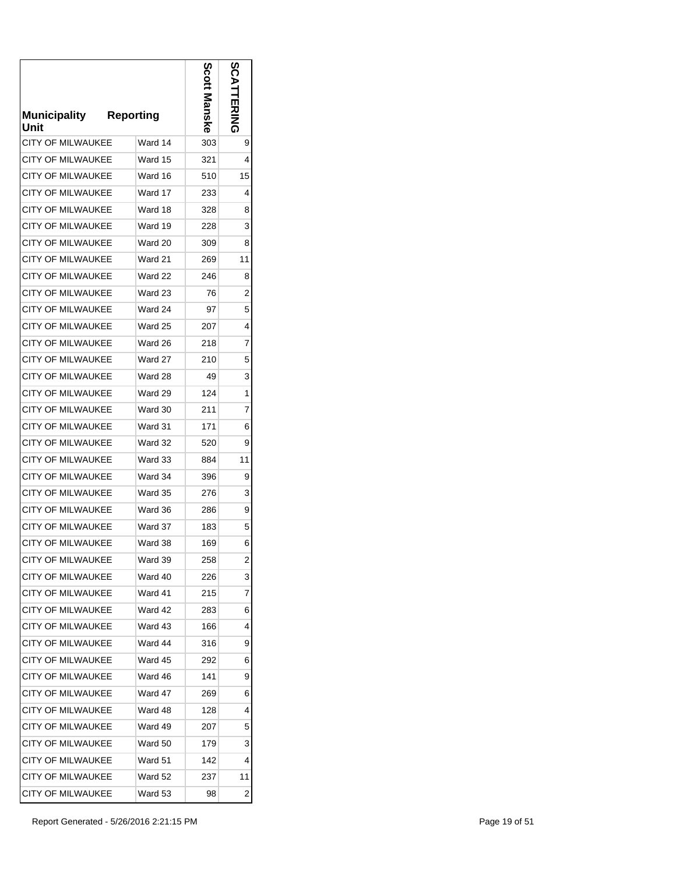| Municipality<br>Unit     | <b>Reporting</b> | Scott l<br>Manske | ဌ<br>ERING |
|--------------------------|------------------|-------------------|------------|
| CITY OF MILWAUKEE        | Ward 14          | 303               | 9          |
| CITY OF MILWAUKEE        | Ward 15          | 321               | 4          |
| <b>CITY OF MILWAUKEE</b> | Ward 16          | 510               | 15         |
| <b>CITY OF MILWAUKEE</b> | Ward 17          | 233               | 4          |
| <b>CITY OF MILWAUKEE</b> | Ward 18          | 328               | 8          |
| CITY OF MILWAUKEE        | Ward 19          | 228               | 3          |
| <b>CITY OF MILWAUKEE</b> | Ward 20          | 309               | 8          |
| <b>CITY OF MILWAUKEE</b> | Ward 21          | 269               | 11         |
| <b>CITY OF MILWAUKEE</b> | Ward 22          | 246               | 8          |
| CITY OF MII WAUKFF       | Ward 23          | 76                | 2          |
| <b>CITY OF MILWAUKEE</b> | Ward 24          | 97                | 5          |
| CITY OF MILWAUKEE        | Ward 25          | 207               | 4          |
| CITY OF MILWAUKEE        | Ward 26          | 218               | 7          |
| <b>CITY OF MILWAUKEE</b> | Ward 27          | 210               | 5          |
| <b>CITY OF MILWAUKEE</b> | Ward 28          | 49                | 3          |
| <b>CITY OF MILWAUKEE</b> | Ward 29          | 124               | 1          |
| <b>CITY OF MILWAUKEE</b> | Ward 30          | 211               | 7          |
| <b>CITY OF MILWAUKEE</b> | Ward 31          | 171               | 6          |
| <b>CITY OF MILWAUKEE</b> | Ward 32          | 520               | 9          |
| <b>CITY OF MILWAUKEE</b> | Ward 33          | 884               | 11         |
| <b>CITY OF MILWAUKEE</b> | Ward 34          | 396               | 9          |
| <b>CITY OF MILWAUKEE</b> | Ward 35          | 276               | 3          |
| <b>CITY OF MILWAUKEE</b> | Ward 36          | 286               | 9          |
| <b>CITY OF MILWAUKEE</b> | Ward 37          | 183               | 5          |
| <b>CITY OF MILWAUKEE</b> | Ward 38          | 169               | 6          |
| <b>CITY OF MILWAUKEE</b> | Ward 39          | 258               | 2          |
| <b>CITY OF MILWAUKEE</b> | Ward 40          | 226               | 3          |
| <b>CITY OF MILWAUKEE</b> | Ward 41          | 215               | 7          |
| CITY OF MILWAUKEE        | Ward 42          | 283               | 6          |
| <b>CITY OF MILWAUKEE</b> | Ward 43          | 166               | 4          |
| <b>CITY OF MILWAUKEE</b> | Ward 44          | 316               | 9          |
| CITY OF MILWAUKEE        | Ward 45          | 292               | 6          |
| <b>CITY OF MILWAUKEE</b> | Ward 46          | 141               | 9          |
| <b>CITY OF MILWAUKEE</b> | Ward 47          | 269               | 6          |
| <b>CITY OF MILWAUKEE</b> | Ward 48          | 128               | 4          |
| <b>CITY OF MILWAUKEE</b> | Ward 49          | 207               | 5          |
| <b>CITY OF MILWAUKEE</b> | Ward 50          | 179               | 3          |
| <b>CITY OF MILWAUKEE</b> | Ward 51          | 142               | 4          |
| <b>CITY OF MILWAUKEE</b> | Ward 52          | 237               | 11         |
| <b>CITY OF MILWAUKEE</b> | Ward 53          | 98                | 2          |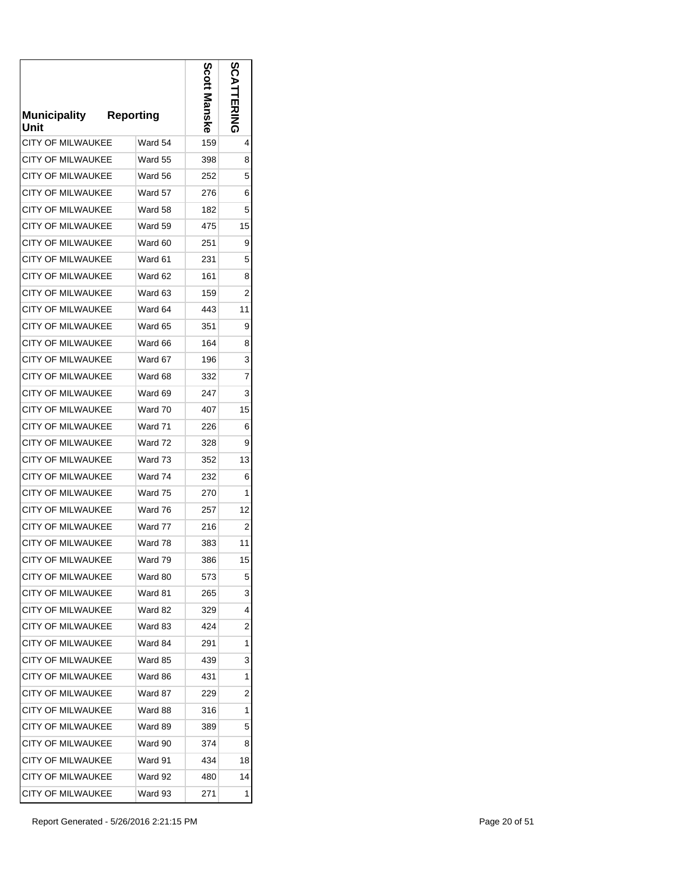| <b>Municipality</b><br>Unit | <b>Reporting</b> | Scott Manske | ဌ<br>공지지       |
|-----------------------------|------------------|--------------|----------------|
| <b>CITY OF MILWAUKEE</b>    | Ward 54          | 159          | 4              |
| CITY OF MILWAUKEE           | Ward 55          | 398          | 8              |
| <b>CITY OF MILWAUKEE</b>    | Ward 56          | 252          | 5              |
| <b>CITY OF MILWAUKEE</b>    | Ward 57          | 276          | 6              |
| <b>CITY OF MILWAUKEE</b>    | Ward 58          | 182          | 5              |
| <b>CITY OF MILWAUKEE</b>    | Ward 59          | 475          | 15             |
| <b>CITY OF MILWAUKEE</b>    | Ward 60          | 251          | 9              |
| <b>CITY OF MILWAUKEE</b>    | Ward 61          | 231          | 5              |
| <b>CITY OF MILWAUKEE</b>    | Ward 62          | 161          | 8              |
| <b>CITY OF MILWAUKEE</b>    | Ward 63          | 159          | 2              |
| <b>CITY OF MILWAUKEE</b>    | Ward 64          | 443          | 11             |
| <b>CITY OF MILWAUKEE</b>    | Ward 65          | 351          | 9              |
| <b>CITY OF MILWAUKEE</b>    | Ward 66          | 164          | 8              |
| <b>CITY OF MILWAUKEE</b>    | Ward 67          | 196          | 3              |
| <b>CITY OF MILWAUKEE</b>    | Ward 68          | 332          | $\overline{7}$ |
| <b>CITY OF MILWAUKEE</b>    | Ward 69          | 247          | 3              |
| CITY OF MILWAUKEE           | Ward 70          | 407          | 15             |
| <b>CITY OF MILWAUKEE</b>    | Ward 71          | 226          | 6              |
| <b>CITY OF MILWAUKEE</b>    | Ward 72          | 328          | 9              |
| <b>CITY OF MILWAUKEE</b>    | Ward 73          | 352          | 13             |
| CITY OF MILWAUKEE           | Ward 74          | 232          | 6              |
| <b>CITY OF MILWAUKEE</b>    | Ward 75          | 270          | 1              |
| <b>CITY OF MILWAUKEE</b>    | Ward 76          | 257          | 12             |
| <b>CITY OF MILWAUKEE</b>    | Ward 77          | 216          | 2              |
| <b>CITY OF MILWAUKEE</b>    | Ward 78          | 383          | 11             |
| <b>CITY OF MILWAUKEE</b>    | Ward 79          | 386          | 15             |
| <b>CITY OF MILWAUKEE</b>    | Ward 80          | 573          | 5              |
| CITY OF MILWAUKEE           | Ward 81          | 265          | 3              |
| CITY OF MILWAUKEE           | Ward 82          | 329          | 4              |
| <b>CITY OF MILWAUKEE</b>    | Ward 83          | 424          | 2              |
| CITY OF MILWAUKEE           | Ward 84          | 291          | 1              |
| <b>CITY OF MILWAUKEE</b>    | Ward 85          | 439          | 3              |
| <b>CITY OF MILWAUKEE</b>    | Ward 86          | 431          | 1              |
| <b>CITY OF MILWAUKEE</b>    | Ward 87          | 229          | 2              |
| <b>CITY OF MILWAUKEE</b>    | Ward 88          | 316          | 1              |
| <b>CITY OF MILWAUKEE</b>    | Ward 89          | 389          | 5              |
| <b>CITY OF MILWAUKEE</b>    | Ward 90          | 374          | 8              |
| <b>CITY OF MILWAUKEE</b>    | Ward 91          | 434          | 18             |
| <b>CITY OF MILWAUKEE</b>    | Ward 92          | 480          | 14             |
| <b>CITY OF MILWAUKEE</b>    | Ward 93          | 271          | 1              |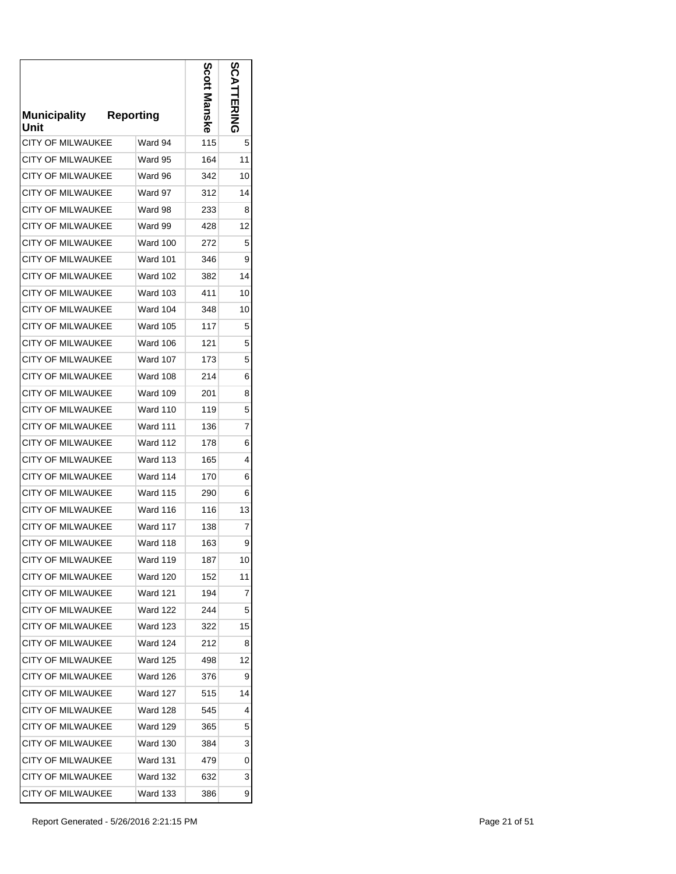| <b>Municipality</b><br>Unit | <b>Reporting</b> | Scott | တိ<br><b>HRING</b> |
|-----------------------------|------------------|-------|--------------------|
| <b>CITY OF MILWAUKEE</b>    | Ward 94          | 115   | 5                  |
| CITY OF MILWAUKEE           | Ward 95          | 164   | 11                 |
| <b>CITY OF MILWAUKEE</b>    | Ward 96          | 342   | 10                 |
| <b>CITY OF MILWAUKEE</b>    | Ward 97          | 312   | 14                 |
| <b>CITY OF MILWAUKEE</b>    | Ward 98          | 233   | 8                  |
| CITY OF MILWAUKEE           | Ward 99          | 428   | 12                 |
| <b>CITY OF MILWAUKEE</b>    | Ward 100         | 272   | 5                  |
| <b>CITY OF MILWAUKEE</b>    | Ward 101         | 346   | 9                  |
| <b>CITY OF MILWAUKEE</b>    | Ward 102         | 382   | 14                 |
| <b>CITY OF MILWAUKEE</b>    | <b>Ward 103</b>  | 411   | 10                 |
| <b>CITY OF MILWAUKEE</b>    | <b>Ward 104</b>  | 348   | 10                 |
| <b>CITY OF MILWAUKEE</b>    | <b>Ward 105</b>  | 117   | 5                  |
| <b>CITY OF MILWAUKEE</b>    | <b>Ward 106</b>  | 121   | 5                  |
| <b>CITY OF MILWAUKEE</b>    | Ward 107         | 173   | 5                  |
| <b>CITY OF MILWAUKEE</b>    | <b>Ward 108</b>  | 214   | 6                  |
| <b>CITY OF MILWAUKEE</b>    | Ward 109         | 201   | 8                  |
| <b>CITY OF MILWAUKEE</b>    | <b>Ward 110</b>  | 119   | 5                  |
| <b>CITY OF MILWAUKEE</b>    | <b>Ward 111</b>  | 136   | 7                  |
| <b>CITY OF MILWAUKEE</b>    | <b>Ward 112</b>  | 178   | 6                  |
| <b>CITY OF MILWAUKEE</b>    | <b>Ward 113</b>  | 165   | 4                  |
| CITY OF MILWAUKEE           | Ward 114         | 170   | 6                  |
| <b>CITY OF MILWAUKEE</b>    | Ward 115         | 290   | 6                  |
| <b>CITY OF MILWAUKEE</b>    | <b>Ward 116</b>  | 116   | 13                 |
| <b>CITY OF MILWAUKEE</b>    | Ward 117         | 138   | 7                  |
| <b>CITY OF MILWAUKEE</b>    | Ward 118         | 163   | 9                  |
| <b>CITY OF MILWAUKEE</b>    | Ward 119         | 187   | 10                 |
| <b>CITY OF MILWAUKEE</b>    | Ward 120         | 152   | 11                 |
| <b>CITY OF MILWAUKEE</b>    | Ward 121         | 194   | 7                  |
| <b>CITY OF MILWAUKEE</b>    | Ward 122         | 244   | 5                  |
| <b>CITY OF MILWAUKEE</b>    | <b>Ward 123</b>  | 322   | 15                 |
| <b>CITY OF MILWAUKEE</b>    | Ward 124         | 212   | 8                  |
| CITY OF MILWAUKEE           | <b>Ward 125</b>  | 498   | 12                 |
| <b>CITY OF MILWAUKEE</b>    | Ward 126         | 376   | 9                  |
| <b>CITY OF MILWAUKEE</b>    | <b>Ward 127</b>  | 515   | 14                 |
| <b>CITY OF MILWAUKEE</b>    | Ward 128         | 545   | 4                  |
| CITY OF MILWAUKEE           | <b>Ward 129</b>  | 365   | 5                  |
| CITY OF MILWAUKEE           | Ward 130         | 384   | 3                  |
| <b>CITY OF MILWAUKEE</b>    | <b>Ward 131</b>  | 479   | 0                  |
| <b>CITY OF MILWAUKEE</b>    | <b>Ward 132</b>  | 632   | 3                  |
| CITY OF MILWAUKEE           | Ward 133         | 386   | 9                  |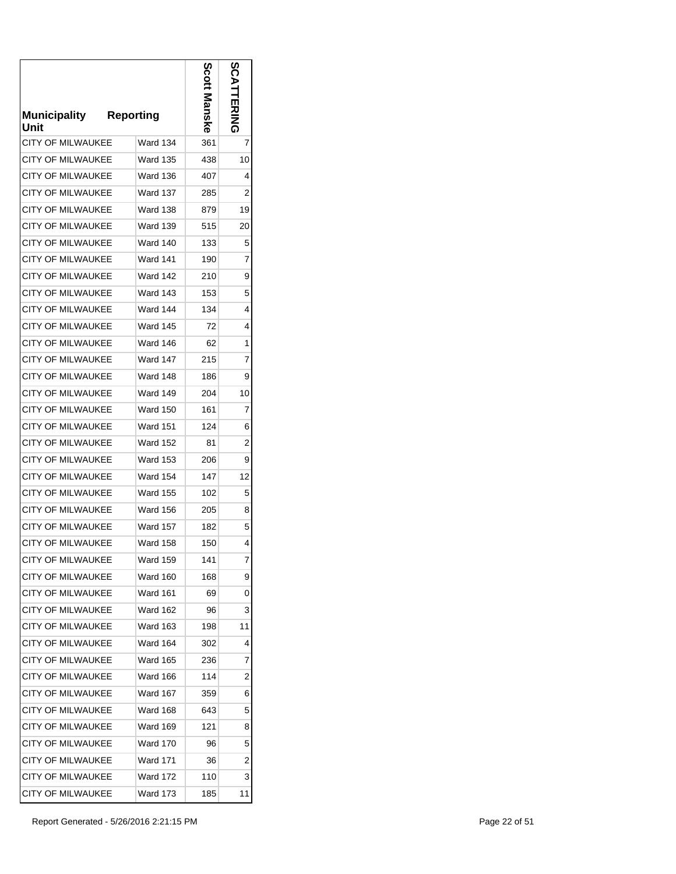| <b>Municipality</b><br>Unit | <b>Reporting</b> | ဝိင္ဝ | တိ<br>EKING |
|-----------------------------|------------------|-------|-------------|
| <b>CITY OF MILWAUKEE</b>    | Ward 134         | 361   | 7           |
| CITY OF MILWAUKEE           | Ward 135         | 438   | 10          |
| <b>CITY OF MILWAUKEE</b>    | Ward 136         | 407   | 4           |
| <b>CITY OF MILWAUKEE</b>    | Ward 137         | 285   | 2           |
| <b>CITY OF MILWAUKEE</b>    | <b>Ward 138</b>  | 879   | 19          |
| <b>CITY OF MILWAUKEE</b>    | Ward 139         | 515   | 20          |
| <b>CITY OF MILWAUKEE</b>    | Ward 140         | 133   | 5           |
| <b>CITY OF MILWAUKEE</b>    | Ward 141         | 190   | 7           |
| <b>CITY OF MILWAUKEE</b>    | Ward 142         | 210   | 9           |
| <b>CITY OF MILWAUKEE</b>    | <b>Ward 143</b>  | 153   | 5           |
| <b>CITY OF MILWAUKEE</b>    | Ward 144         | 134   | 4           |
| <b>CITY OF MILWAUKEE</b>    | Ward 145         | 72    | 4           |
| <b>CITY OF MILWAUKEE</b>    | Ward 146         | 62    | 1           |
| <b>CITY OF MILWAUKEE</b>    | Ward 147         | 215   | 7           |
| <b>CITY OF MILWAUKEE</b>    | Ward 148         | 186   | 9           |
| <b>CITY OF MILWAUKEE</b>    | Ward 149         | 204   | 10          |
| <b>CITY OF MILWAUKEE</b>    | <b>Ward 150</b>  | 161   | 7           |
| <b>CITY OF MILWAUKEE</b>    | Ward 151         | 124   | 6           |
| <b>CITY OF MILWAUKEE</b>    | <b>Ward 152</b>  | 81    | 2           |
| <b>CITY OF MILWAUKEE</b>    | Ward 153         | 206   | 9           |
| <b>CITY OF MILWAUKEE</b>    | Ward 154         | 147   | 12          |
| <b>CITY OF MILWAUKEE</b>    | Ward 155         | 102   | 5           |
| <b>CITY OF MILWAUKEE</b>    | <b>Ward 156</b>  | 205   | 8           |
| <b>CITY OF MILWAUKEE</b>    | <b>Ward 157</b>  | 182   | 5           |
| <b>CITY OF MILWAUKEE</b>    | Ward 158         | 150   | 4           |
| CITY OF MILWAUKEE           | Ward 159         | 141   | 7           |
| <b>CITY OF MILWAUKEE</b>    | Ward 160         | 168   | 9           |
| <b>CITY OF MILWAUKEE</b>    | Ward 161         | 69    | 0           |
| <b>CITY OF MILWAUKEE</b>    | Ward 162         | 96    | 3           |
| <b>CITY OF MILWAUKEE</b>    | Ward 163         | 198   | 11          |
| <b>CITY OF MILWAUKEE</b>    | Ward 164         | 302   | 4           |
| <b>CITY OF MILWAUKEE</b>    | Ward 165         | 236   | 7           |
| <b>CITY OF MILWAUKEE</b>    | Ward 166         | 114   | 2           |
| <b>CITY OF MILWAUKEE</b>    | Ward 167         | 359   | 6           |
| <b>CITY OF MILWAUKEE</b>    | Ward 168         | 643   | 5           |
| <b>CITY OF MILWAUKEE</b>    | Ward 169         | 121   | 8           |
| <b>CITY OF MILWAUKEE</b>    | Ward 170         | 96    | 5           |
| <b>CITY OF MILWAUKEE</b>    | <b>Ward 171</b>  | 36    | 2           |
| <b>CITY OF MILWAUKEE</b>    | Ward 172         | 110   | 3           |
| <b>CITY OF MILWAUKEE</b>    | Ward 173         | 185   | 11          |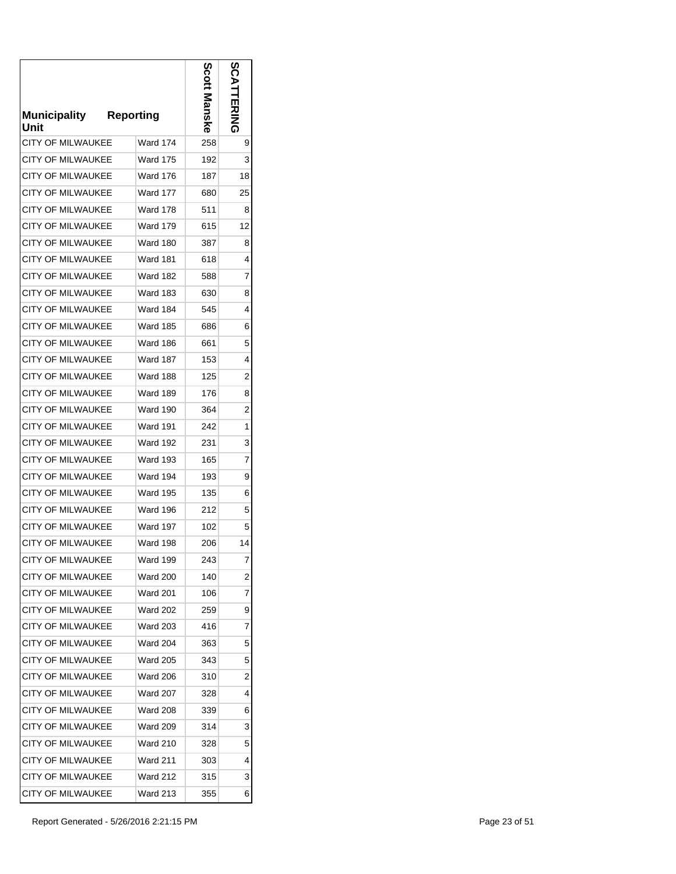| Municipality<br>Unit     | <b>Reporting</b> | Scott<br>Manske | ပ္က            |
|--------------------------|------------------|-----------------|----------------|
| CITY OF MILWAUKEE        | Ward 174         | 258             | 9              |
| CITY OF MILWAUKEE        | Ward 175         | 192             | 3              |
| <b>CITY OF MILWAUKEE</b> | Ward 176         | 187             | 18             |
| <b>CITY OF MILWAUKEE</b> | Ward 177         | 680             | 25             |
| <b>CITY OF MILWAUKEE</b> | Ward 178         | 511             | 8              |
| CITY OF MILWAUKEE        | Ward 179         | 615             | 12             |
| <b>CITY OF MILWAUKEE</b> | Ward 180         | 387             | 8              |
| <b>CITY OF MILWAUKEE</b> | Ward 181         | 618             | 4              |
| <b>CITY OF MILWAUKEE</b> | Ward 182         | 588             | 7              |
| <b>CITY OF MILWAUKEE</b> | <b>Ward 183</b>  | 630             | 8              |
| <b>CITY OF MILWAUKEE</b> | Ward 184         | 545             | 4              |
| CITY OF MILWAUKEE        | <b>Ward 185</b>  | 686             | 6              |
| <b>CITY OF MILWAUKEE</b> | Ward 186         | 661             | 5              |
| <b>CITY OF MILWAUKEE</b> | Ward 187         | 153             | 4              |
| <b>CITY OF MILWAUKEE</b> | <b>Ward 188</b>  | 125             | $\overline{2}$ |
| <b>CITY OF MILWAUKEE</b> | Ward 189         | 176             | 8              |
| <b>CITY OF MILWAUKEE</b> | Ward 190         | 364             | 2              |
| <b>CITY OF MILWAUKEE</b> | Ward 191         | 242             | 1              |
| <b>CITY OF MILWAUKEE</b> | <b>Ward 192</b>  | 231             | 3              |
| <b>CITY OF MILWAUKEE</b> | Ward 193         | 165             | 7              |
| <b>CITY OF MILWAUKEE</b> | Ward 194         | 193             | 9              |
| <b>CITY OF MILWAUKEE</b> | Ward 195         | 135             | 6              |
| <b>CITY OF MILWAUKEE</b> | Ward 196         | 212             | 5              |
| <b>CITY OF MILWAUKEE</b> | Ward 197         | 102             | 5              |
| <b>CITY OF MILWAUKEE</b> | Ward 198         | 206             | 14             |
| <b>CITY OF MILWAUKEE</b> | Ward 199         | 243             | 7              |
| <b>CITY OF MILWAUKEE</b> | Ward 200         | 140             | 2              |
| <b>CITY OF MILWAUKEE</b> | Ward 201         | 106             | 7              |
| <b>CITY OF MILWAUKEE</b> | <b>Ward 202</b>  | 259             | 9              |
| <b>CITY OF MILWAUKEE</b> | <b>Ward 203</b>  | 416             | 7              |
| <b>CITY OF MILWAUKEE</b> | Ward 204         | 363             | 5              |
| <b>CITY OF MILWAUKEE</b> | <b>Ward 205</b>  | 343             | 5              |
| <b>CITY OF MILWAUKEE</b> | Ward 206         | 310             | 2              |
| <b>CITY OF MILWAUKEE</b> | Ward 207         | 328             | 4              |
| <b>CITY OF MILWAUKEE</b> | <b>Ward 208</b>  | 339             | 6              |
| <b>CITY OF MILWAUKEE</b> | Ward 209         | 314             | 3              |
| <b>CITY OF MILWAUKEE</b> | Ward 210         | 328             | 5              |
| <b>CITY OF MILWAUKEE</b> | Ward 211         | 303             | 4              |
| <b>CITY OF MILWAUKEE</b> | Ward 212         | 315             | 3              |
| CITY OF MILWAUKEE        | Ward 213         | 355             | 6              |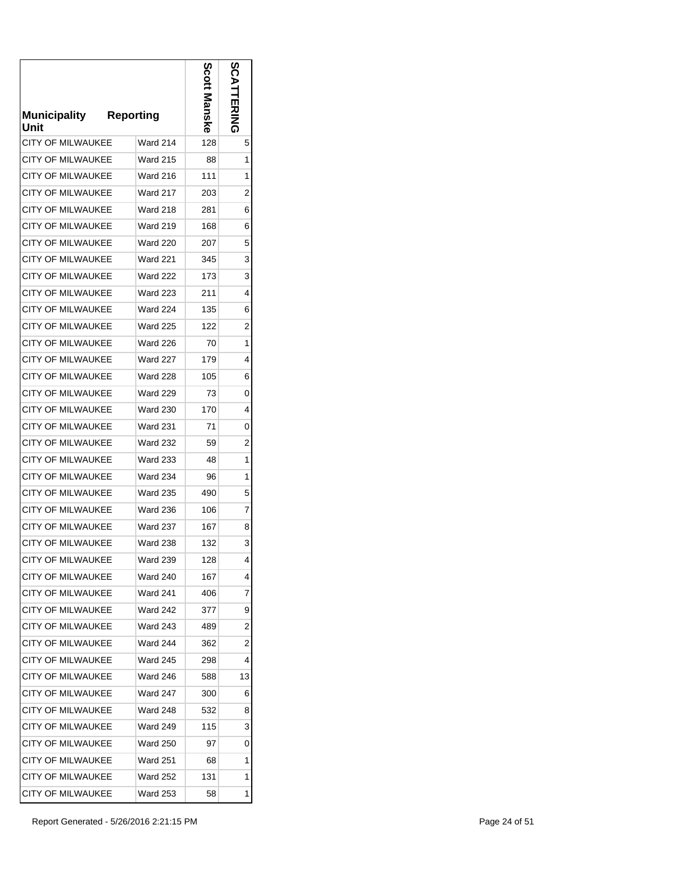| <b>Municipality</b><br>Unit | <b>Reporting</b> | Scott l<br><b>Manske</b> | ပ္က |
|-----------------------------|------------------|--------------------------|-----|
| <b>CITY OF MILWAUKEE</b>    | Ward 214         | 128                      | 5   |
| CITY OF MILWAUKEE           | Ward 215         | 88                       | 1   |
| <b>CITY OF MILWAUKEE</b>    | <b>Ward 216</b>  | 111                      | 1   |
| <b>CITY OF MILWAUKEE</b>    | <b>Ward 217</b>  | 203                      | 2   |
| <b>CITY OF MILWAUKEE</b>    | <b>Ward 218</b>  | 281                      | 6   |
| <b>CITY OF MILWAUKEE</b>    | Ward 219         | 168                      | 6   |
| <b>CITY OF MILWAUKEE</b>    | <b>Ward 220</b>  | 207                      | 5   |
| <b>CITY OF MILWAUKEE</b>    | <b>Ward 221</b>  | 345                      | 3   |
| <b>CITY OF MILWAUKEE</b>    | <b>Ward 222</b>  | 173                      | 3   |
| CITY OF MII WAUKEE          | <b>Ward 223</b>  | 211                      | 4   |
| <b>CITY OF MILWAUKEE</b>    | Ward 224         | 135                      | 6   |
| <b>CITY OF MILWAUKEE</b>    | <b>Ward 225</b>  | 122                      | 2   |
| <b>CITY OF MILWAUKEE</b>    | <b>Ward 226</b>  | 70                       | 1   |
| <b>CITY OF MILWAUKEE</b>    | <b>Ward 227</b>  | 179                      | 4   |
| <b>CITY OF MILWAUKEE</b>    | <b>Ward 228</b>  | 105                      | 6   |
| <b>CITY OF MILWAUKEE</b>    | <b>Ward 229</b>  | 73                       | 0   |
| <b>CITY OF MILWAUKEE</b>    | <b>Ward 230</b>  | 170                      | 4   |
| <b>CITY OF MILWAUKEE</b>    | <b>Ward 231</b>  | 71                       | 0   |
| <b>CITY OF MILWAUKEE</b>    | <b>Ward 232</b>  | 59                       | 2   |
| <b>CITY OF MILWAUKEE</b>    | <b>Ward 233</b>  | 48                       | 1   |
| <b>CITY OF MILWAUKEE</b>    | <b>Ward 234</b>  | 96                       | 1   |
| <b>CITY OF MILWAUKEE</b>    | <b>Ward 235</b>  | 490                      | 5   |
| <b>CITY OF MILWAUKEE</b>    | <b>Ward 236</b>  | 106                      | 7   |
| <b>CITY OF MILWAUKEE</b>    | <b>Ward 237</b>  | 167                      | 8   |
| <b>CITY OF MILWAUKEE</b>    | <b>Ward 238</b>  | 132                      | 3   |
| <b>CITY OF MILWAUKEE</b>    | Ward 239         | 128                      | 4   |
| <b>CITY OF MILWAUKEE</b>    | Ward 240         | 167                      | 4   |
| CITY OF MILWAUKEE           | Ward 241         | 406                      | 7   |
| <b>CITY OF MILWAUKEE</b>    | <b>Ward 242</b>  | 377                      | 9   |
| <b>CITY OF MILWAUKEE</b>    | <b>Ward 243</b>  | 489                      | 2   |
| CITY OF MILWAUKEE           | Ward 244         | 362                      | 2   |
| CITY OF MILWAUKEE           | <b>Ward 245</b>  | 298                      | 4   |
| <b>CITY OF MILWAUKEE</b>    | Ward 246         | 588                      | 13  |
| CITY OF MILWAUKEE           | <b>Ward 247</b>  | 300                      | 6   |
| <b>CITY OF MILWAUKEE</b>    | <b>Ward 248</b>  | 532                      | 8   |
| <b>CITY OF MILWAUKEE</b>    | <b>Ward 249</b>  | 115                      | 3   |
| <b>CITY OF MILWAUKEE</b>    | Ward 250         | 97                       | 0   |
| <b>CITY OF MILWAUKEE</b>    | Ward 251         | 68                       | 1   |
| <b>CITY OF MILWAUKEE</b>    | Ward 252         | 131                      | 1   |
| <b>CITY OF MILWAUKEE</b>    | Ward 253         | 58                       | 1   |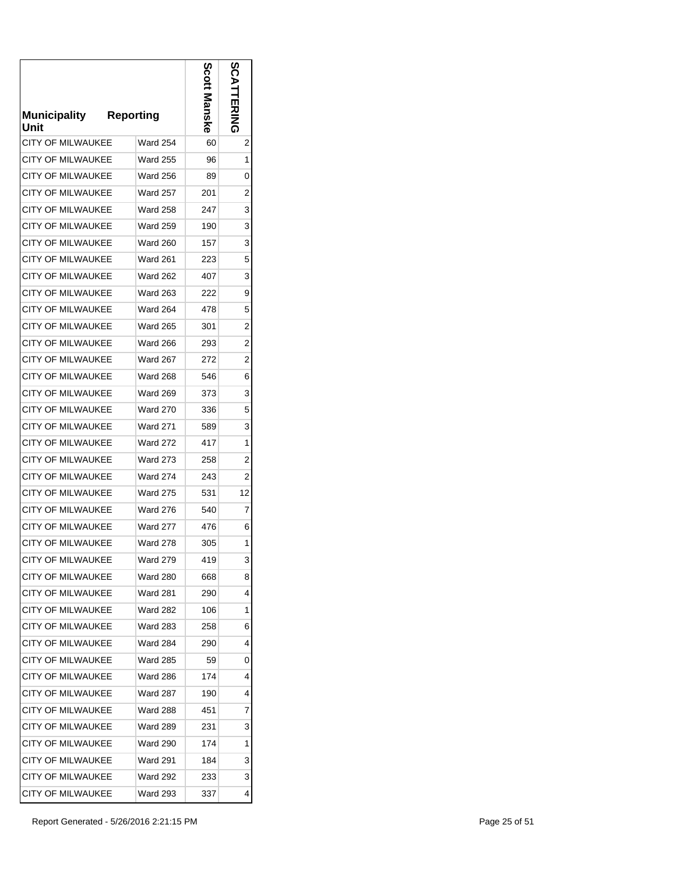| <b>Municipality</b><br>Unit | <b>Reporting</b> | Scott<br>Manske | ဌ<br>공지지       |
|-----------------------------|------------------|-----------------|----------------|
| <b>CITY OF MILWAUKEE</b>    | <b>Ward 254</b>  | 60              | 2              |
| CITY OF MILWAUKEE           | Ward 255         | 96              | 1              |
| CITY OF MILWAUKEE           | <b>Ward 256</b>  | 89              | 0              |
| <b>CITY OF MILWAUKEE</b>    | Ward 257         | 201             | 2              |
| <b>CITY OF MILWAUKEE</b>    | Ward 258         | 247             | 3              |
| <b>CITY OF MILWAUKEE</b>    | Ward 259         | 190             | 3              |
| <b>CITY OF MILWAUKEE</b>    | <b>Ward 260</b>  | 157             | 3              |
| <b>CITY OF MILWAUKEE</b>    | <b>Ward 261</b>  | 223             | 5              |
| <b>CITY OF MILWAUKEE</b>    | <b>Ward 262</b>  | 407             | 3              |
| CITY OF MII WAUKFF          | <b>Ward 263</b>  | 222             | 9              |
| <b>CITY OF MILWAUKEE</b>    | <b>Ward 264</b>  | 478             | 5              |
| <b>CITY OF MILWAUKEE</b>    | <b>Ward 265</b>  | 301             | 2              |
| <b>CITY OF MILWAUKEE</b>    | <b>Ward 266</b>  | 293             | $\overline{2}$ |
| <b>CITY OF MILWAUKEE</b>    | <b>Ward 267</b>  | 272             | 2              |
| <b>CITY OF MILWAUKEE</b>    | <b>Ward 268</b>  | 546             | 6              |
| <b>CITY OF MILWAUKEE</b>    | Ward 269         | 373             | 3              |
| CITY OF MILWAUKEE           | <b>Ward 270</b>  | 336             | 5              |
| <b>CITY OF MILWAUKEE</b>    | <b>Ward 271</b>  | 589             | 3              |
| <b>CITY OF MILWAUKEE</b>    | <b>Ward 272</b>  | 417             | 1              |
| <b>CITY OF MILWAUKEE</b>    | <b>Ward 273</b>  | 258             | 2              |
| CITY OF MILWAUKEE           | <b>Ward 274</b>  | 243             | 2              |
| <b>CITY OF MILWAUKEE</b>    | <b>Ward 275</b>  | 531             | 12             |
| <b>CITY OF MILWAUKEE</b>    | <b>Ward 276</b>  | 540             | 7              |
| <b>CITY OF MILWAUKEE</b>    | <b>Ward 277</b>  | 476             | 6              |
| <b>CITY OF MILWAUKEE</b>    | <b>Ward 278</b>  | 305             | 1              |
| <b>CITY OF MILWAUKEE</b>    | Ward 279         | 419             | 3              |
| <b>CITY OF MILWAUKEE</b>    | Ward 280         | 668             | 8              |
| <b>CITY OF MILWAUKEE</b>    | Ward 281         | 290             | 4              |
| <b>CITY OF MILWAUKEE</b>    | <b>Ward 282</b>  | 106             | 1              |
| <b>CITY OF MILWAUKEE</b>    | Ward 283         | 258             | 6              |
| <b>CITY OF MILWAUKEE</b>    | Ward 284         | 290             | 4              |
| <b>CITY OF MILWAUKEE</b>    | Ward 285         | 59              | 0              |
| <b>CITY OF MILWAUKEE</b>    | Ward 286         | 174             | 4              |
| <b>CITY OF MILWAUKEE</b>    | Ward 287         | 190             | 4              |
| <b>CITY OF MILWAUKEE</b>    | <b>Ward 288</b>  | 451             | 7              |
| <b>CITY OF MILWAUKEE</b>    | <b>Ward 289</b>  | 231             | 3              |
| <b>CITY OF MILWAUKEE</b>    | Ward 290         | 174             | 1              |
| <b>CITY OF MILWAUKEE</b>    | <b>Ward 291</b>  | 184             | 3              |
| <b>CITY OF MILWAUKEE</b>    | Ward 292         | 233             | 3              |
| <b>CITY OF MILWAUKEE</b>    | Ward 293         | 337             | 4              |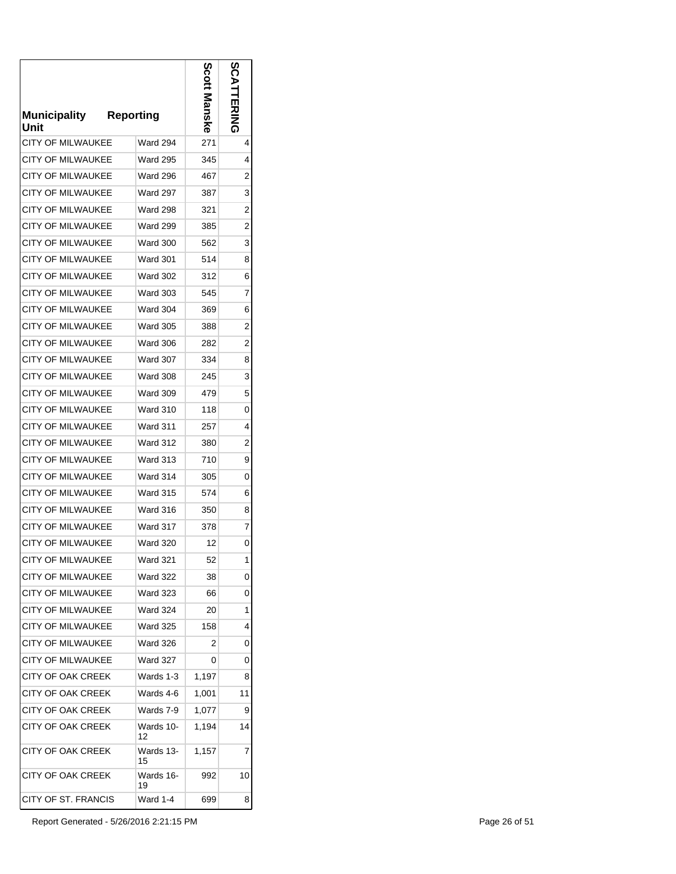| <b>Municipality</b><br>Unit | <b>Reporting</b> | Scol<br>lanske | ပ္လ<br><b>EXIMA</b> |
|-----------------------------|------------------|----------------|---------------------|
| <b>CITY OF MILWAUKEE</b>    | <b>Ward 294</b>  | 271            | 4                   |
| CITY OF MILWAUKEE           | <b>Ward 295</b>  | 345            | 4                   |
| <b>CITY OF MILWAUKEE</b>    | <b>Ward 296</b>  | 467            | 2                   |
| <b>CITY OF MILWAUKEE</b>    | <b>Ward 297</b>  | 387            | 3                   |
| <b>CITY OF MILWAUKEE</b>    | Ward 298         | 321            | 2                   |
| CITY OF MILWAUKEE           | Ward 299         | 385            | $\overline{c}$      |
| <b>CITY OF MILWAUKEE</b>    | <b>Ward 300</b>  | 562            | 3                   |
| <b>CITY OF MILWAUKEE</b>    | Ward 301         | 514            | 8                   |
| <b>CITY OF MILWAUKEE</b>    | Ward 302         | 312            | 6                   |
| <b>CITY OF MILWAUKEE</b>    | <b>Ward 303</b>  | 545            | 7                   |
| <b>CITY OF MILWAUKEE</b>    | <b>Ward 304</b>  | 369            | 6                   |
| <b>CITY OF MILWAUKEE</b>    | <b>Ward 305</b>  | 388            | 2                   |
| <b>CITY OF MILWAUKEE</b>    | <b>Ward 306</b>  | 282            | 2                   |
| <b>CITY OF MILWAUKEE</b>    | <b>Ward 307</b>  | 334            | 8                   |
| <b>CITY OF MILWAUKEE</b>    | <b>Ward 308</b>  | 245            | 3                   |
| <b>CITY OF MILWAUKEE</b>    | <b>Ward 309</b>  | 479            | 5                   |
| <b>CITY OF MILWAUKEE</b>    | <b>Ward 310</b>  | 118            | 0                   |
| <b>CITY OF MILWAUKEE</b>    | <b>Ward 311</b>  | 257            | 4                   |
| <b>CITY OF MILWAUKEE</b>    | <b>Ward 312</b>  | 380            | $\overline{2}$      |
| <b>CITY OF MILWAUKEE</b>    | <b>Ward 313</b>  | 710            | 9                   |
| CITY OF MILWAUKEE           | Ward 314         | 305            | 0                   |
| <b>CITY OF MILWAUKEE</b>    | <b>Ward 315</b>  | 574            | 6                   |
| <b>CITY OF MILWAUKEE</b>    | Ward 316         | 350            | 8                   |
| <b>CITY OF MILWAUKEE</b>    | Ward 317         | 378            | 7                   |
| <b>CITY OF MILWAUKEE</b>    | <b>Ward 320</b>  | 12             | 0                   |
| CITY OF MILWAUKEE           | Ward 321         | 52             | 1                   |
| CITY OF MILWAUKEE           | Ward 322         | 38             | 0                   |
| <b>CITY OF MILWAUKEE</b>    | <b>Ward 323</b>  | 66             | 0                   |
| <b>CITY OF MILWAUKEE</b>    | <b>Ward 324</b>  | 20             | 1                   |
| <b>CITY OF MILWAUKEE</b>    | Ward 325         | 158            | 4                   |
| <b>CITY OF MILWAUKEE</b>    | <b>Ward 326</b>  | 2              | 0                   |
| CITY OF MILWAUKEE           | Ward 327         | 0              | 0                   |
| <b>CITY OF OAK CREEK</b>    | Wards 1-3        | 1,197          | 8                   |
| CITY OF OAK CREEK           | Wards 4-6        | 1,001          | 11                  |
| CITY OF OAK CREEK           | Wards 7-9        | 1,077          | 9                   |
| CITY OF OAK CREEK           | Wards 10-<br>12  | 1,194          | 14                  |
| <b>CITY OF OAK CREEK</b>    | Wards 13-<br>15  | 1,157          | 7                   |
| CITY OF OAK CREEK           | Wards 16-<br>19  | 992            | 10                  |
| CITY OF ST. FRANCIS         | Ward 1-4         | 699            | 8                   |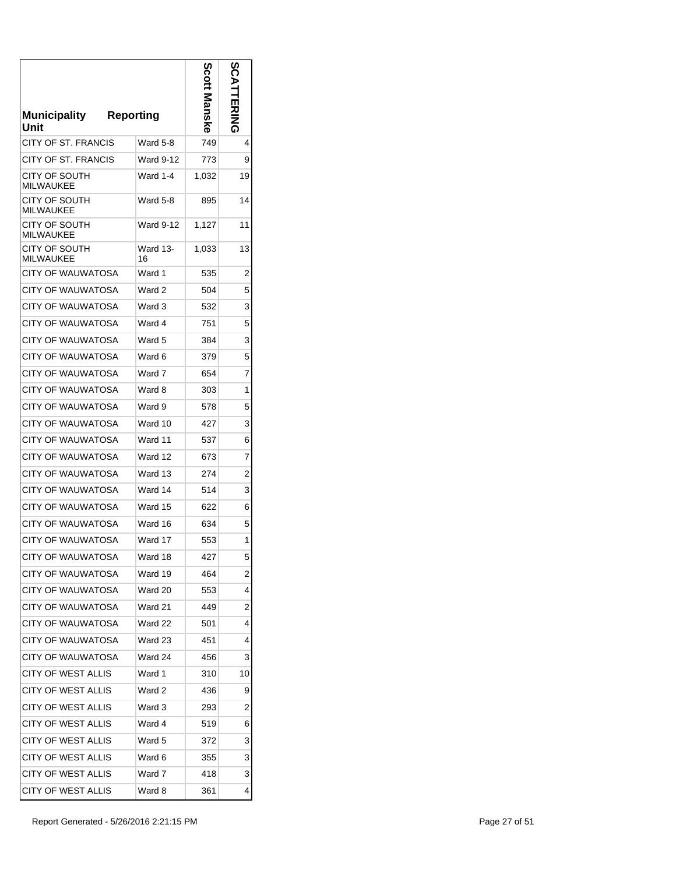| Municipality<br>Unit              | <b>Reporting</b> | Scott<br>Manske | ທ  |
|-----------------------------------|------------------|-----------------|----|
| <b>CITY OF ST. FRANCIS</b>        | Ward 5-8         | 749             | 4  |
| CITY OF ST. FRANCIS               | Ward 9-12        | 773             | 9  |
| CITY OF SOUTH<br><b>MILWAUKEE</b> | Ward 1-4         | 1,032           | 19 |
| CITY OF SOUTH<br>MII WAUKFF       | Ward 5-8         | 895             | 14 |
| CITY OF SOUTH<br><b>MILWAUKEE</b> | Ward 9-12        | 1,127           | 11 |
| CITY OF SOUTH<br><b>MILWAUKEE</b> | Ward 13-<br>16   | 1,033           | 13 |
| <b>CITY OF WAUWATOSA</b>          | Ward 1           | 535             | 2  |
| <b>CITY OF WAUWATOSA</b>          | Ward 2           | 504             | 5  |
| <b>CITY OF WAUWATOSA</b>          | Ward 3           | 532             | 3  |
| CITY OF WAUWATOSA                 | Ward 4           | 751             | 5  |
| <b>CITY OF WAUWATOSA</b>          | Ward 5           | 384             | 3  |
| CITY OF WAUWATOSA                 | Ward 6           | 379             | 5  |
| <b>CITY OF WAUWATOSA</b>          | Ward 7           | 654             | 7  |
| CITY OF WAUWATOSA                 | Ward 8           | 303             | 1  |
| CITY OF WAUWATOSA                 | Ward 9           | 578             | 5  |
| CITY OF WAUWATOSA                 | Ward 10          | 427             | 3  |
| CITY OF WAUWATOSA                 | Ward 11          | 537             | 6  |
| CITY OF WAUWATOSA                 | Ward 12          | 673             | 7  |
| CITY OF WAUWATOSA                 | Ward 13          | 274             | 2  |
| CITY OF WAUWATOSA                 | Ward 14          | 514             | 3  |
| CITY OF WAUWATOSA                 | Ward 15          | 622             | 6  |
| <b>CITY OF WAUWATOSA</b>          | Ward 16          | 634             | 5  |
| CITY OF WAUWATOSA                 | Ward 17          | 553             | 1  |
| CITY OF WAUWATOSA                 | Ward 18          | 427             | 5  |
| <b>CITY OF WAUWATOSA</b>          | Ward 19          | 464             | 2  |
| CITY OF WAUWATOSA                 | Ward 20          | 553             | 4  |
| CITY OF WAUWATOSA                 | Ward 21          | 449             | 2  |
| CITY OF WAUWATOSA                 | Ward 22          | 501             | 4  |
| CITY OF WAUWATOSA                 | Ward 23          | 451             | 4  |
| <b>CITY OF WAUWATOSA</b>          | Ward 24          | 456             | 3  |
| CITY OF WEST ALLIS                | Ward 1           | 310             | 10 |
| CITY OF WEST ALLIS                | Ward 2           | 436             | 9  |
| <b>CITY OF WEST ALLIS</b>         | Ward 3           | 293             | 2  |
| CITY OF WEST ALLIS                | Ward 4           | 519             | 6  |
| CITY OF WEST ALLIS                | Ward 5           | 372             | 3  |
| CITY OF WEST ALLIS                | Ward 6           | 355             | 3  |
| CITY OF WEST ALLIS                | Ward 7           | 418             | 3  |
| <b>CITY OF WEST ALLIS</b>         | Ward 8           | 361             | 4  |
|                                   |                  |                 |    |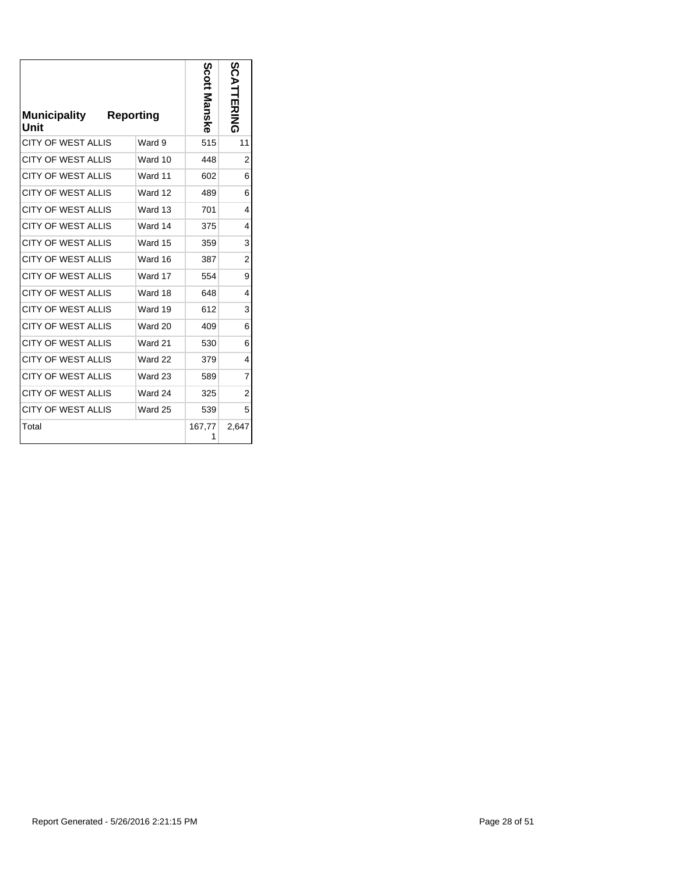| <b>Municipality</b><br>Unit | <b>Reporting</b> |         | Scott<br>Manske | n<br>Š<br>╡<br><b>ERING</b> |
|-----------------------------|------------------|---------|-----------------|-----------------------------|
| <b>CITY OF WEST ALLIS</b>   |                  | Ward 9  | 515             | 11                          |
| <b>CITY OF WEST ALLIS</b>   |                  | Ward 10 | 448             | $\overline{2}$              |
| <b>CITY OF WEST ALLIS</b>   |                  | Ward 11 | 602             | 6                           |
| <b>CITY OF WEST ALLIS</b>   |                  | Ward 12 | 489             | 6                           |
| <b>CITY OF WEST ALLIS</b>   |                  | Ward 13 | 701             | 4                           |
| <b>CITY OF WEST ALLIS</b>   |                  | Ward 14 | 375             | 4                           |
| <b>CITY OF WEST ALLIS</b>   |                  | Ward 15 | 359             | 3                           |
| <b>CITY OF WEST ALLIS</b>   |                  | Ward 16 | 387             | $\overline{2}$              |
| <b>CITY OF WEST ALLIS</b>   |                  | Ward 17 | 554             | 9                           |
| <b>CITY OF WEST ALLIS</b>   |                  | Ward 18 | 648             | 4                           |
| <b>CITY OF WEST ALLIS</b>   |                  | Ward 19 | 612             | 3                           |
| <b>CITY OF WEST ALLIS</b>   |                  | Ward 20 | 409             | 6                           |
| <b>CITY OF WEST ALLIS</b>   |                  | Ward 21 | 530             | 6                           |
| <b>CITY OF WEST ALLIS</b>   |                  | Ward 22 | 379             | 4                           |
| <b>CITY OF WEST ALLIS</b>   |                  | Ward 23 | 589             | $\overline{7}$              |
| <b>CITY OF WEST ALLIS</b>   |                  | Ward 24 | 325             | $\overline{2}$              |
| <b>CITY OF WEST ALLIS</b>   |                  | Ward 25 | 539             | 5                           |
| Total                       |                  |         | 167,77          | 2,647                       |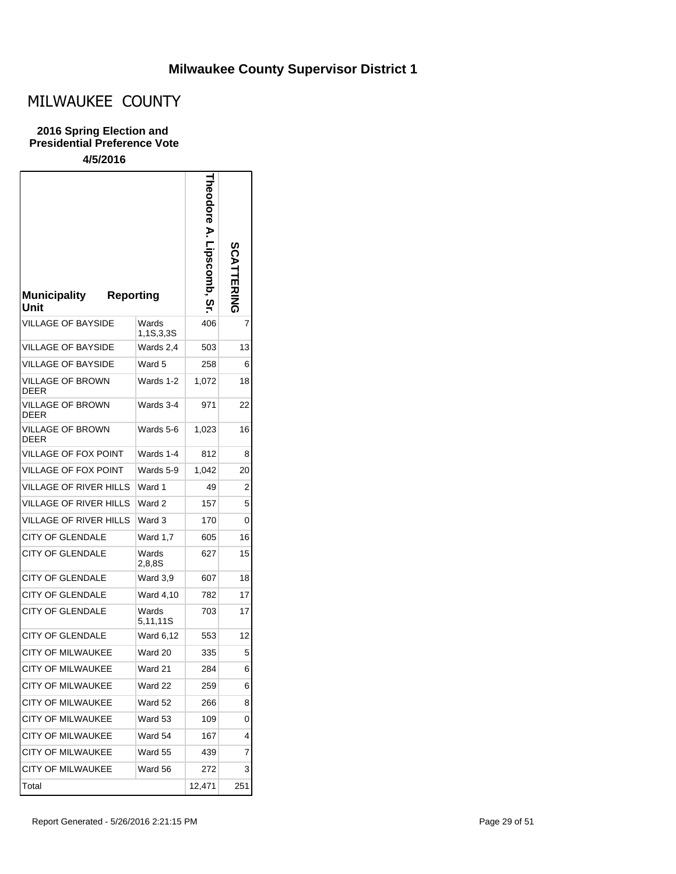# MILWAUKEE COUNTY

#### **2016 Spring Election and Presidential Preference Vote**

| <b>Municipality</b><br><b>Reporting</b><br>Unit |                    | heodore A. Lipscomb<br>ღ | <b>SCATTERING</b> |
|-------------------------------------------------|--------------------|--------------------------|-------------------|
| <b>VILLAGE OF BAYSIDE</b>                       | Wards<br>1,1S,3,3S | 406                      | 7                 |
| <b>VILLAGE OF BAYSIDE</b>                       | Wards 2,4          | 503                      | 13                |
| VILLAGE OF BAYSIDE                              | Ward 5             | 258                      | 6                 |
| VILLAGE OF BROWN<br><b>DEER</b>                 | Wards 1-2          | 1,072                    | 18                |
| VILLAGE OF BROWN<br><b>DEER</b>                 | Wards 3-4          | 971                      | 22                |
| VILLAGE OF BROWN<br><b>DEER</b>                 | Wards 5-6          | 1,023                    | 16                |
| VILLAGE OF FOX POINT                            | Wards 1-4          | 812                      | 8                 |
| VILLAGE OF FOX POINT                            | Wards 5-9          | 1,042                    | 20                |
| VILLAGE OF RIVER HILLS                          | Ward 1             | 49                       | 2                 |
| <b>VILLAGE OF RIVER HILLS</b>                   | Ward 2             | 157                      | 5                 |
| <b>VILLAGE OF RIVER HILLS</b>                   | Ward 3             | 170                      | 0                 |
| <b>CITY OF GLENDALE</b>                         | Ward 1,7           | 605                      | 16                |
| <b>CITY OF GLENDALE</b>                         | Wards<br>2,8,8S    | 627                      | 15                |
| <b>CITY OF GLENDALE</b>                         | Ward 3,9           | 607                      | 18                |
| <b>CITY OF GLENDALE</b>                         | Ward 4,10          | 782                      | 17                |
| <b>CITY OF GLENDALE</b>                         | Wards<br>5,11,11S  | 703                      | 17                |
| <b>CITY OF GLENDALE</b>                         | Ward 6,12          | 553                      | 12                |
| <b>CITY OF MILWAUKEE</b>                        | Ward 20            | 335                      | 5                 |
| <b>CITY OF MILWAUKEE</b>                        | Ward 21            | 284                      | 6                 |
| <b>CITY OF MILWAUKEE</b>                        | Ward 22            | 259                      | 6                 |
| CITY OF MILWAUKEE                               | Ward 52            | 266                      | 8                 |
| <b>CITY OF MILWAUKEE</b>                        | Ward 53            | 109                      | 0                 |
| CITY OF MILWAUKEE                               | Ward 54            | 167                      | 4                 |
| CITY OF MILWAUKEE                               | Ward 55            | 439                      | 7                 |
| CITY OF MILWAUKEE                               | Ward 56            | 272                      | 3                 |
| Total                                           |                    | 12,471                   | 251               |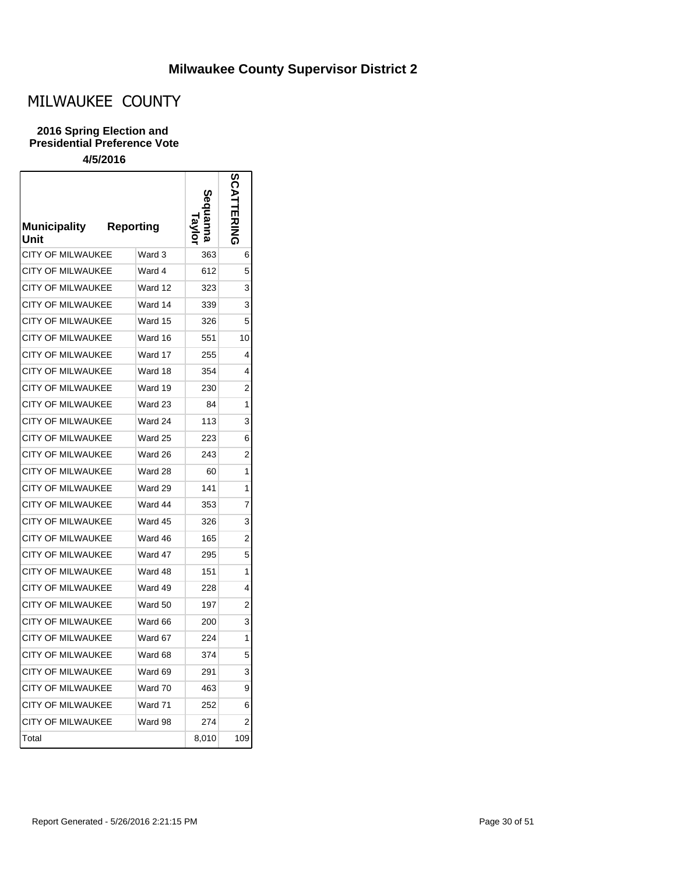┑

# MILWAUKEE COUNTY

### **2016 Spring Election and Presidential Preference Vote**

| <b>Municipality</b><br>Unit | <b>Reporting</b> |       |     |
|-----------------------------|------------------|-------|-----|
| <b>CITY OF MILWAUKEE</b>    | Ward 3           | 363   | 6   |
| <b>CITY OF MILWAUKEE</b>    | Ward 4           | 612   | 5   |
| <b>CITY OF MILWAUKEE</b>    | Ward 12          | 323   | 3   |
| <b>CITY OF MILWAUKEE</b>    | Ward 14          | 339   | 3   |
| <b>CITY OF MILWAUKEE</b>    | Ward 15          | 326   | 5   |
| <b>CITY OF MILWAUKEE</b>    | Ward 16          | 551   | 10  |
| <b>CITY OF MILWAUKEE</b>    | Ward 17          | 255   | 4   |
| <b>CITY OF MILWAUKEE</b>    | Ward 18          | 354   | 4   |
| <b>CITY OF MILWAUKEE</b>    | Ward 19          | 230   | 2   |
| <b>CITY OF MILWAUKEE</b>    | Ward 23          | 84    | 1   |
| <b>CITY OF MILWAUKEE</b>    | Ward 24          | 113   | 3   |
| <b>CITY OF MILWAUKEE</b>    | Ward 25          | 223   | 6   |
| <b>CITY OF MILWAUKEE</b>    | Ward 26          | 243   | 2   |
| <b>CITY OF MILWAUKEE</b>    | Ward 28          | 60    | 1   |
| CITY OF MILWAUKEE           | Ward 29          | 141   | 1   |
| <b>CITY OF MILWAUKEE</b>    | Ward 44          | 353   | 7   |
| <b>CITY OF MILWAUKEE</b>    | Ward 45          | 326   | 3   |
| <b>CITY OF MILWAUKEE</b>    | Ward 46          | 165   | 2   |
| <b>CITY OF MILWAUKEE</b>    | Ward 47          | 295   | 5   |
| <b>CITY OF MILWAUKEE</b>    | Ward 48          | 151   | 1   |
| <b>CITY OF MILWAUKEE</b>    | Ward 49          | 228   | 4   |
| <b>CITY OF MILWAUKEE</b>    | Ward 50          | 197   | 2   |
| <b>CITY OF MILWAUKEE</b>    | Ward 66          | 200   | 3   |
| <b>CITY OF MILWAUKEE</b>    | Ward 67          | 224   | 1   |
| <b>CITY OF MILWAUKEE</b>    | Ward 68          | 374   | 5   |
| CITY OF MILWAUKEE           | Ward 69          | 291   | 3   |
| CITY OF MILWAUKEE           | Ward 70          | 463   | 9   |
| <b>CITY OF MILWAUKEE</b>    | Ward 71          | 252   | 6   |
| <b>CITY OF MILWAUKEE</b>    | Ward 98          | 274   | 2   |
| Total                       |                  | 8,010 | 109 |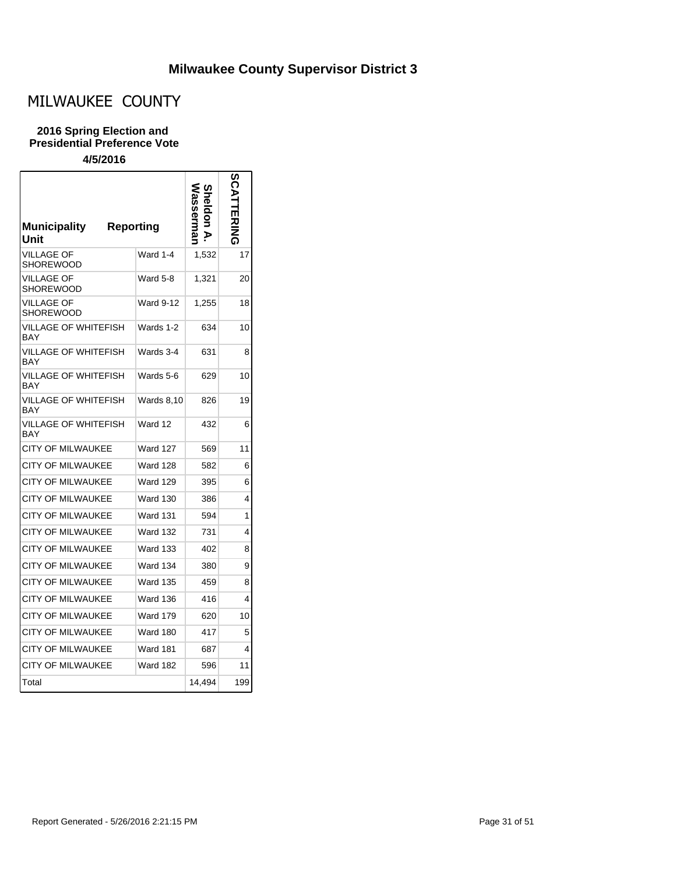## MILWAUKEE COUNTY

#### **2016 Spring Election and Presidential Preference Vote**

| <b>Municipality</b><br>Unit    | Reporting         |        |     |
|--------------------------------|-------------------|--------|-----|
| <b>VILLAGE OF</b><br>SHOREWOOD | Ward 1-4          | 1,532  | 17  |
| VILLAGE OF<br>SHOREWOOD        | Ward 5-8          | 1,321  | 20  |
| VILLAGE OF<br>SHOREWOOD        | Ward 9-12         | 1,255  | 18  |
| VILLAGE OF WHITEFISH<br>BAY    | Wards 1-2         | 634    | 10  |
| VILLAGE OF WHITEFISH<br>BAY    | Wards 3-4         | 631    | 8   |
| VILLAGE OF WHITEFISH<br>BAY    | Wards 5-6         | 629    | 10  |
| VILLAGE OF WHITEFISH<br>BAY    | <b>Wards 8,10</b> | 826    | 19  |
| VILLAGE OF WHITEFISH<br>BAY    | Ward 12           | 432    | 6   |
| CITY OF MILWAUKEE              | <b>Ward 127</b>   | 569    | 11  |
| <b>CITY OF MILWAUKEE</b>       | Ward 128          | 582    | 6   |
| <b>CITY OF MILWAUKEE</b>       | <b>Ward 129</b>   | 395    | 6   |
| <b>CITY OF MILWAUKEE</b>       | <b>Ward 130</b>   | 386    | 4   |
| <b>CITY OF MILWAUKEE</b>       | <b>Ward 131</b>   | 594    | 1   |
| <b>CITY OF MILWAUKEE</b>       | Ward 132          | 731    | 4   |
| <b>CITY OF MILWAUKEE</b>       | Ward 133          | 402    | 8   |
| CITY OF MILWAUKEE              | <b>Ward 134</b>   | 380    | 9   |
| <b>CITY OF MILWAUKEE</b>       | <b>Ward 135</b>   | 459    | 8   |
| <b>CITY OF MILWAUKEE</b>       | <b>Ward 136</b>   | 416    | 4   |
| <b>CITY OF MILWAUKEE</b>       | <b>Ward 179</b>   | 620    | 10  |
| <b>CITY OF MILWAUKEE</b>       | Ward 180          | 417    | 5   |
| <b>CITY OF MILWAUKEE</b>       | <b>Ward 181</b>   | 687    | 4   |
| <b>CITY OF MILWAUKEE</b>       | <b>Ward 182</b>   | 596    | 11  |
| Total                          |                   | 14.494 | 199 |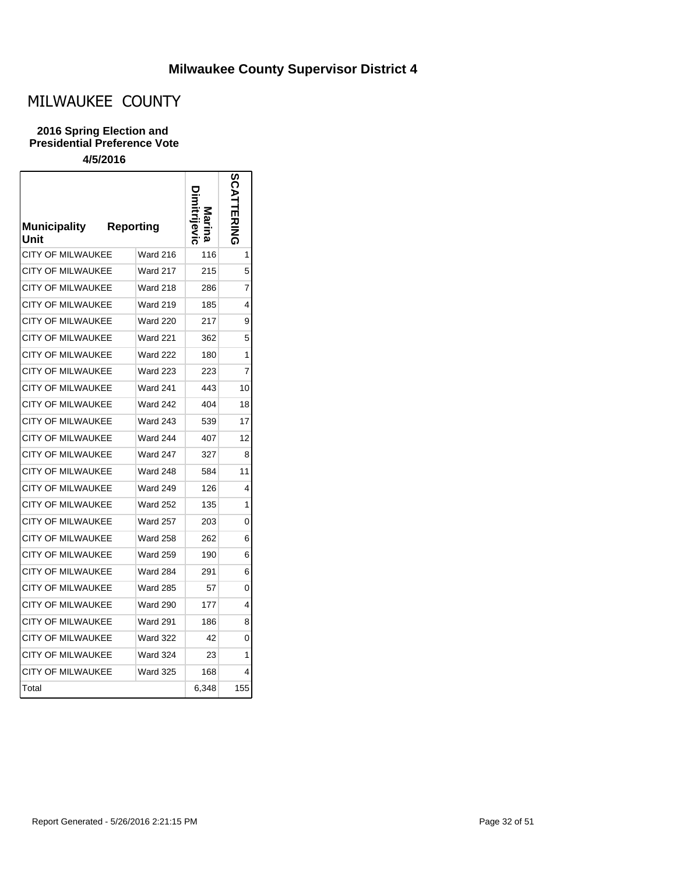# MILWAUKEE COUNTY

### **2016 Spring Election and Presidential Preference Vote**

| <b>Municipality</b><br>Unit | <b>Reporting</b> |       |     |
|-----------------------------|------------------|-------|-----|
| <b>CITY OF MILWAUKEE</b>    | Ward 216         | 116   | 1   |
| CITY OF MILWAUKEE           | Ward 217         | 215   | 5   |
| <b>CITY OF MILWAUKEE</b>    | Ward 218         | 286   | 7   |
| <b>CITY OF MILWAUKEE</b>    | <b>Ward 219</b>  | 185   | 4   |
| <b>CITY OF MILWAUKEE</b>    | <b>Ward 220</b>  | 217   | 9   |
| <b>CITY OF MILWAUKEE</b>    | <b>Ward 221</b>  | 362   | 5   |
| <b>CITY OF MILWAUKEE</b>    | <b>Ward 222</b>  | 180   | 1   |
| <b>CITY OF MILWAUKEE</b>    | Ward 223         | 223   | 7   |
| <b>CITY OF MILWAUKEE</b>    | <b>Ward 241</b>  | 443   | 10  |
| <b>CITY OF MILWAUKEE</b>    | Ward 242         | 404   | 18  |
| <b>CITY OF MILWAUKEE</b>    | Ward 243         | 539   | 17  |
| <b>CITY OF MILWAUKEE</b>    | <b>Ward 244</b>  | 407   | 12  |
| <b>CITY OF MILWAUKEE</b>    | <b>Ward 247</b>  | 327   | 8   |
| <b>CITY OF MILWAUKEE</b>    | <b>Ward 248</b>  | 584   | 11  |
| <b>CITY OF MILWAUKEE</b>    | <b>Ward 249</b>  | 126   | 4   |
| CITY OF MILWAUKEE           | <b>Ward 252</b>  | 135   | 1   |
| <b>CITY OF MILWAUKEE</b>    | <b>Ward 257</b>  | 203   | 0   |
| <b>CITY OF MILWAUKEE</b>    | <b>Ward 258</b>  | 262   | 6   |
| <b>CITY OF MILWAUKEE</b>    | <b>Ward 259</b>  | 190   | 6   |
| <b>CITY OF MILWAUKEE</b>    | <b>Ward 284</b>  | 291   | 6   |
| <b>CITY OF MILWAUKEE</b>    | <b>Ward 285</b>  | 57    | 0   |
| <b>CITY OF MILWAUKEE</b>    | <b>Ward 290</b>  | 177   | 4   |
| <b>CITY OF MILWAUKEE</b>    | <b>Ward 291</b>  | 186   | 8   |
| <b>CITY OF MILWAUKEE</b>    | <b>Ward 322</b>  | 42    | 0   |
| CITY OF MILWAUKEE           | <b>Ward 324</b>  | 23    | 1   |
| <b>CITY OF MILWAUKEE</b>    | <b>Ward 325</b>  | 168   | 4   |
| Total                       |                  | 6,348 | 155 |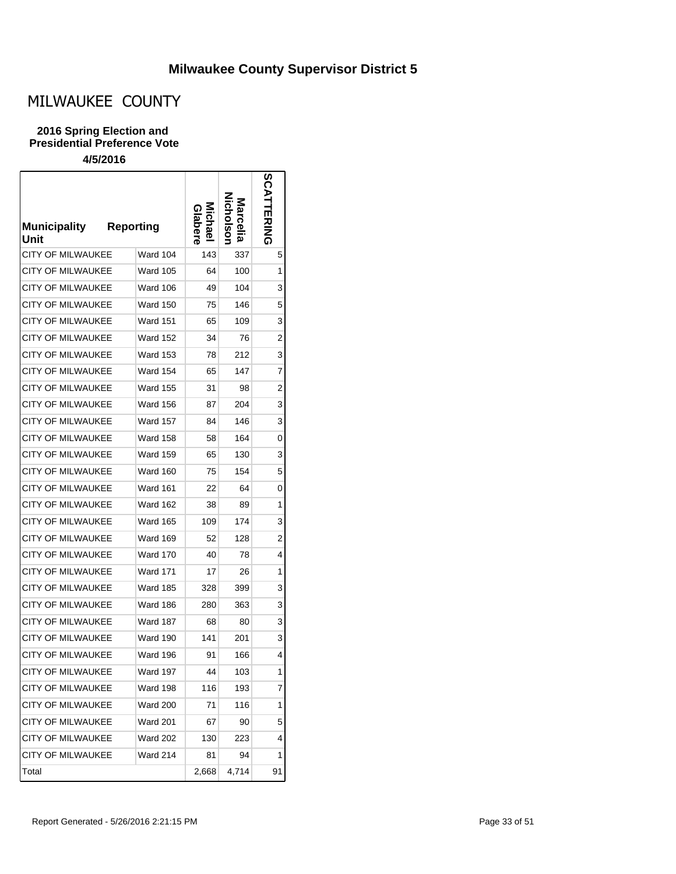# MILWAUKEE COUNTY

### **2016 Spring Election and Presidential Preference Vote**

| <b>Municipality</b><br>Unit | <b>Reporting</b> | Michae<br>labere | larcella | <b>SCA</b><br><b>TERING</b> |
|-----------------------------|------------------|------------------|----------|-----------------------------|
| <b>CITY OF MILWAUKEE</b>    | Ward 104         | 143              | 337      | 5                           |
| <b>CITY OF MILWAUKEE</b>    | Ward 105         | 64               | 100      | 1                           |
| <b>CITY OF MILWAUKEE</b>    | Ward 106         | 49               | 104      | 3                           |
| <b>CITY OF MILWAUKEE</b>    | Ward 150         | 75               | 146      | 5                           |
| <b>CITY OF MILWAUKEE</b>    | Ward 151         | 65               | 109      | 3                           |
| <b>CITY OF MILWAUKEE</b>    | Ward 152         | 34               | 76       | 2                           |
| <b>CITY OF MILWAUKEE</b>    | Ward 153         | 78               | 212      | 3                           |
| <b>CITY OF MILWAUKEE</b>    | <b>Ward 154</b>  | 65               | 147      | 7                           |
| <b>CITY OF MILWAUKEE</b>    | <b>Ward 155</b>  | 31               | 98       | 2                           |
| <b>CITY OF MILWAUKEE</b>    | <b>Ward 156</b>  | 87               | 204      | 3                           |
| <b>CITY OF MILWAUKEE</b>    | <b>Ward 157</b>  | 84               | 146      | 3                           |
| <b>CITY OF MILWAUKEE</b>    | <b>Ward 158</b>  | 58               | 164      | 0                           |
| <b>CITY OF MILWAUKEE</b>    | <b>Ward 159</b>  | 65               | 130      | 3                           |
| <b>CITY OF MILWAUKEE</b>    | Ward 160         | 75               | 154      | 5                           |
| <b>CITY OF MILWAUKEE</b>    | <b>Ward 161</b>  | 22               | 64       | 0                           |
| <b>CITY OF MILWAUKEE</b>    | <b>Ward 162</b>  | 38               | 89       | 1                           |
| <b>CITY OF MILWAUKEE</b>    | <b>Ward 165</b>  | 109              | 174      | 3                           |
| CITY OF MILWAUKEE           | Ward 169         | 52               | 128      | 2                           |
| <b>CITY OF MILWAUKEE</b>    | Ward 170         | 40               | 78       | 4                           |
| <b>CITY OF MILWAUKEE</b>    | <b>Ward 171</b>  | 17               | 26       | 1                           |
| <b>CITY OF MILWAUKEE</b>    | Ward 185         | 328              | 399      | 3                           |
| <b>CITY OF MILWAUKEE</b>    | <b>Ward 186</b>  | 280              | 363      | 3                           |
| <b>CITY OF MILWAUKEE</b>    | Ward 187         | 68               | 80       | 3                           |
| <b>CITY OF MILWAUKEE</b>    | Ward 190         | 141              | 201      | 3                           |
| <b>CITY OF MILWAUKEE</b>    | Ward 196         | 91               | 166      | 4                           |
| CITY OF MILWAUKEE           | Ward 197         | 44               | 103      | 1                           |
| <b>CITY OF MILWAUKEE</b>    | Ward 198         | 116              | 193      | 7                           |
| CITY OF MILWAUKEE           | <b>Ward 200</b>  | 71               | 116      | 1                           |
| CITY OF MILWAUKEE           | Ward 201         | 67               | 90       | 5                           |
| CITY OF MILWAUKEE           | Ward 202         | 130              | 223      | 4                           |
| <b>CITY OF MILWAUKEE</b>    | Ward 214         | 81               | 94       | 1                           |
| Total                       |                  | 2,668            | 4,714    | 91                          |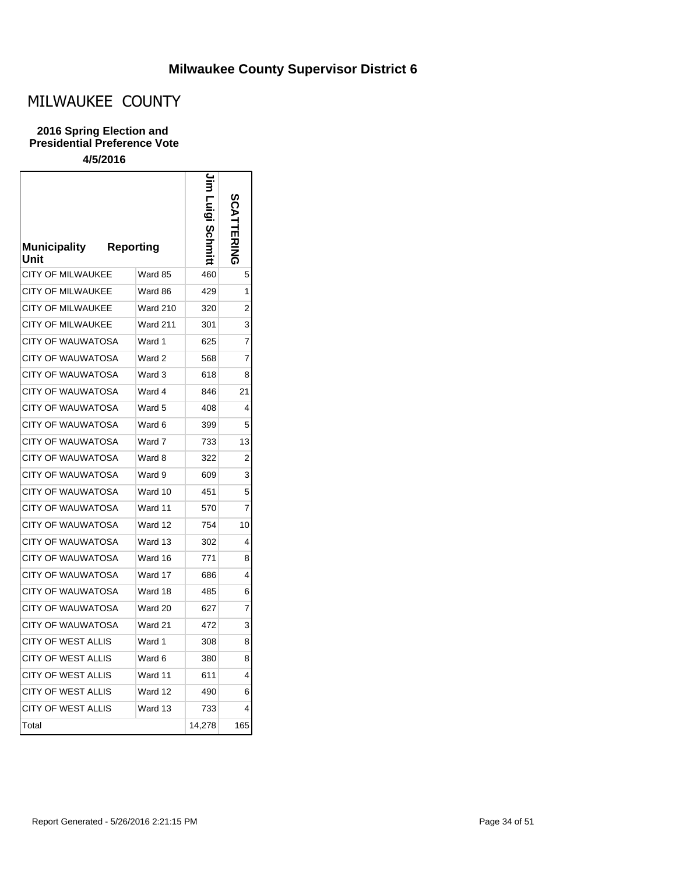## MILWAUKEE COUNTY

### **2016 Spring Election and Presidential Preference Vote**

| <b>Municipality</b><br>Unit | <b>Reporting</b> |        | ポオラ            |
|-----------------------------|------------------|--------|----------------|
| <b>CITY OF MILWAUKEE</b>    | Ward 85          | 460    | 5              |
| <b>CITY OF MILWAUKEE</b>    | Ward 86          | 429    | 1              |
| <b>CITY OF MILWAUKEE</b>    | <b>Ward 210</b>  | 320    | 2              |
| <b>CITY OF MILWAUKEE</b>    | <b>Ward 211</b>  | 301    | 3              |
| <b>CITY OF WAUWATOSA</b>    | Ward 1           | 625    | 7              |
| CITY OF WAUWATOSA           | Ward 2           | 568    | 7              |
| <b>CITY OF WAUWATOSA</b>    | Ward 3           | 618    | 8              |
| CITY OF WAUWATOSA           | Ward 4           | 846    | 21             |
| <b>CITY OF WAUWATOSA</b>    | Ward 5           | 408    | 4              |
| <b>CITY OF WAUWATOSA</b>    | Ward 6           | 399    | 5              |
| <b>CITY OF WAUWATOSA</b>    | Ward 7           | 733    | 13             |
| CITY OF WAUWATOSA           | Ward 8           | 322    | $\overline{2}$ |
| <b>CITY OF WAUWATOSA</b>    | Ward 9           | 609    | 3              |
| <b>CITY OF WAUWATOSA</b>    | Ward 10          | 451    | 5              |
| CITY OF WAUWATOSA           | Ward 11          | 570    | 7              |
| <b>CITY OF WAUWATOSA</b>    | Ward 12          | 754    | 10             |
| <b>CITY OF WAUWATOSA</b>    | Ward 13          | 302    | 4              |
| <b>CITY OF WAUWATOSA</b>    | Ward 16          | 771    | 8              |
| <b>CITY OF WAUWATOSA</b>    | Ward 17          | 686    | 4              |
| <b>CITY OF WAUWATOSA</b>    | Ward 18          | 485    | 6              |
| <b>CITY OF WAUWATOSA</b>    | Ward 20          | 627    | 7              |
| <b>CITY OF WAUWATOSA</b>    | Ward 21          | 472    | 3              |
| <b>CITY OF WEST ALLIS</b>   | Ward 1           | 308    | 8              |
| <b>CITY OF WEST ALLIS</b>   | Ward 6           | 380    | 8              |
| <b>CITY OF WEST ALLIS</b>   | Ward 11          | 611    | 4              |
| <b>CITY OF WEST ALLIS</b>   | Ward 12          | 490    | 6              |
| <b>CITY OF WEST ALLIS</b>   | Ward 13          | 733    | 4              |
| Total                       |                  | 14,278 | 165            |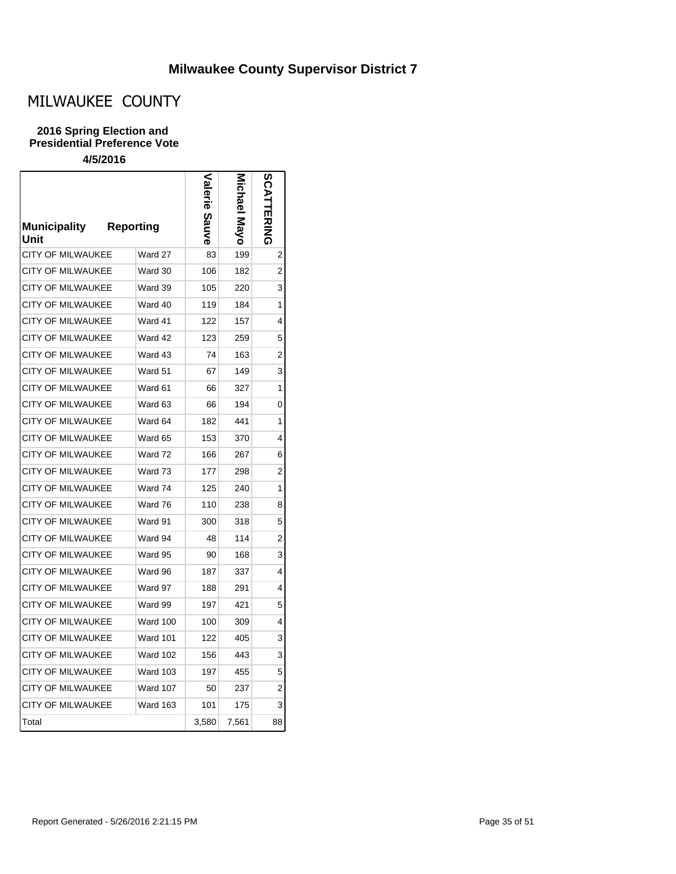# MILWAUKEE COUNTY

### **2016 Spring Election and Presidential Preference Vote**

| <b>Municipality</b><br>Unit | <b>Reporting</b> | Sauve | hael<br>פ∧i<br>ס∕ |    |
|-----------------------------|------------------|-------|-------------------|----|
| <b>CITY OF MILWAUKEE</b>    | Ward 27          | 83    | 199               | 2  |
| CITY OF MILWAUKEE           | Ward 30          | 106   | 182               | 2  |
| <b>CITY OF MILWAUKEE</b>    | Ward 39          | 105   | 220               | 3  |
| <b>CITY OF MILWAUKEE</b>    | Ward 40          | 119   | 184               | 1  |
| <b>CITY OF MILWAUKEE</b>    | Ward 41          | 122   | 157               | 4  |
| CITY OF MILWAUKEE           | Ward 42          | 123   | 259               | 5  |
| <b>CITY OF MILWAUKEE</b>    | Ward 43          | 74    | 163               | 2  |
| <b>CITY OF MILWAUKEE</b>    | Ward 51          | 67    | 149               | 3  |
| <b>CITY OF MILWAUKEE</b>    | Ward 61          | 66    | 327               | 1  |
| <b>CITY OF MILWAUKEE</b>    | Ward 63          | 66    | 194               | 0  |
| <b>CITY OF MILWAUKEE</b>    | Ward 64          | 182   | 441               | 1  |
| <b>CITY OF MILWAUKEE</b>    | Ward 65          | 153   | 370               | 4  |
| <b>CITY OF MILWAUKEE</b>    | Ward 72          | 166   | 267               | 6  |
| CITY OF MILWAUKEE           | Ward 73          | 177   | 298               | 2  |
| <b>CITY OF MILWAUKEE</b>    | Ward 74          | 125   | 240               | 1  |
| <b>CITY OF MILWAUKEE</b>    | Ward 76          | 110   | 238               | 8  |
| <b>CITY OF MILWAUKEE</b>    | Ward 91          | 300   | 318               | 5  |
| CITY OF MILWAUKEE           | Ward 94          | 48    | 114               | 2  |
| CITY OF MILWAUKEE           | Ward 95          | 90    | 168               | 3  |
| <b>CITY OF MILWAUKEE</b>    | Ward 96          | 187   | 337               | 4  |
| <b>CITY OF MILWAUKEE</b>    | Ward 97          | 188   | 291               | 4  |
| CITY OF MILWAUKEE           | Ward 99          | 197   | 421               | 5  |
| <b>CITY OF MILWAUKEE</b>    | Ward 100         | 100   | 309               | 4  |
| <b>CITY OF MILWAUKEE</b>    | <b>Ward 101</b>  | 122   | 405               | 3  |
| <b>CITY OF MILWAUKEE</b>    | <b>Ward 102</b>  | 156   | 443               | 3  |
| CITY OF MILWAUKEE           | <b>Ward 103</b>  | 197   | 455               | 5  |
| <b>CITY OF MILWAUKEE</b>    | Ward 107         | 50    | 237               | 2  |
| <b>CITY OF MILWAUKEE</b>    | <b>Ward 163</b>  | 101   | 175               | 3  |
| Total                       |                  | 3,580 | 7,561             | 88 |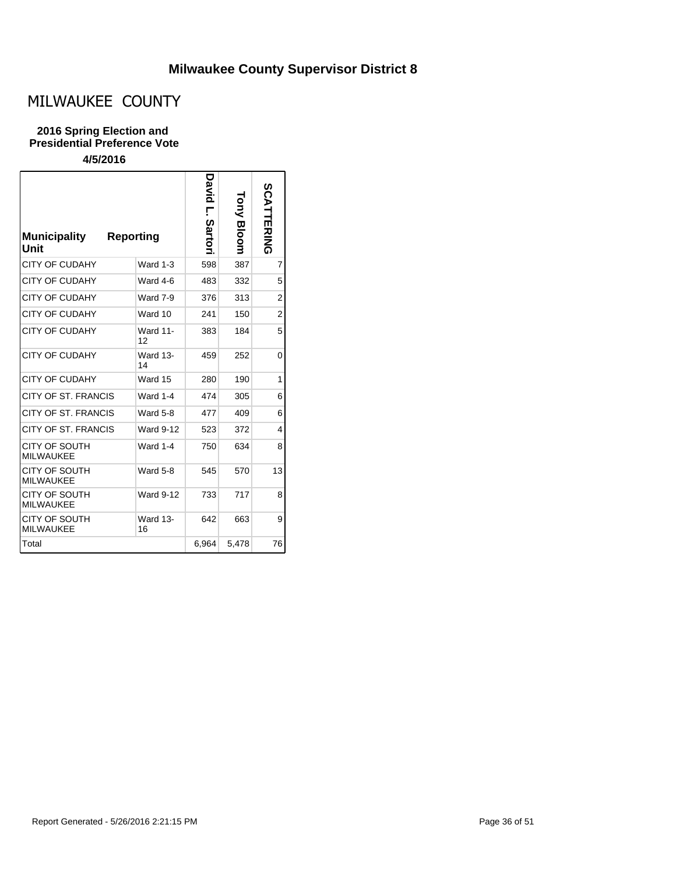# MILWAUKEE COUNTY

### **2016 Spring Election and Presidential Preference Vote**

| <b>Municipality</b><br>Unit              | <b>Reporting</b>      | David<br>ŗ<br><b>Sartor</b> | Auo<br><b>Bloom</b> | <b>SCATTERING</b> |
|------------------------------------------|-----------------------|-----------------------------|---------------------|-------------------|
| <b>CITY OF CUDAHY</b>                    | Ward $1-3$            | 598                         | 387                 | $\overline{7}$    |
| <b>CITY OF CUDAHY</b>                    | Ward 4-6              | 483                         | 332                 | 5                 |
| <b>CITY OF CUDAHY</b>                    | Ward 7-9              | 376                         | 313                 | $\overline{2}$    |
| <b>CITY OF CUDAHY</b>                    | Ward 10               | 241                         | 150                 | $\overline{2}$    |
| <b>CITY OF CUDAHY</b>                    | <b>Ward 11-</b><br>12 | 383                         | 184                 | 5                 |
| <b>CITY OF CUDAHY</b>                    | <b>Ward 13-</b><br>14 | 459                         | 252                 | 0                 |
| <b>CITY OF CUDAHY</b>                    | Ward 15               | 280                         | 190                 | 1                 |
| CITY OF ST. FRANCIS                      | <b>Ward 1-4</b>       | 474                         | 305                 | 6                 |
| CITY OF ST. FRANCIS                      | <b>Ward 5-8</b>       | 477                         | 409                 | 6                 |
| CITY OF ST. FRANCIS                      | <b>Ward 9-12</b>      | 523                         | 372                 | 4                 |
| CITY OF SOUTH<br><b>MILWAUKEE</b>        | Ward 1-4              | 750                         | 634                 | 8                 |
| CITY OF SOUTH<br><b>MILWAUKEE</b>        | Ward 5-8              | 545                         | 570                 | 13                |
| CITY OF SOUTH<br><b>MILWAUKEE</b>        | <b>Ward 9-12</b>      | 733                         | 717                 | 8                 |
| <b>CITY OF SOUTH</b><br><b>MILWAUKEE</b> | <b>Ward 13-</b><br>16 | 642                         | 663                 | 9                 |
| Total                                    |                       | 6,964                       | 5,478               | 76                |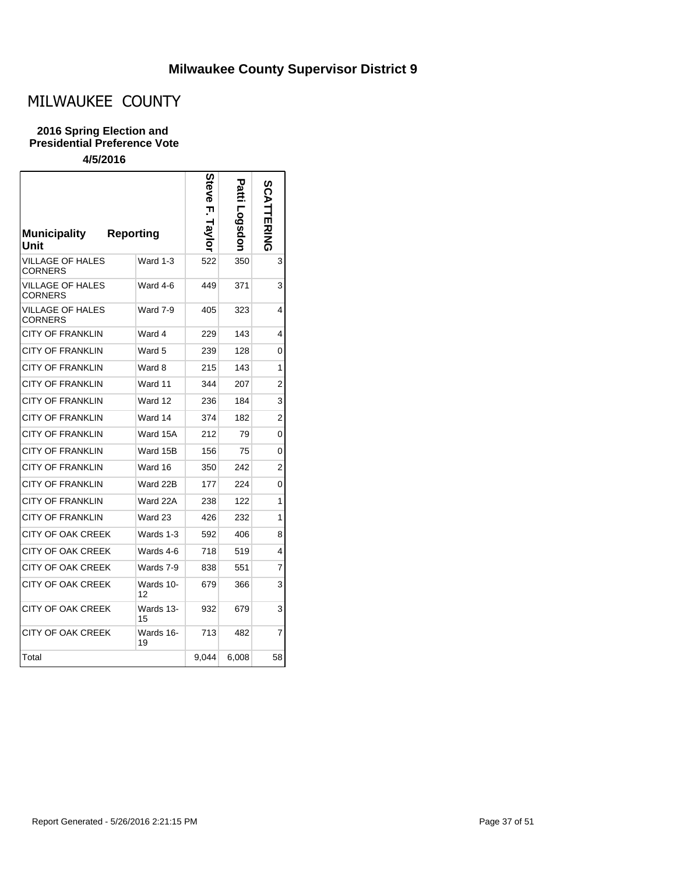# MILWAUKEE COUNTY

#### **2016 Spring Election and Presidential Preference Vote**

|                                    |                  | bteve         |       | <b>SCATTERING</b> |
|------------------------------------|------------------|---------------|-------|-------------------|
| <b>Municipality</b><br>Unit        | <b>Reporting</b> | <b>Iaviol</b> | opspo |                   |
| <b>VILLAGE OF HALES</b><br>CORNERS | Ward 1-3         | 522           | 350   | 3                 |
| VILLAGE OF HALES<br>CORNERS        | Ward 4-6         | 449           | 371   | 3                 |
| VILLAGE OF HALES<br><b>CORNERS</b> | Ward 7-9         | 405           | 323   | 4                 |
| <b>CITY OF FRANKLIN</b>            | Ward 4           | 229           | 143   | 4                 |
| <b>CITY OF FRANKLIN</b>            | Ward 5           | 239           | 128   | $\Omega$          |
| <b>CITY OF FRANKLIN</b>            | Ward 8           | 215           | 143   | 1                 |
| <b>CITY OF FRANKLIN</b>            | Ward 11          | 344           | 207   | 2                 |
| <b>CITY OF FRANKLIN</b>            | Ward 12          | 236           | 184   | 3                 |
| <b>CITY OF FRANKLIN</b>            | Ward 14          | 374           | 182   | $\overline{2}$    |
| <b>CITY OF FRANKLIN</b>            | Ward 15A         | 212           | 79    | 0                 |
| <b>CITY OF FRANKLIN</b>            | Ward 15B         | 156           | 75    | 0                 |
| <b>CITY OF FRANKLIN</b>            | Ward 16          | 350           | 242   | 2                 |
| CITY OF FRANKLIN                   | Ward 22B         | 177           | 224   | 0                 |
| <b>CITY OF FRANKLIN</b>            | Ward 22A         | 238           | 122   | 1                 |
| <b>CITY OF FRANKLIN</b>            | Ward 23          | 426           | 232   | 1                 |
| <b>CITY OF OAK CREEK</b>           | Wards 1-3        | 592           | 406   | 8                 |
| CITY OF OAK CREEK                  | Wards 4-6        | 718           | 519   | 4                 |
| <b>CITY OF OAK CREEK</b>           | Wards 7-9        | 838           | 551   | 7                 |
| <b>CITY OF OAK CREEK</b>           | Wards 10-<br>12  | 679           | 366   | 3                 |
| CITY OF OAK CREEK                  | Wards 13-<br>15  | 932           | 679   | 3                 |
| <b>CITY OF OAK CREEK</b>           | Wards 16-<br>19  | 713           | 482   | 7                 |
| Total                              |                  | 9,044         | 6,008 | 58                |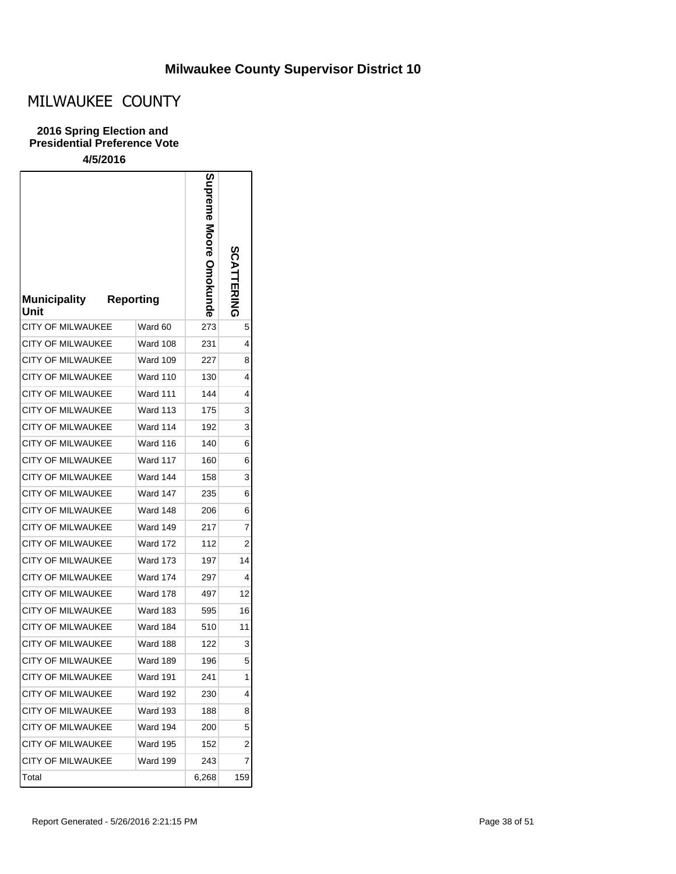# MILWAUKEE COUNTY

### **2016 Spring Election and Presidential Preference Vote**

| <b>Municipality</b><br>Unit | <b>Reporting</b> | Supreme Moore Omokund<br>ര | <b>SCATTERING</b> |
|-----------------------------|------------------|----------------------------|-------------------|
| <b>CITY OF MILWAUKEE</b>    | Ward 60          | 273                        | 5                 |
| <b>CITY OF MILWAUKEE</b>    | Ward 108         | 231                        | 4                 |
| <b>CITY OF MILWAUKEE</b>    | <b>Ward 109</b>  | 227                        | 8                 |
| <b>CITY OF MILWAUKEE</b>    | <b>Ward 110</b>  | 130                        | 4                 |
| <b>CITY OF MILWAUKEE</b>    | <b>Ward 111</b>  | 144                        | 4                 |
| <b>CITY OF MILWAUKEE</b>    | <b>Ward 113</b>  | 175                        | 3                 |
| <b>CITY OF MILWAUKEE</b>    | Ward 114         | 192                        | 3                 |
| <b>CITY OF MILWAUKEE</b>    | Ward 116         | 140                        | 6                 |
| <b>CITY OF MILWAUKEE</b>    | Ward 117         | 160                        | 6                 |
| <b>CITY OF MILWAUKEE</b>    | Ward 144         | 158                        | 3                 |
| <b>CITY OF MILWAUKEE</b>    | Ward 147         | 235                        | 6                 |
| <b>CITY OF MILWAUKEE</b>    | Ward 148         | 206                        | 6                 |
| <b>CITY OF MILWAUKEE</b>    | Ward 149         | 217                        | 7                 |
| <b>CITY OF MILWAUKEE</b>    | <b>Ward 172</b>  | 112                        | 2                 |
| <b>CITY OF MILWAUKEE</b>    | <b>Ward 173</b>  | 197                        | 14                |
| <b>CITY OF MILWAUKEE</b>    | <b>Ward 174</b>  | 297                        | 4                 |
| <b>CITY OF MILWAUKEE</b>    | <b>Ward 178</b>  | 497                        | 12                |
| <b>CITY OF MILWAUKEE</b>    | <b>Ward 183</b>  | 595                        | 16                |
| <b>CITY OF MILWAUKEE</b>    | Ward 184         | 510                        | 11                |
| <b>CITY OF MILWAUKEE</b>    | Ward 188         | 122                        | 3                 |
| <b>CITY OF MILWAUKEE</b>    | Ward 189         | 196                        | 5                 |
| CITY OF MILWAUKEE           | Ward 191         | 241                        | 1                 |
| <b>CITY OF MILWAUKEE</b>    | <b>Ward 192</b>  | 230                        | 4                 |
| <b>CITY OF MILWAUKEE</b>    | <b>Ward 193</b>  | 188                        | 8                 |
| <b>CITY OF MILWAUKEE</b>    | Ward 194         | 200                        | 5                 |
| <b>CITY OF MILWAUKEE</b>    | <b>Ward 195</b>  | 152                        | 2                 |
| <b>CITY OF MILWAUKEE</b>    | <b>Ward 199</b>  | 243                        | $\overline{7}$    |
| Total                       |                  | 6,268                      | 159               |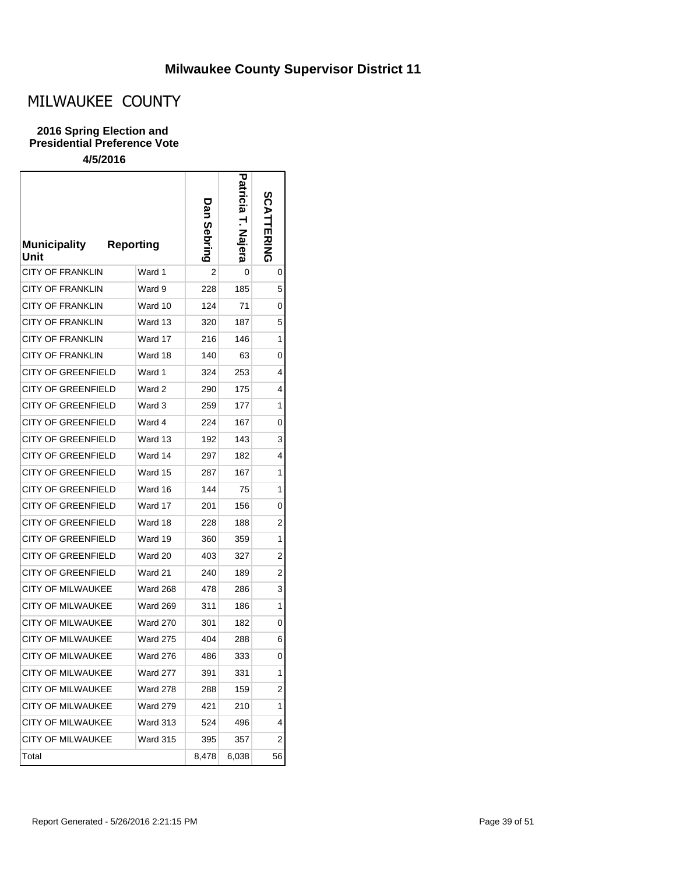# MILWAUKEE COUNTY

### **2016 Spring Election and Presidential Preference Vote**

| <b>Municipality</b><br>Unit | <b>Reporting</b> | Dan<br>Sebring | Patr<br><u>icia</u><br><u>Nal</u><br>lera | <b>SCATTERING</b> |
|-----------------------------|------------------|----------------|-------------------------------------------|-------------------|
| CITY OF FRANKLIN            | Ward 1           | 2              | 0                                         | 0                 |
| <b>CITY OF FRANKLIN</b>     | Ward 9           | 228            | 185                                       | 5                 |
| <b>CITY OF FRANKLIN</b>     | Ward 10          | 124            | 71                                        | 0                 |
| CITY OF FRANKLIN            | Ward 13          | 320            | 187                                       | 5                 |
| CITY OF FRANKLIN            | Ward 17          | 216            | 146                                       | 1                 |
| CITY OF FRANKLIN            | Ward 18          | 140            | 63                                        | 0                 |
| <b>CITY OF GREENFIELD</b>   | Ward 1           | 324            | 253                                       | 4                 |
| CITY OF GREENFIELD          | Ward 2           | 290            | 175                                       | 4                 |
| CITY OF GREENFIELD          | Ward 3           | 259            | 177                                       | 1                 |
| CITY OF GREENFIELD          | Ward 4           | 224            | 167                                       | 0                 |
| CITY OF GREENFIELD          | Ward 13          | 192            | 143                                       | 3                 |
| CITY OF GREENFIELD          | Ward 14          | 297            | 182                                       | 4                 |
| CITY OF GREENFIELD          | Ward 15          | 287            | 167                                       | 1                 |
| CITY OF GREENFIELD          | Ward 16          | 144            | 75                                        | 1                 |
| CITY OF GREENFIELD          | Ward 17          | 201            | 156                                       | 0                 |
| CITY OF GREENFIELD          | Ward 18          | 228            | 188                                       | 2                 |
| CITY OF GREENFIELD          | Ward 19          | 360            | 359                                       | 1                 |
| CITY OF GREENFIELD          | Ward 20          | 403            | 327                                       | 2                 |
| CITY OF GREENFIELD          | Ward 21          | 240            | 189                                       | 2                 |
| <b>CITY OF MILWAUKEE</b>    | <b>Ward 268</b>  | 478            | 286                                       | 3                 |
| CITY OF MILWAUKEE           | <b>Ward 269</b>  | 311            | 186                                       | 1                 |
| <b>CITY OF MILWAUKEE</b>    | <b>Ward 270</b>  | 301            | 182                                       | 0                 |
| CITY OF MILWAUKEE           | <b>Ward 275</b>  | 404            | 288                                       | 6                 |
| CITY OF MILWAUKEE           | <b>Ward 276</b>  | 486            | 333                                       | 0                 |
| CITY OF MILWAUKEE           | Ward 277         | 391            | 331                                       | 1                 |
| <b>CITY OF MILWAUKEE</b>    | <b>Ward 278</b>  | 288            | 159                                       | 2                 |
| CITY OF MILWAUKEE           | <b>Ward 279</b>  | 421            | 210                                       | 1                 |
| <b>CITY OF MILWAUKEE</b>    | <b>Ward 313</b>  | 524            | 496                                       | 4                 |
| CITY OF MILWAUKEE           | <b>Ward 315</b>  | 395            | 357                                       | 2                 |
| Total                       |                  | 8,478          | 6,038                                     | 56                |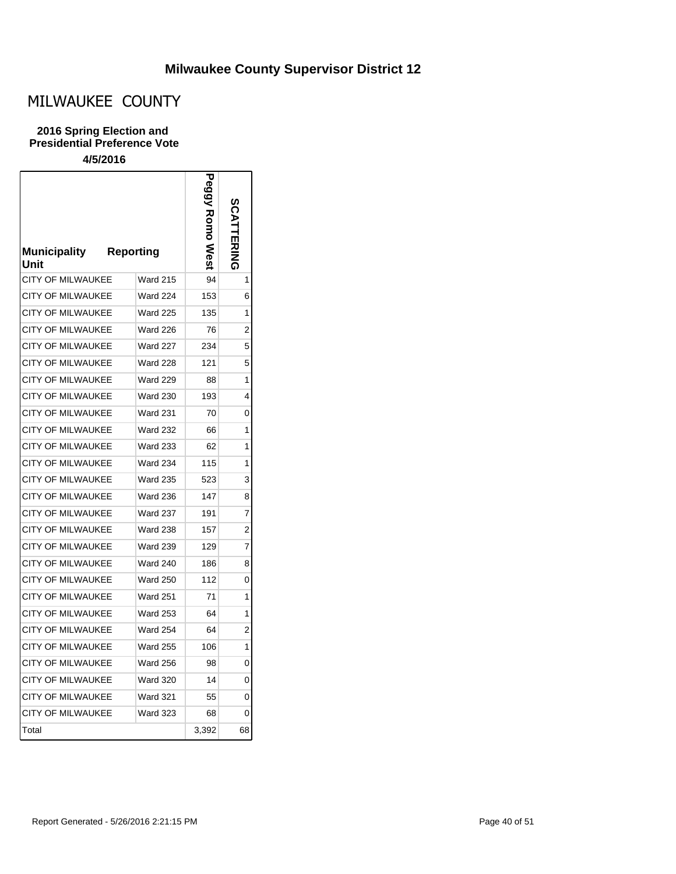# MILWAUKEE COUNTY

### **2016 Spring Election and Presidential Preference Vote**

| <b>Municipality</b><br>Unit | <b>Reporting</b> | <b>xomo</b><br>West | TERNING        |
|-----------------------------|------------------|---------------------|----------------|
| <b>CITY OF MILWAUKEE</b>    | <b>Ward 215</b>  | 94                  | 1              |
| <b>CITY OF MILWAUKEE</b>    | Ward 224         | 153                 | 6              |
| <b>CITY OF MILWAUKEE</b>    | <b>Ward 225</b>  | 135                 | 1              |
| <b>CITY OF MILWAUKEE</b>    | <b>Ward 226</b>  | 76                  | 2              |
| <b>CITY OF MILWAUKEE</b>    | <b>Ward 227</b>  | 234                 | 5              |
| CITY OF MILWAUKEE           | <b>Ward 228</b>  | 121                 | 5              |
| <b>CITY OF MILWAUKEE</b>    | <b>Ward 229</b>  | 88                  | 1              |
| <b>CITY OF MILWAUKEE</b>    | <b>Ward 230</b>  | 193                 | 4              |
| <b>CITY OF MILWAUKEE</b>    | <b>Ward 231</b>  | 70                  | 0              |
| CITY OF MILWAUKEE           | <b>Ward 232</b>  | 66                  | 1              |
| <b>CITY OF MILWAUKEE</b>    | <b>Ward 233</b>  | 62                  | 1              |
| CITY OF MILWAUKEE           | <b>Ward 234</b>  | 115                 | 1              |
| <b>CITY OF MILWAUKEE</b>    | <b>Ward 235</b>  | 523                 | 3              |
| <b>CITY OF MILWAUKEE</b>    | <b>Ward 236</b>  | 147                 | 8              |
| <b>CITY OF MILWAUKEE</b>    | <b>Ward 237</b>  | 191                 | 7              |
| <b>CITY OF MILWAUKEE</b>    | <b>Ward 238</b>  | 157                 | 2              |
| <b>CITY OF MILWAUKEE</b>    | <b>Ward 239</b>  | 129                 | 7              |
| <b>CITY OF MILWAUKEE</b>    | Ward 240         | 186                 | 8              |
| <b>CITY OF MILWAUKEE</b>    | <b>Ward 250</b>  | 112                 | 0              |
| CITY OF MILWAUKEE           | <b>Ward 251</b>  | 71                  | 1              |
| <b>CITY OF MILWAUKEE</b>    | <b>Ward 253</b>  | 64                  | 1              |
| <b>CITY OF MILWAUKEE</b>    | <b>Ward 254</b>  | 64                  | $\overline{c}$ |
| CITY OF MILWAUKEE           | <b>Ward 255</b>  | 106                 | 1              |
| <b>CITY OF MILWAUKEE</b>    | <b>Ward 256</b>  | 98                  | 0              |
| CITY OF MILWAUKEE           | <b>Ward 320</b>  | 14                  | 0              |
| <b>CITY OF MILWAUKEE</b>    | <b>Ward 321</b>  | 55                  | 0              |
| CITY OF MILWAUKEE           | <b>Ward 323</b>  | 68                  | 0              |
| Total                       |                  | 3.392               | 68             |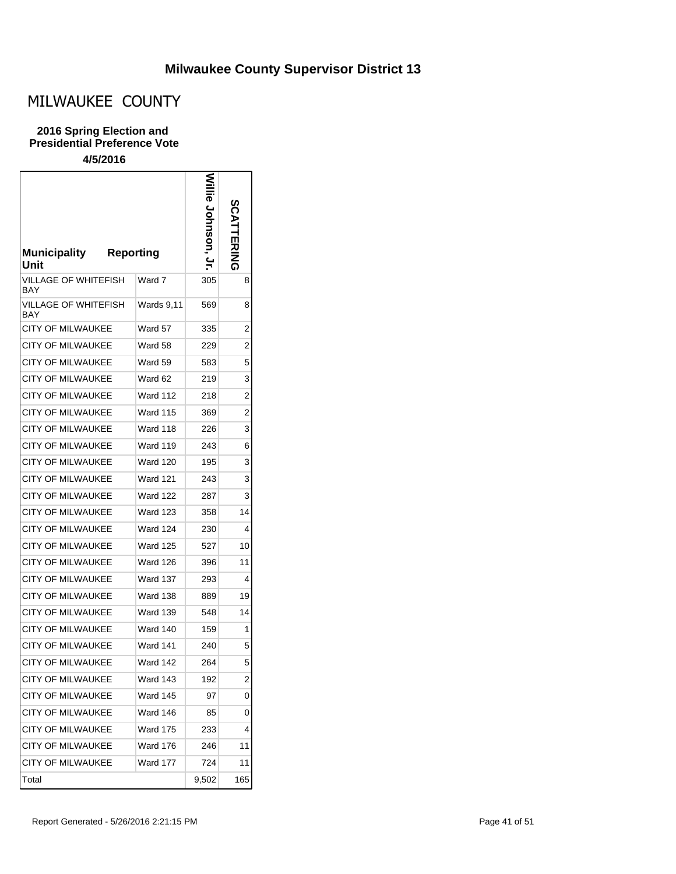# MILWAUKEE COUNTY

### **2016 Spring Election and Presidential Preference Vote**

| <b>Municipality</b><br>Unit        | <b>Reporting</b> | le Jonnson, | <b>SCATTERING</b> |
|------------------------------------|------------------|-------------|-------------------|
| VILLAGE OF WHITEFISH<br>BAY        | Ward 7           | 305         | 8                 |
| VILLAGE OF WHITEFISH<br><b>BAY</b> | Wards 9,11       | 569         | 8                 |
| CITY OF MILWAUKEE                  | Ward 57          | 335         | 2                 |
| <b>CITY OF MILWAUKEE</b>           | Ward 58          | 229         | 2                 |
| <b>CITY OF MILWAUKEE</b>           | Ward 59          | 583         | 5                 |
| CITY OF MILWAUKEE                  | Ward 62          | 219         | 3                 |
| <b>CITY OF MILWAUKEE</b>           | <b>Ward 112</b>  | 218         | 2                 |
| <b>CITY OF MILWAUKEE</b>           | <b>Ward 115</b>  | 369         | $\overline{2}$    |
| <b>CITY OF MILWAUKEE</b>           | Ward 118         | 226         | 3                 |
| CITY OF MILWAUKEE                  | Ward 119         | 243         | 6                 |
| CITY OF MILWAUKEE                  | <b>Ward 120</b>  | 195         | 3                 |
| CITY OF MILWAUKEE                  | <b>Ward 121</b>  | 243         | 3                 |
| CITY OF MILWAUKEE                  | Ward 122         | 287         | 3                 |
| CITY OF MILWAUKEE                  | Ward 123         | 358         | 14                |
| CITY OF MILWAUKEE                  | <b>Ward 124</b>  | 230         | 4                 |
| CITY OF MILWAUKEE                  | <b>Ward 125</b>  | 527         | 10                |
| CITY OF MILWAUKEE                  | <b>Ward 126</b>  | 396         | 11                |
| CITY OF MILWAUKEE                  | Ward 137         | 293         | 4                 |
| CITY OF MILWAUKEE                  | Ward 138         | 889         | 19                |
| <b>CITY OF MILWAUKEE</b>           | <b>Ward 139</b>  | 548         | 14                |
| <b>CITY OF MILWAUKEE</b>           | <b>Ward 140</b>  | 159         | 1                 |
| <b>CITY OF MILWAUKEE</b>           | <b>Ward 141</b>  | 240         | 5                 |
| <b>CITY OF MILWAUKEE</b>           | <b>Ward 142</b>  | 264         | 5                 |
| <b>CITY OF MILWAUKEE</b>           | Ward 143         | 192         | 2                 |
| <b>CITY OF MILWAUKEE</b>           | Ward 145         | 97          | 0                 |
| <b>CITY OF MILWAUKEE</b>           | Ward 146         | 85          | 0                 |
| CITY OF MILWAUKEE                  | Ward 175         | 233         | 4                 |
| CITY OF MILWAUKEE                  | Ward 176         | 246         | 11                |
| CITY OF MILWAUKEE                  | <b>Ward 177</b>  | 724         | 11                |
| Total                              |                  | 9,502       | 165               |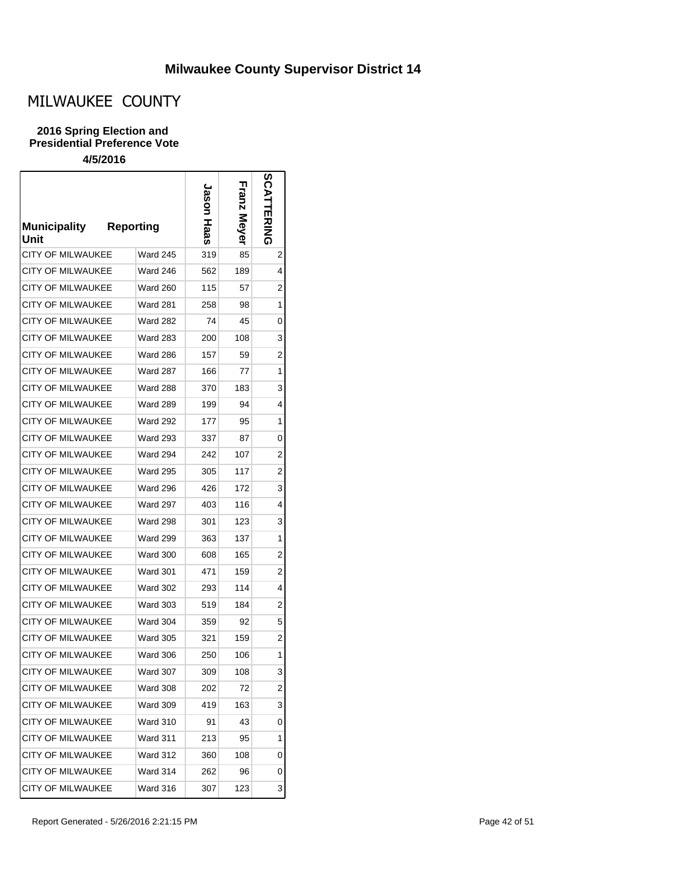# MILWAUKEE COUNTY

### **2016 Spring Election and Presidential Preference Vote**

| <b>Municipality</b><br>Unit | <b>Reporting</b> |                 | nason<br>Haas | ia<br>N<br>Mever | <b>SCA</b><br>ERING |
|-----------------------------|------------------|-----------------|---------------|------------------|---------------------|
| CITY OF MILWAUKEE           |                  | <b>Ward 245</b> | 319           | 85               | 2                   |
| <b>CITY OF MILWAUKEE</b>    |                  | Ward 246        | 562           | 189              | 4                   |
| <b>CITY OF MILWAUKEE</b>    |                  | <b>Ward 260</b> | 115           | 57               | 2                   |
| CITY OF MII WAUKEE          |                  | <b>Ward 281</b> | 258           | 98               | 1                   |
| <b>CITY OF MILWAUKEE</b>    |                  | <b>Ward 282</b> | 74            | 45               | 0                   |
| <b>CITY OF MILWAUKEE</b>    |                  | <b>Ward 283</b> | 200           | 108              | 3                   |
| <b>CITY OF MILWAUKEE</b>    |                  | <b>Ward 286</b> | 157           | 59               | 2                   |
| <b>CITY OF MILWAUKEE</b>    |                  | <b>Ward 287</b> | 166           | 77               | 1                   |
| CITY OF MILWAUKEE           |                  | <b>Ward 288</b> | 370           | 183              | 3                   |
| <b>CITY OF MILWAUKEE</b>    |                  | <b>Ward 289</b> | 199           | 94               | 4                   |
| <b>CITY OF MILWAUKEE</b>    |                  | <b>Ward 292</b> | 177           | 95               | 1                   |
| <b>CITY OF MILWAUKEE</b>    |                  | <b>Ward 293</b> | 337           | 87               | 0                   |
| CITY OF MILWAUKEE           |                  | <b>Ward 294</b> | 242           | 107              | 2                   |
| <b>CITY OF MILWAUKEE</b>    |                  | <b>Ward 295</b> | 305           | 117              | 2                   |
| <b>CITY OF MILWAUKEE</b>    |                  | <b>Ward 296</b> | 426           | 172              | 3                   |
| <b>CITY OF MILWAUKEE</b>    |                  | Ward 297        | 403           | 116              | 4                   |
| CITY OF MILWAUKEE           |                  | Ward 298        | 301           | 123              | 3                   |
| <b>CITY OF MILWAUKEE</b>    |                  | <b>Ward 299</b> | 363           | 137              | 1                   |
| <b>CITY OF MILWAUKEE</b>    |                  | Ward 300        | 608           | 165              | 2                   |
| <b>CITY OF MILWAUKEE</b>    |                  | Ward 301        | 471           | 159              | 2                   |
| CITY OF MILWAUKEE           |                  | Ward 302        | 293           | 114              | 4                   |
| <b>CITY OF MILWAUKEE</b>    |                  | <b>Ward 303</b> | 519           | 184              | 2                   |
| <b>CITY OF MILWAUKEE</b>    |                  | <b>Ward 304</b> | 359           | 92               | 5                   |
| <b>CITY OF MILWAUKEE</b>    |                  | <b>Ward 305</b> | 321           | 159              | 2                   |
| <b>CITY OF MILWAUKEE</b>    |                  | <b>Ward 306</b> | 250           | 106              | 1                   |
| CITY OF MILWAUKEE           |                  | Ward 307        | 309           | 108              | 3                   |
| <b>CITY OF MILWAUKEE</b>    |                  | <b>Ward 308</b> | 202           | 72               | 2                   |
| <b>CITY OF MILWAUKEE</b>    |                  | <b>Ward 309</b> | 419           | 163              | 3                   |
| <b>CITY OF MILWAUKEE</b>    |                  | <b>Ward 310</b> | 91            | 43               | 0                   |
| <b>CITY OF MILWAUKEE</b>    |                  | Ward 311        | 213           | 95               | 1                   |
| <b>CITY OF MILWAUKEE</b>    |                  | Ward 312        | 360           | 108              | 0                   |
| CITY OF MILWAUKEE           |                  | <b>Ward 314</b> | 262           | 96               | 0                   |
| CITY OF MILWAUKEE           |                  | <b>Ward 316</b> | 307           | 123              | 3                   |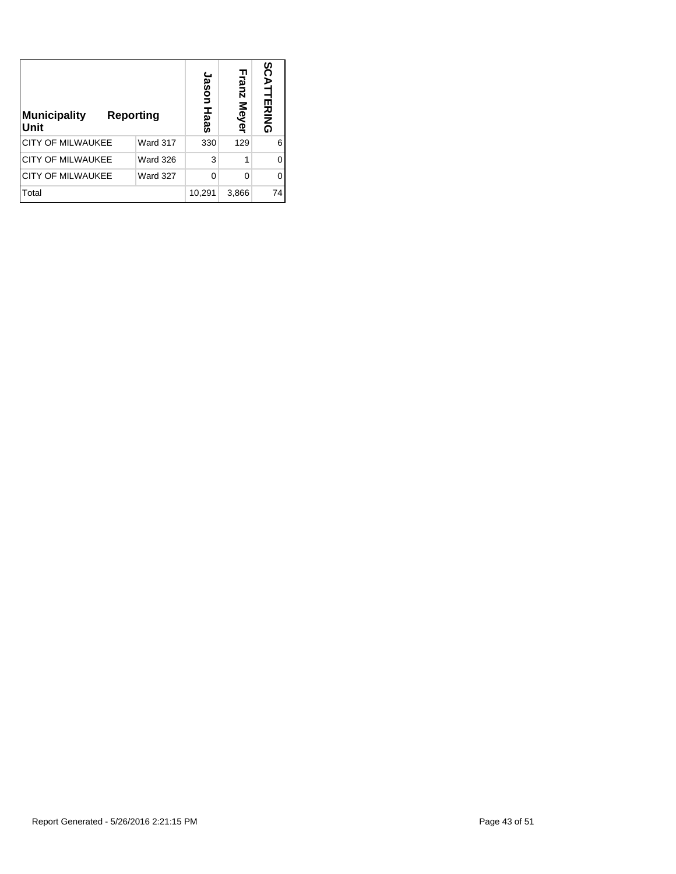| Municipality<br>Reporting<br>Unit |                 | Jason<br>Haas | Franz<br>: Meyer | SCATT<br>핑<br>동<br>이 |
|-----------------------------------|-----------------|---------------|------------------|----------------------|
| <b>CITY OF MILWAUKEE</b>          | Ward 317        | 330           | 129              | 6                    |
| <b>CITY OF MILWAUKEE</b>          | <b>Ward 326</b> | 3             |                  | ი                    |
| <b>CITY OF MILWAUKEE</b>          | <b>Ward 327</b> | 0             | O                |                      |
| Total                             |                 | 10,291        | 3,866            | 74                   |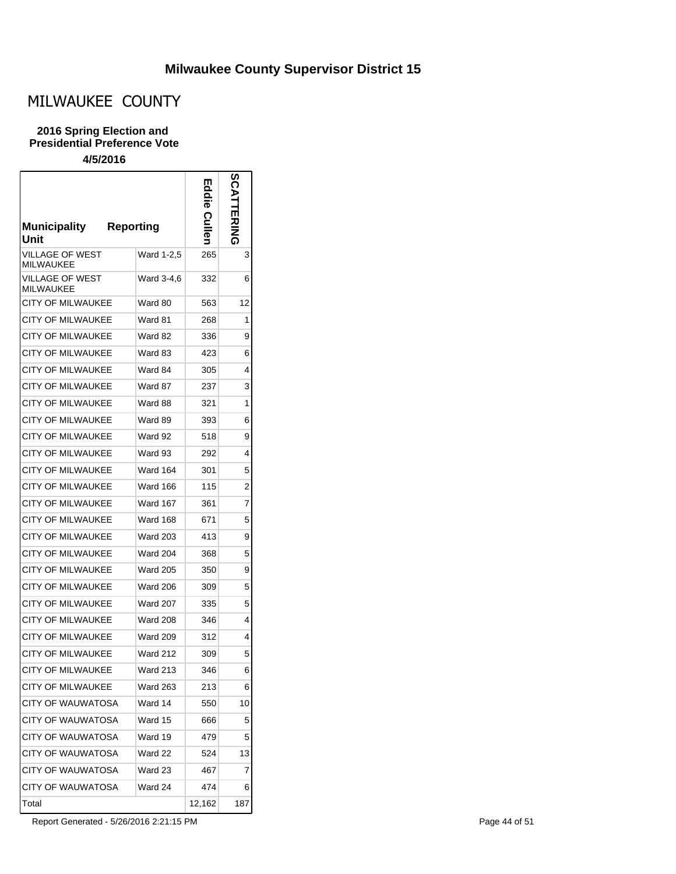# MILWAUKEE COUNTY

#### **2016 Spring Election and Presidential Preference Vote**

### **4/5/2016**

| <b>Municipality</b><br>Unit     | <b>Reporting</b> | ш<br>die<br>ወ | 8C             |
|---------------------------------|------------------|---------------|----------------|
| <b>AGE OF WEST</b><br>MILWAUKEE | Ward 1-2,5       | 265           | 3              |
| VILLAGE OF WEST<br>MILWAUKEE    | Ward 3-4,6       | 332           | 6              |
| CITY OF MILWAUKEE               | Ward 80          | 563           | 12             |
| <b>CITY OF MILWAUKEE</b>        | Ward 81          | 268           | 1              |
| CITY OF MILWAUKEE               | Ward 82          | 336           | 9              |
| <b>CITY OF MILWAUKEE</b>        | Ward 83          | 423           | 6              |
| <b>CITY OF MILWAUKEE</b>        | Ward 84          | 305           | 4              |
| <b>CITY OF MILWAUKEE</b>        | Ward 87          | 237           | 3              |
| <b>CITY OF MILWAUKEE</b>        | Ward 88          | 321           | 1              |
| <b>CITY OF MILWAUKEE</b>        | Ward 89          | 393           | 6              |
| CITY OF MII WAUKFF              | Ward 92          | 518           | 9              |
| <b>CITY OF MILWAUKEE</b>        | Ward 93          | 292           | 4              |
| <b>CITY OF MILWAUKEE</b>        | Ward 164         | 301           | 5              |
| <b>CITY OF MILWAUKEE</b>        | <b>Ward 166</b>  | 115           | $\overline{2}$ |
| <b>CITY OF MILWAUKEE</b>        | Ward 167         | 361           | 7              |
| CITY OF MILWAUKEE               | Ward 168         | 671           | 5              |
| <b>CITY OF MILWAUKEE</b>        | Ward 203         | 413           | 9              |
| <b>CITY OF MILWAUKEE</b>        | <b>Ward 204</b>  | 368           | 5              |
| <b>CITY OF MILWAUKEE</b>        | Ward 205         | 350           | 9              |
| CITY OF MILWAUKEE               | <b>Ward 206</b>  | 309           | 5              |
| <b>CITY OF MILWAUKEE</b>        | <b>Ward 207</b>  | 335           | 5              |
| <b>CITY OF MILWAUKEE</b>        | <b>Ward 208</b>  | 346           | 4              |
| <b>CITY OF MILWAUKEE</b>        | <b>Ward 209</b>  | 312           | 4              |
| <b>CITY OF MILWAUKEE</b>        | <b>Ward 212</b>  | 309           | 5              |
| <b>CITY OF MILWAUKEE</b>        | Ward 213         | 346           | 6              |
| <b>CITY OF MILWAUKEE</b>        | <b>Ward 263</b>  | 213           | 6              |
| <b>CITY OF WAUWATOSA</b>        | Ward 14          | 550           | 10             |
| CITY OF WAUWATOSA               | Ward 15          | 666           | 5              |
| <b>CITY OF WAUWATOSA</b>        | Ward 19          | 479           | 5              |
| CITY OF WAUWATOSA               | Ward 22          | 524           | 13             |
| CITY OF WAUWATOSA               | Ward 23          | 467           | 7              |
| CITY OF WAUWATOSA               | Ward 24          | 474           | 6              |
| Total                           |                  | 12,162        | 187            |

Report Generated - 5/26/2016 2:21:15 PM each control of the control of the Page 44 of 51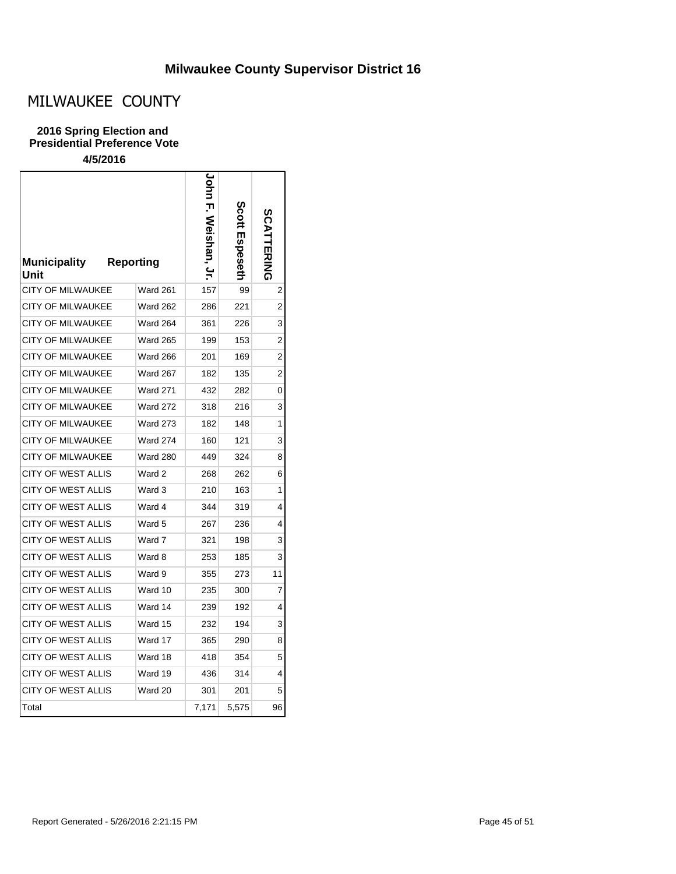# MILWAUKEE COUNTY

### **2016 Spring Election and Presidential Preference Vote**

| <b>Municipality</b><br>Unit | <b>Reporting</b> | $\frac{c}{\rho}$<br>Weishan, Jr. | Scott<br>Spesetr | <b>SCATTERING</b> |
|-----------------------------|------------------|----------------------------------|------------------|-------------------|
| <b>CITY OF MILWAUKEE</b>    | <b>Ward 261</b>  | 157                              | 99               | 2                 |
| <b>CITY OF MILWAUKEE</b>    | <b>Ward 262</b>  | 286                              | 221              | 2                 |
| CITY OF MILWAUKEE           | Ward 264         | 361                              | 226              | 3                 |
| CITY OF MILWAUKEE           | <b>Ward 265</b>  | 199                              | 153              | 2                 |
| <b>CITY OF MILWAUKEE</b>    | <b>Ward 266</b>  | 201                              | 169              | 2                 |
| <b>CITY OF MILWAUKEE</b>    | Ward 267         | 182                              | 135              | 2                 |
| <b>CITY OF MILWAUKEE</b>    | <b>Ward 271</b>  | 432                              | 282              | 0                 |
| <b>CITY OF MILWAUKEE</b>    | <b>Ward 272</b>  | 318                              | 216              | 3                 |
| CITY OF MILWAUKEE           | <b>Ward 273</b>  | 182                              | 148              | 1                 |
| <b>CITY OF MILWAUKEE</b>    | <b>Ward 274</b>  | 160                              | 121              | 3                 |
| CITY OF MILWAUKEE           | <b>Ward 280</b>  | 449                              | 324              | 8                 |
| <b>CITY OF WEST ALLIS</b>   | Ward 2           | 268                              | 262              | 6                 |
| CITY OF WEST ALLIS          | Ward 3           | 210                              | 163              | 1                 |
| <b>CITY OF WEST ALLIS</b>   | Ward 4           | 344                              | 319              | 4                 |
| <b>CITY OF WEST ALLIS</b>   | Ward 5           | 267                              | 236              | 4                 |
| CITY OF WEST ALLIS          | Ward 7           | 321                              | 198              | 3                 |
| <b>CITY OF WEST ALLIS</b>   | Ward 8           | 253                              | 185              | 3                 |
| CITY OF WEST ALLIS          | Ward 9           | 355                              | 273              | 11                |
| <b>CITY OF WEST ALLIS</b>   | Ward 10          | 235                              | 300              | 7                 |
| <b>CITY OF WEST ALLIS</b>   | Ward 14          | 239                              | 192              | 4                 |
| <b>CITY OF WEST ALLIS</b>   | Ward 15          | 232                              | 194              | 3                 |
| CITY OF WEST ALLIS          | Ward 17          | 365                              | 290              | 8                 |
| CITY OF WEST ALLIS          | Ward 18          | 418                              | 354              | 5                 |
| <b>CITY OF WEST ALLIS</b>   | Ward 19          | 436                              | 314              | 4                 |
| <b>CITY OF WEST ALLIS</b>   | Ward 20          | 301                              | 201              | 5                 |
| Total                       |                  | 7,171                            | 5,575            | 96                |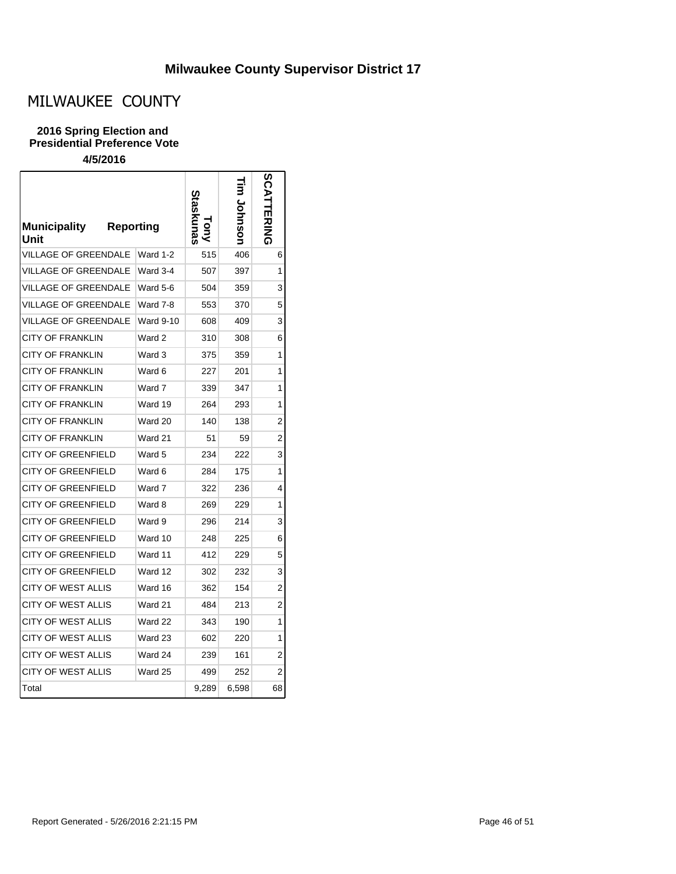# MILWAUKEE COUNTY

### **2016 Spring Election and Presidential Preference Vote**

| <b>Municipality</b><br><b>Reporting</b><br>Unit |                  | raskunas | Johnson | <b>SCATTERING</b> |
|-------------------------------------------------|------------------|----------|---------|-------------------|
| <b>VILLAGE OF GREENDALE</b>                     | Ward 1-2         | 515      | 406     | 6                 |
| <b>VILLAGE OF GREENDALE</b>                     | Ward 3-4         | 507      | 397     | 1                 |
| <b>VILLAGE OF GREENDALE</b>                     | Ward 5-6         | 504      | 359     | 3                 |
| <b>VILLAGE OF GREENDALE</b>                     | Ward 7-8         | 553      | 370     | 5                 |
| VILLAGE OF GREENDALE                            | <b>Ward 9-10</b> | 608      | 409     | 3                 |
| <b>CITY OF FRANKLIN</b>                         | Ward 2           | 310      | 308     | 6                 |
| <b>CITY OF FRANKLIN</b>                         | Ward 3           | 375      | 359     | 1                 |
| <b>CITY OF FRANKLIN</b>                         | Ward 6           | 227      | 201     | 1                 |
| <b>CITY OF FRANKLIN</b>                         | Ward 7           | 339      | 347     | 1                 |
| <b>CITY OF FRANKLIN</b>                         | Ward 19          | 264      | 293     | 1                 |
| <b>CITY OF FRANKLIN</b>                         | Ward 20          | 140      | 138     | 2                 |
| <b>CITY OF FRANKLIN</b>                         | Ward 21          | 51       | 59      | 2                 |
| <b>CITY OF GREENFIELD</b>                       | Ward 5           | 234      | 222     | 3                 |
| <b>CITY OF GREENFIELD</b>                       | Ward 6           | 284      | 175     | 1                 |
| <b>CITY OF GREENFIELD</b>                       | Ward 7           | 322      | 236     | 4                 |
| CITY OF GREENFIELD                              | Ward 8           | 269      | 229     | 1                 |
| <b>CITY OF GREENFIELD</b>                       | Ward 9           | 296      | 214     | 3                 |
| <b>CITY OF GREENFIELD</b>                       | Ward 10          | 248      | 225     | 6                 |
| <b>CITY OF GREENFIELD</b>                       | Ward 11          | 412      | 229     | 5                 |
| <b>CITY OF GREENFIELD</b>                       | Ward 12          | 302      | 232     | 3                 |
| <b>CITY OF WEST ALLIS</b>                       | Ward 16          | 362      | 154     | 2                 |
| <b>CITY OF WEST ALLIS</b>                       | Ward 21          | 484      | 213     | 2                 |
| <b>CITY OF WEST ALLIS</b>                       | Ward 22          | 343      | 190     | 1                 |
| <b>CITY OF WEST ALLIS</b>                       | Ward 23          | 602      | 220     | 1                 |
| <b>CITY OF WEST ALLIS</b>                       | Ward 24          | 239      | 161     | 2                 |
| <b>CITY OF WEST ALLIS</b>                       | Ward 25          | 499      | 252     | 2                 |
| Total                                           |                  | 9,289    | 6,598   | 68                |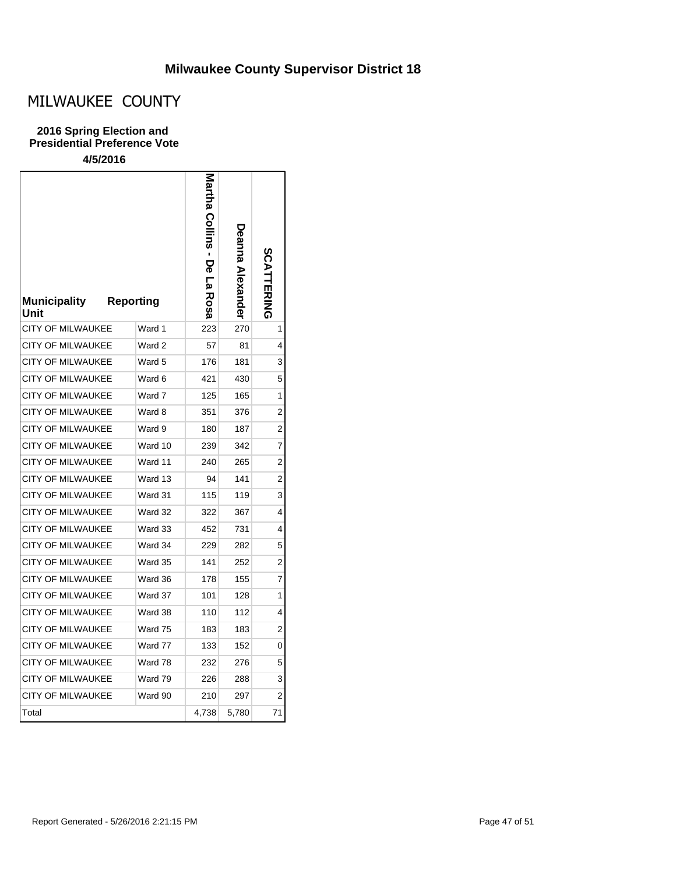# MILWAUKEE COUNTY

### **2016 Spring Election and Presidential Preference Vote**

| <b>Municipality</b><br>Unit | <b>Reporting</b> | Martha Collins - De<br>5<br>Rosa | Deanna Alexander | <b>SCATTERING</b> |
|-----------------------------|------------------|----------------------------------|------------------|-------------------|
| <b>CITY OF MILWAUKEE</b>    | Ward 1           | 223                              | 270              | 1                 |
| <b>CITY OF MILWAUKEE</b>    | Ward 2           | 57                               | 81               | 4                 |
| <b>CITY OF MILWAUKEE</b>    | Ward 5           | 176                              | 181              | 3                 |
| <b>CITY OF MILWAUKEE</b>    | Ward 6           | 421                              | 430              | 5                 |
| <b>CITY OF MILWAUKEE</b>    | Ward 7           | 125                              | 165              | 1                 |
| <b>CITY OF MILWAUKEE</b>    | Ward 8           | 351                              | 376              | 2                 |
| <b>CITY OF MILWAUKEE</b>    | Ward 9           | 180                              | 187              | 2                 |
| <b>CITY OF MILWAUKEE</b>    | Ward 10          | 239                              | 342              | 7                 |
| <b>CITY OF MILWAUKEE</b>    | Ward 11          | 240                              | 265              | 2                 |
| <b>CITY OF MILWAUKEE</b>    | Ward 13          | 94                               | 141              | 2                 |
| <b>CITY OF MILWAUKEE</b>    | Ward 31          | 115                              | 119              | 3                 |
| CITY OF MILWAUKEE           | Ward 32          | 322                              | 367              | 4                 |
| <b>CITY OF MILWAUKEE</b>    | Ward 33          | 452                              | 731              | 4                 |
| <b>CITY OF MILWAUKEE</b>    | Ward 34          | 229                              | 282              | 5                 |
| CITY OF MILWAUKEE           | Ward 35          | 141                              | 252              | 2                 |
| <b>CITY OF MILWAUKEE</b>    | Ward 36          | 178                              | 155              | 7                 |
| <b>CITY OF MILWAUKEE</b>    | Ward 37          | 101                              | 128              | 1                 |
| <b>CITY OF MILWAUKEE</b>    | Ward 38          | 110                              | 112              | 4                 |
| <b>CITY OF MILWAUKEE</b>    | Ward 75          | 183                              | 183              | 2                 |
| <b>CITY OF MILWAUKEE</b>    | Ward 77          | 133                              | 152              | 0                 |
| <b>CITY OF MILWAUKEE</b>    | Ward 78          | 232                              | 276              | 5                 |
| <b>CITY OF MILWAUKEE</b>    | Ward 79          | 226                              | 288              | 3                 |
| <b>CITY OF MILWAUKEE</b>    | Ward 90          | 210                              | 297              | 2                 |
| Total                       |                  | 4,738                            | 5,780            | 71                |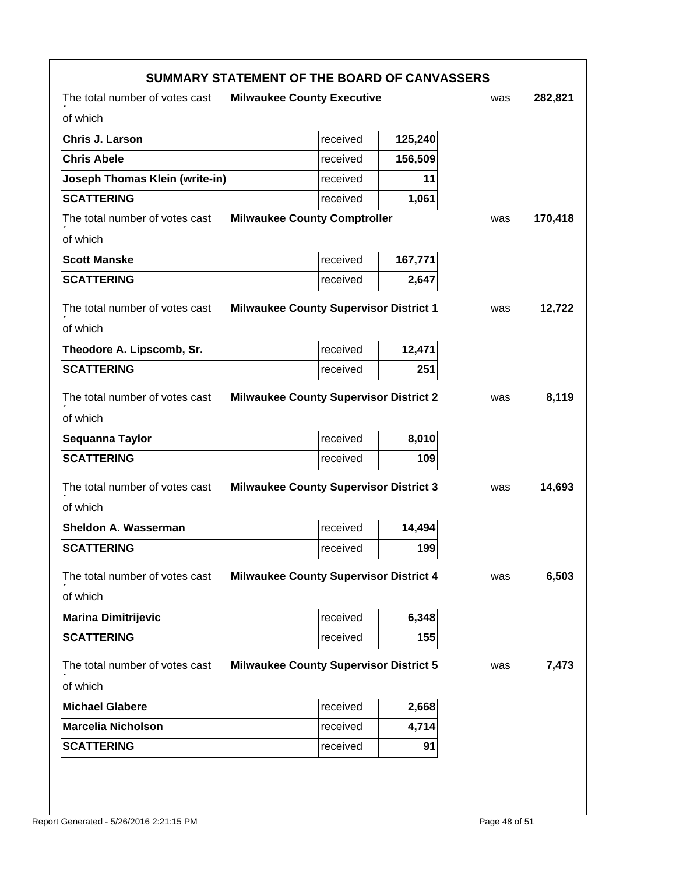|                                                                       | SUMMARY STATEMENT OF THE BOARD OF CANVASSERS  |         |     |         |
|-----------------------------------------------------------------------|-----------------------------------------------|---------|-----|---------|
| The total number of votes cast                                        | <b>Milwaukee County Executive</b>             |         | was | 282,821 |
| of which                                                              |                                               |         |     |         |
| Chris J. Larson                                                       | received                                      | 125,240 |     |         |
| <b>Chris Abele</b>                                                    | received                                      | 156,509 |     |         |
| Joseph Thomas Klein (write-in)                                        | received                                      | 11      |     |         |
| <b>SCATTERING</b>                                                     | received                                      | 1,061   |     |         |
| The total number of votes cast                                        | <b>Milwaukee County Comptroller</b>           |         | was | 170,418 |
| of which                                                              |                                               |         |     |         |
| <b>Scott Manske</b>                                                   | received                                      | 167,771 |     |         |
| <b>SCATTERING</b>                                                     | received                                      | 2,647   |     |         |
| The total number of votes cast                                        | <b>Milwaukee County Supervisor District 1</b> |         | was | 12,722  |
| of which                                                              |                                               |         |     |         |
| Theodore A. Lipscomb, Sr.                                             | received                                      | 12,471  |     |         |
| <b>SCATTERING</b>                                                     | received                                      | 251     |     |         |
| The total number of votes cast                                        | <b>Milwaukee County Supervisor District 2</b> |         | was | 8,119   |
| of which                                                              |                                               |         |     |         |
| Sequanna Taylor                                                       | received                                      | 8,010   |     |         |
| <b>SCATTERING</b>                                                     | received                                      | 109     |     |         |
| The total number of votes cast                                        | <b>Milwaukee County Supervisor District 3</b> |         | was | 14,693  |
| of which                                                              |                                               |         |     |         |
| Sheldon A. Wasserman                                                  | received                                      | 14,494  |     |         |
| <b>SCATTERING</b>                                                     | received                                      | 199     |     |         |
| The total number of votes cast Milwaukee County Supervisor District 4 |                                               |         | was | 6,503   |
| of which                                                              |                                               |         |     |         |
| <b>Marina Dimitrijevic</b>                                            | received                                      | 6,348   |     |         |
| <b>SCATTERING</b>                                                     | received                                      | 155     |     |         |
| The total number of votes cast                                        | <b>Milwaukee County Supervisor District 5</b> |         | was | 7,473   |
| of which                                                              |                                               |         |     |         |
| <b>Michael Glabere</b>                                                | received                                      | 2,668   |     |         |
| <b>Marcelia Nicholson</b>                                             | received                                      | 4,714   |     |         |
| <b>SCATTERING</b>                                                     | received                                      | 91      |     |         |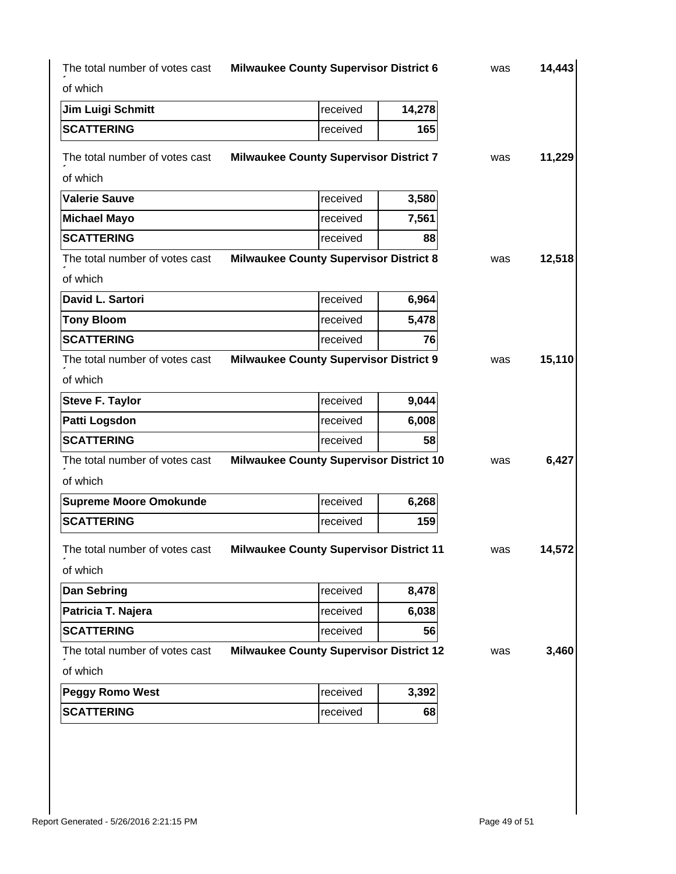| 14,443 | was |        | <b>Milwaukee County Supervisor District 6</b>  | The total number of votes cast |
|--------|-----|--------|------------------------------------------------|--------------------------------|
|        |     |        |                                                | of which                       |
|        |     | 14,278 | received                                       | Jim Luigi Schmitt              |
|        |     | 165    | received                                       | <b>SCATTERING</b>              |
| 11,229 | was |        | <b>Milwaukee County Supervisor District 7</b>  | The total number of votes cast |
|        |     |        |                                                | of which                       |
|        |     | 3,580  | received                                       | <b>Valerie Sauve</b>           |
|        |     | 7,561  | received                                       | <b>Michael Mayo</b>            |
|        |     | 88     | received                                       | <b>SCATTERING</b>              |
| 12,518 | was |        | <b>Milwaukee County Supervisor District 8</b>  | The total number of votes cast |
|        |     |        |                                                | of which                       |
|        |     | 6,964  | received                                       | David L. Sartori               |
|        |     | 5,478  | received                                       | <b>Tony Bloom</b>              |
|        |     | 76     | received                                       | <b>SCATTERING</b>              |
| 15,110 | was |        | <b>Milwaukee County Supervisor District 9</b>  | The total number of votes cast |
|        |     |        |                                                | of which                       |
|        |     | 9,044  | received                                       | <b>Steve F. Taylor</b>         |
|        |     | 6,008  | received                                       | Patti Logsdon                  |
|        |     | 58     | received                                       | <b>SCATTERING</b>              |
| 6,427  | was |        | <b>Milwaukee County Supervisor District 10</b> | The total number of votes cast |
|        |     |        |                                                | of which                       |
|        |     | 6,268  | received                                       | <b>Supreme Moore Omokunde</b>  |
|        |     | 159    | received                                       | <b>SCATTERING</b>              |
| 14.572 | was |        | <b>Milwaukee County Supervisor District 11</b> | The total number of votes cast |
|        |     |        |                                                | of which                       |
|        |     | 8,478  | received                                       | <b>Dan Sebring</b>             |
|        |     | 6,038  | received                                       | Patricia T. Najera             |
|        |     | 56     | received                                       | <b>SCATTERING</b>              |
|        |     |        |                                                |                                |
| 3,460  | was |        | <b>Milwaukee County Supervisor District 12</b> | The total number of votes cast |
|        |     |        |                                                | of which                       |
|        |     | 3,392  | received                                       | <b>Peggy Romo West</b>         |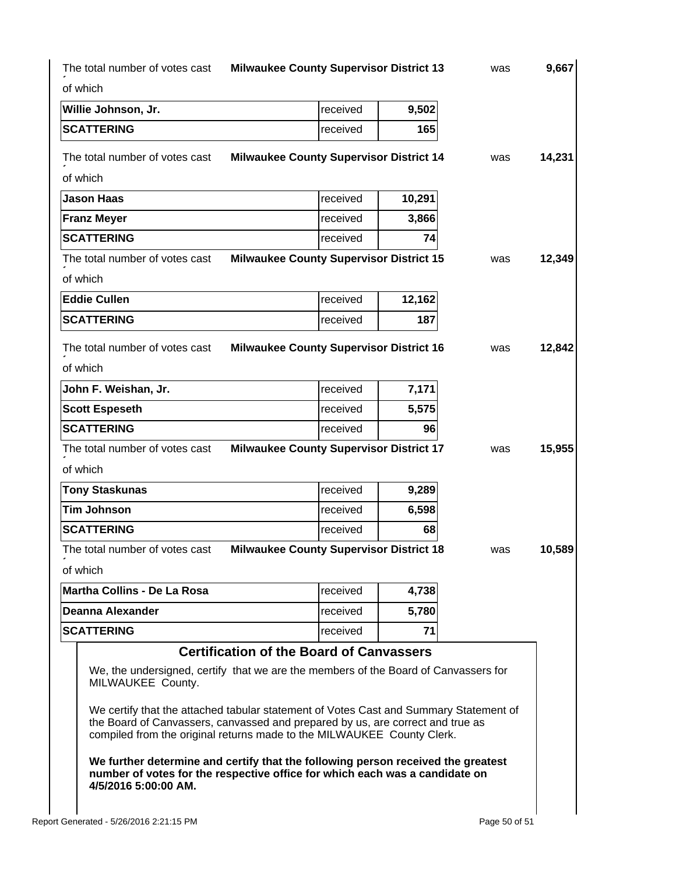|                                                                                    |                                                 | received | 9,502  |                                                                                     |        |
|------------------------------------------------------------------------------------|-------------------------------------------------|----------|--------|-------------------------------------------------------------------------------------|--------|
| <b>SCATTERING</b>                                                                  |                                                 | received | 165    |                                                                                     |        |
| The total number of votes cast<br>of which                                         | <b>Milwaukee County Supervisor District 14</b>  |          |        | was                                                                                 | 14,231 |
| <b>Jason Haas</b>                                                                  |                                                 | received | 10,291 |                                                                                     |        |
| <b>Franz Meyer</b>                                                                 |                                                 | received | 3,866  |                                                                                     |        |
| <b>SCATTERING</b>                                                                  |                                                 | received | 74     |                                                                                     |        |
| The total number of votes cast<br>of which                                         | <b>Milwaukee County Supervisor District 15</b>  |          |        | was                                                                                 | 12,349 |
| <b>Eddie Cullen</b>                                                                |                                                 | received | 12,162 |                                                                                     |        |
| <b>SCATTERING</b>                                                                  |                                                 | received | 187    |                                                                                     |        |
| The total number of votes cast<br>of which                                         | <b>Milwaukee County Supervisor District 16</b>  |          |        | was                                                                                 | 12,842 |
| John F. Weishan, Jr.                                                               |                                                 | received | 7,171  |                                                                                     |        |
| <b>Scott Espeseth</b>                                                              |                                                 | received | 5,575  |                                                                                     |        |
| <b>SCATTERING</b>                                                                  |                                                 | received | 96     |                                                                                     |        |
| The total number of votes cast<br>of which                                         | <b>Milwaukee County Supervisor District 17</b>  |          |        | was                                                                                 | 15,955 |
| <b>Tony Staskunas</b>                                                              |                                                 | received | 9,289  |                                                                                     |        |
| <b>Tim Johnson</b>                                                                 |                                                 | received | 6,598  |                                                                                     |        |
| <b>SCATTERING</b>                                                                  |                                                 | received | 68     |                                                                                     |        |
| The total number of votes cast Milwaukee County Supervisor District 18<br>of which |                                                 |          |        | was                                                                                 | 10,589 |
| Martha Collins - De La Rosa                                                        |                                                 | received | 4,738  |                                                                                     |        |
| Deanna Alexander                                                                   |                                                 | received | 5,780  |                                                                                     |        |
| <b>SCATTERING</b>                                                                  |                                                 | received | 71     |                                                                                     |        |
|                                                                                    | <b>Certification of the Board of Canvassers</b> |          |        | We, the undersigned, certify that we are the members of the Board of Canvassers for |        |